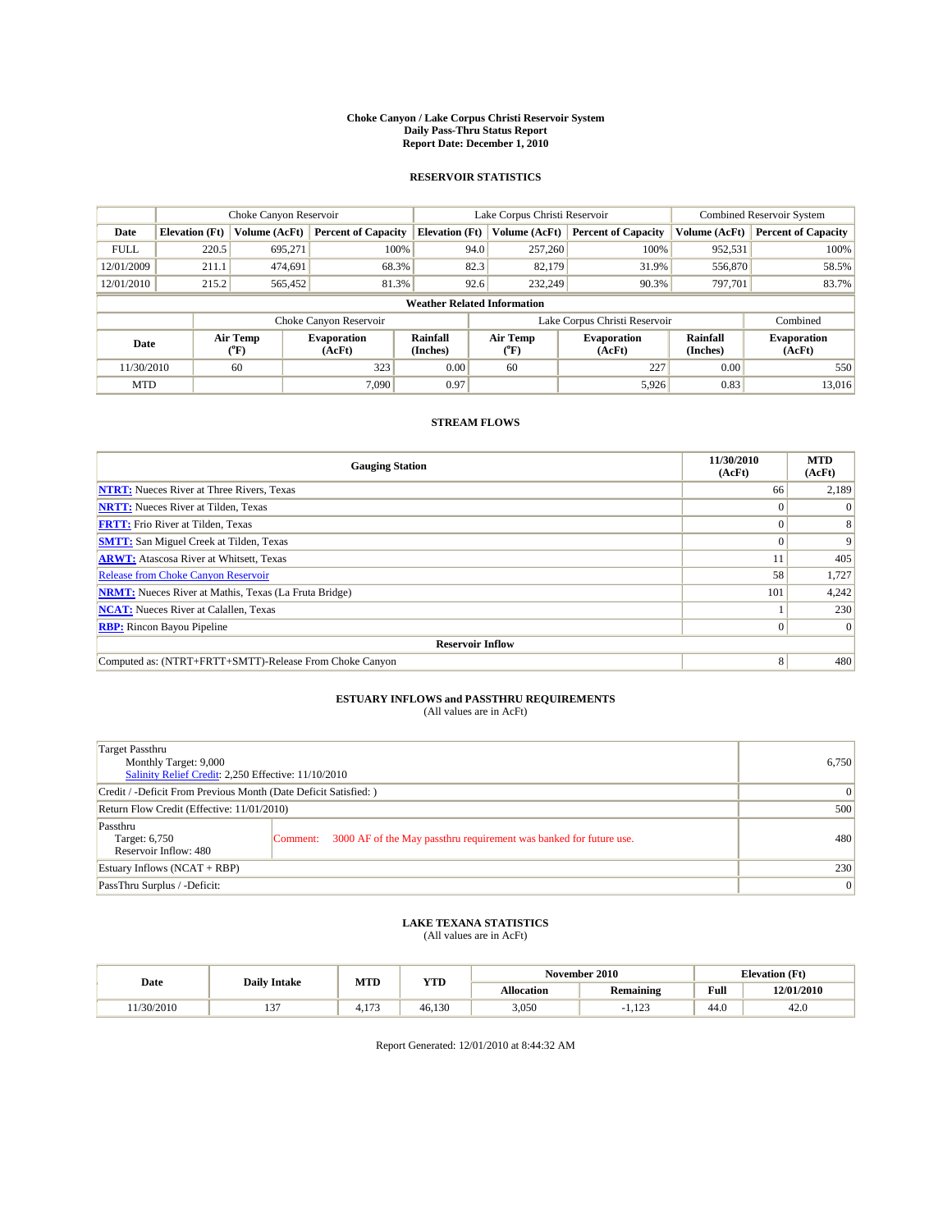#### **Choke Canyon / Lake Corpus Christi Reservoir System Daily Pass-Thru Status Report Report Date: December 1, 2010**

### **RESERVOIR STATISTICS**

|             | Choke Canyon Reservoir             |                  |                              |                             | Lake Corpus Christi Reservoir |                               |                      | Combined Reservoir System    |  |  |
|-------------|------------------------------------|------------------|------------------------------|-----------------------------|-------------------------------|-------------------------------|----------------------|------------------------------|--|--|
| Date        | <b>Elevation</b> (Ft)              | Volume (AcFt)    | <b>Percent of Capacity</b>   | <b>Elevation</b> (Ft)       | Volume (AcFt)                 | <b>Percent of Capacity</b>    | Volume (AcFt)        | <b>Percent of Capacity</b>   |  |  |
| <b>FULL</b> | 220.5                              | 695,271          | 100%                         | 94.0                        | 257,260                       | 100%                          | 952,531              | 100%                         |  |  |
| 12/01/2009  | 211.1                              | 474,691          | 68.3%                        | 82.3                        | 82,179                        | 31.9%                         | 556,870              | 58.5%                        |  |  |
| 12/01/2010  | 215.2                              | 565,452          | 81.3%                        | 92.6                        | 232,249                       | 90.3%                         | 797,701              | 83.7%                        |  |  |
|             | <b>Weather Related Information</b> |                  |                              |                             |                               |                               |                      |                              |  |  |
|             |                                    |                  | Choke Canyon Reservoir       |                             |                               | Lake Corpus Christi Reservoir |                      | Combined                     |  |  |
| Date        |                                    | Air Temp<br>(°F) | <b>Evaporation</b><br>(AcFt) | <b>Rainfall</b><br>(Inches) | Air Temp<br>(°F)              | <b>Evaporation</b><br>(AcFt)  | Rainfall<br>(Inches) | <b>Evaporation</b><br>(AcFt) |  |  |
| 11/30/2010  |                                    | 60               | 323                          | 0.00                        | 60                            | 227                           | 0.00                 | 550                          |  |  |
| <b>MTD</b>  |                                    |                  | 7.090                        | 0.97                        |                               | 5,926                         | 0.83                 | 13.016                       |  |  |

## **STREAM FLOWS**

| <b>Gauging Station</b>                                       | 11/30/2010<br>(AcFt) | <b>MTD</b><br>(AcFt) |
|--------------------------------------------------------------|----------------------|----------------------|
| <b>NTRT:</b> Nueces River at Three Rivers, Texas             | 66                   | 2,189                |
| <b>NRTT:</b> Nueces River at Tilden, Texas                   | $\theta$             |                      |
| <b>FRTT:</b> Frio River at Tilden, Texas                     |                      |                      |
| <b>SMTT:</b> San Miguel Creek at Tilden, Texas               |                      | 9                    |
| <b>ARWT:</b> Atascosa River at Whitsett, Texas               |                      | 405                  |
| <b>Release from Choke Canyon Reservoir</b>                   | 58                   | 1,727                |
| <b>NRMT:</b> Nueces River at Mathis, Texas (La Fruta Bridge) | 101                  | 4,242                |
| <b>NCAT:</b> Nueces River at Calallen, Texas                 |                      | 230                  |
| <b>RBP:</b> Rincon Bayou Pipeline                            | $\overline{0}$       | $\Omega$             |
| <b>Reservoir Inflow</b>                                      |                      |                      |
| Computed as: (NTRT+FRTT+SMTT)-Release From Choke Canyon      | 8                    | 480                  |

# **ESTUARY INFLOWS and PASSTHRU REQUIREMENTS**<br>(All values are in AcFt)

| Target Passthru<br>Monthly Target: 9,000<br>Salinity Relief Credit: 2,250 Effective: 11/10/2010 | 6,750                                                                          |     |
|-------------------------------------------------------------------------------------------------|--------------------------------------------------------------------------------|-----|
| Credit / -Deficit From Previous Month (Date Deficit Satisfied: )                                | $\overline{0}$                                                                 |     |
| Return Flow Credit (Effective: 11/01/2010)                                                      | 500                                                                            |     |
| Passthru<br>Target: 6,750<br>Reservoir Inflow: 480                                              | 3000 AF of the May passthru requirement was banked for future use.<br>Comment: | 480 |
| Estuary Inflows $(NCAT + RBP)$                                                                  | 230                                                                            |     |
| PassThru Surplus / -Deficit:                                                                    | $\vert 0 \vert$                                                                |     |

## **LAKE TEXANA STATISTICS** (All values are in AcFt)

|           |                     | MTD            | <b>YTD</b> |            | November 2010    |      | <b>Elevation</b> (Ft) |
|-----------|---------------------|----------------|------------|------------|------------------|------|-----------------------|
| Date      | <b>Daily Intake</b> |                |            | Allocation | <b>Remaining</b> | Full | 12/01/2010            |
| 1/30/2010 | $\sim$<br>. .       | 1.77<br>T. L / | 46.130     | 3,050      | 100<br>1.12J     | 44.0 | 42.0                  |

Report Generated: 12/01/2010 at 8:44:32 AM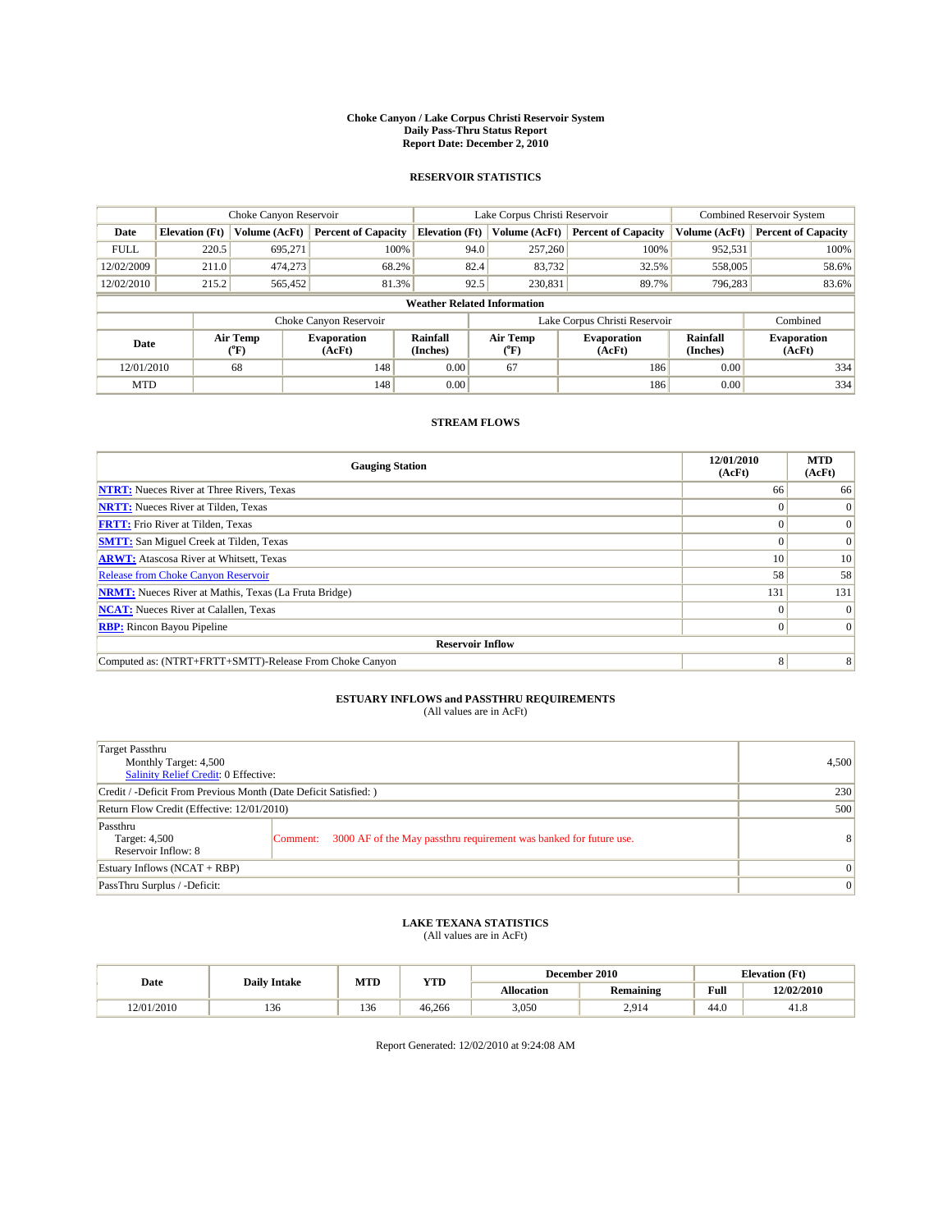#### **Choke Canyon / Lake Corpus Christi Reservoir System Daily Pass-Thru Status Report Report Date: December 2, 2010**

### **RESERVOIR STATISTICS**

|             | Choke Canyon Reservoir             |                  |                              |                             | Lake Corpus Christi Reservoir |                               |                      | Combined Reservoir System    |  |
|-------------|------------------------------------|------------------|------------------------------|-----------------------------|-------------------------------|-------------------------------|----------------------|------------------------------|--|
| Date        | <b>Elevation</b> (Ft)              | Volume (AcFt)    | <b>Percent of Capacity</b>   | <b>Elevation</b> (Ft)       | Volume (AcFt)                 | <b>Percent of Capacity</b>    | Volume (AcFt)        | <b>Percent of Capacity</b>   |  |
| <b>FULL</b> | 220.5                              | 695,271          | 100%                         | 94.0                        | 257,260                       | 100%                          | 952,531              | 100%                         |  |
| 12/02/2009  | 211.0                              | 474,273          | 68.2%                        | 82.4                        | 83,732                        | 32.5%                         | 558,005              | 58.6%                        |  |
| 12/02/2010  | 215.2                              | 565,452          | 81.3%                        | 92.5                        | 230,831                       | 89.7%                         | 796,283              | 83.6%                        |  |
|             | <b>Weather Related Information</b> |                  |                              |                             |                               |                               |                      |                              |  |
|             |                                    |                  | Choke Canyon Reservoir       |                             |                               | Lake Corpus Christi Reservoir |                      | Combined                     |  |
| Date        |                                    | Air Temp<br>(°F) | <b>Evaporation</b><br>(AcFt) | <b>Rainfall</b><br>(Inches) | Air Temp<br>(°F)              | <b>Evaporation</b><br>(AcFt)  | Rainfall<br>(Inches) | <b>Evaporation</b><br>(AcFt) |  |
| 12/01/2010  |                                    | 68               | 148                          | 0.00                        | 67                            | 186                           | 0.00                 | 334                          |  |
| <b>MTD</b>  |                                    |                  | 148                          | 0.00                        |                               | 186                           | 0.00                 | 334                          |  |

## **STREAM FLOWS**

| <b>Gauging Station</b>                                       | 12/01/2010<br>(AcFt) | <b>MTD</b><br>(AcFt) |
|--------------------------------------------------------------|----------------------|----------------------|
| <b>NTRT:</b> Nueces River at Three Rivers, Texas             | 66                   | 66                   |
| <b>NRTT:</b> Nueces River at Tilden, Texas                   |                      | $\Omega$             |
| <b>FRTT:</b> Frio River at Tilden, Texas                     |                      | $\Omega$             |
| <b>SMTT:</b> San Miguel Creek at Tilden, Texas               |                      | $\Omega$             |
| <b>ARWT:</b> Atascosa River at Whitsett, Texas               | 10 <sup>1</sup>      | 10                   |
| Release from Choke Canyon Reservoir                          | 58                   | 58                   |
| <b>NRMT:</b> Nueces River at Mathis, Texas (La Fruta Bridge) | 131                  | 131                  |
| <b>NCAT:</b> Nueces River at Calallen, Texas                 | 0                    | $\Omega$             |
| <b>RBP:</b> Rincon Bayou Pipeline                            | $\Omega$             | $\Omega$             |
| <b>Reservoir Inflow</b>                                      |                      |                      |
| Computed as: (NTRT+FRTT+SMTT)-Release From Choke Canyon      | 8                    | 8                    |

# **ESTUARY INFLOWS and PASSTHRU REQUIREMENTS**<br>(All values are in AcFt)

| Target Passthru<br>Monthly Target: 4,500<br>Salinity Relief Credit: 0 Effective: |                                                                                | 4,500 |
|----------------------------------------------------------------------------------|--------------------------------------------------------------------------------|-------|
| Credit / -Deficit From Previous Month (Date Deficit Satisfied: )                 | 230                                                                            |       |
| Return Flow Credit (Effective: 12/01/2010)                                       | 500                                                                            |       |
| Passthru<br>Target: 4,500<br>Reservoir Inflow: 8                                 | 3000 AF of the May passthru requirement was banked for future use.<br>Comment: | 8     |
| Estuary Inflows (NCAT + RBP)                                                     | $\vert 0 \vert$                                                                |       |
| PassThru Surplus / -Deficit:                                                     | $\vert 0 \vert$                                                                |       |

## **LAKE TEXANA STATISTICS** (All values are in AcFt)

|            |                     | MTD | <b>YTD</b> | <b>Elevation</b> (Ft)<br>December 2010 |                  |      |            |
|------------|---------------------|-----|------------|----------------------------------------|------------------|------|------------|
| Date       | <b>Daily Intake</b> |     |            | <b>Allocation</b>                      | <b>Remaining</b> | Full | 12/02/2010 |
| 12/01/2010 | 136                 | 136 | 46.266     | 3,050                                  | 2.914            | 44.0 | 41.8       |

Report Generated: 12/02/2010 at 9:24:08 AM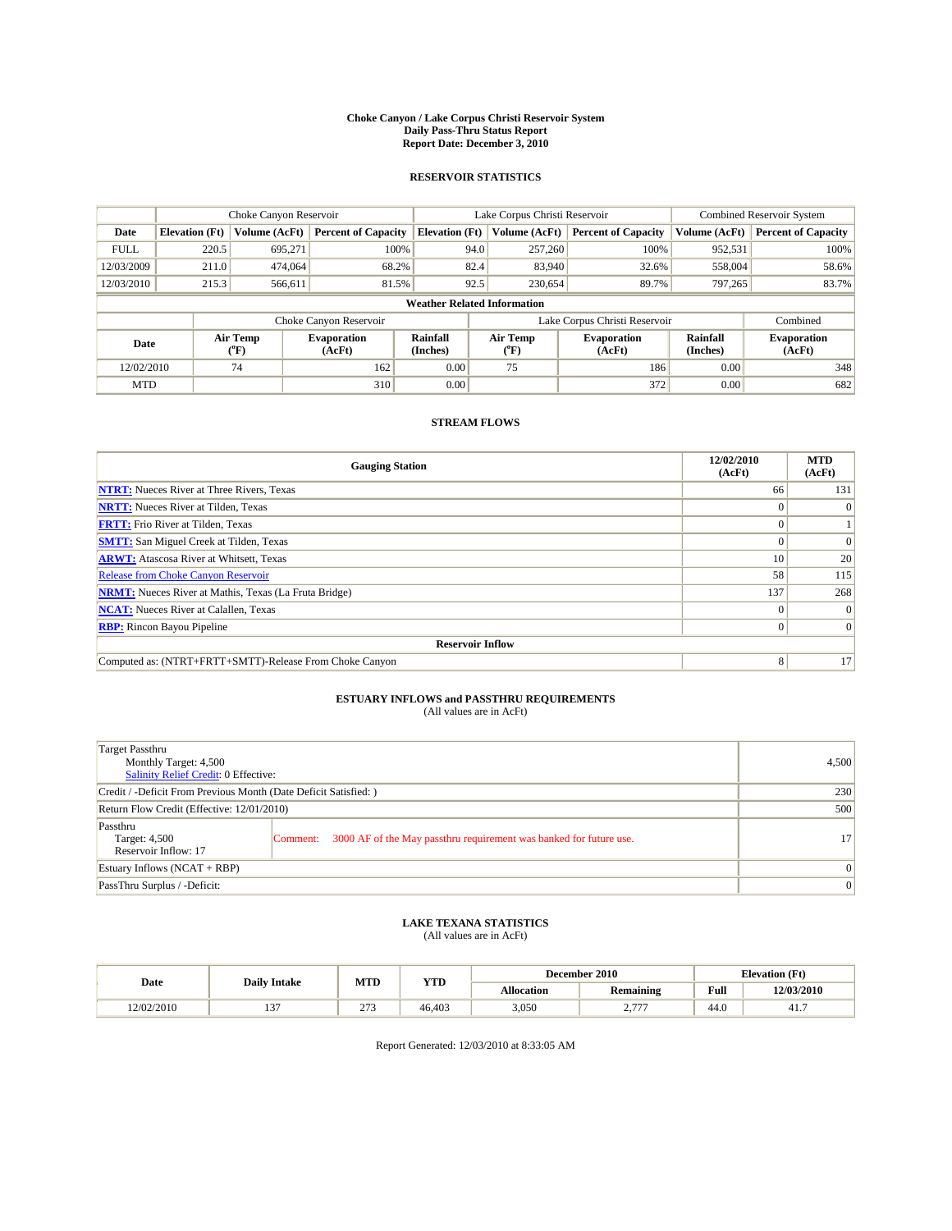#### **Choke Canyon / Lake Corpus Christi Reservoir System Daily Pass-Thru Status Report Report Date: December 3, 2010**

### **RESERVOIR STATISTICS**

|             | Choke Canyon Reservoir             |                  |                              |                             | Lake Corpus Christi Reservoir |                               |                      | Combined Reservoir System    |  |
|-------------|------------------------------------|------------------|------------------------------|-----------------------------|-------------------------------|-------------------------------|----------------------|------------------------------|--|
| Date        | <b>Elevation</b> (Ft)              | Volume (AcFt)    | <b>Percent of Capacity</b>   | <b>Elevation</b> (Ft)       | Volume (AcFt)                 | <b>Percent of Capacity</b>    | Volume (AcFt)        | <b>Percent of Capacity</b>   |  |
| <b>FULL</b> | 220.5                              | 695,271          | 100%                         |                             | 257,260<br>94.0               | 100%                          | 952,531              | 100%                         |  |
| 12/03/2009  | 211.0                              | 474,064          | 68.2%                        |                             | 82.4<br>83,940                | 32.6%                         | 558,004              | 58.6%                        |  |
| 12/03/2010  | 215.3                              | 566,611          | 81.5%                        |                             | 92.5<br>230,654               | 89.7%                         | 797.265              | 83.7%                        |  |
|             | <b>Weather Related Information</b> |                  |                              |                             |                               |                               |                      |                              |  |
|             |                                    |                  | Choke Canyon Reservoir       |                             |                               | Lake Corpus Christi Reservoir |                      | Combined                     |  |
| Date        |                                    | Air Temp<br>(°F) | <b>Evaporation</b><br>(AcFt) | <b>Rainfall</b><br>(Inches) | Air Temp<br>$(^{\circ}F)$     | <b>Evaporation</b><br>(AcFt)  | Rainfall<br>(Inches) | <b>Evaporation</b><br>(AcFt) |  |
| 12/02/2010  |                                    | 74               | 162                          | 0.00                        | 75                            | 186                           | 0.00                 | 348                          |  |
| <b>MTD</b>  |                                    |                  | 310                          | 0.00                        |                               | 372                           | 0.00                 | 682                          |  |

## **STREAM FLOWS**

| <b>Gauging Station</b>                                       | 12/02/2010<br>(AcFt) | <b>MTD</b><br>(AcFt) |
|--------------------------------------------------------------|----------------------|----------------------|
| <b>NTRT:</b> Nueces River at Three Rivers, Texas             | 66                   | 131                  |
| <b>NRTT:</b> Nueces River at Tilden, Texas                   |                      |                      |
| <b>FRTT:</b> Frio River at Tilden, Texas                     |                      |                      |
| <b>SMTT:</b> San Miguel Creek at Tilden, Texas               |                      | $\Omega$             |
| <b>ARWT:</b> Atascosa River at Whitsett, Texas               | 10 <sup>1</sup>      | 20                   |
| Release from Choke Canyon Reservoir                          | 58                   | 115                  |
| <b>NRMT:</b> Nueces River at Mathis, Texas (La Fruta Bridge) | 137                  | 268                  |
| <b>NCAT:</b> Nueces River at Calallen, Texas                 | 0                    |                      |
| <b>RBP:</b> Rincon Bayou Pipeline                            | $\Omega$             | $\Omega$             |
| <b>Reservoir Inflow</b>                                      |                      |                      |
| Computed as: (NTRT+FRTT+SMTT)-Release From Choke Canyon      | 8                    | 17                   |

# **ESTUARY INFLOWS and PASSTHRU REQUIREMENTS**<br>(All values are in AcFt)

| Target Passthru<br>Monthly Target: 4,500<br>Salinity Relief Credit: 0 Effective: |                                                                                | 4,500           |
|----------------------------------------------------------------------------------|--------------------------------------------------------------------------------|-----------------|
| Credit / -Deficit From Previous Month (Date Deficit Satisfied: )                 | 230                                                                            |                 |
| Return Flow Credit (Effective: 12/01/2010)                                       | 500                                                                            |                 |
| Passthru<br>Target: 4,500<br>Reservoir Inflow: 17                                | 3000 AF of the May passthru requirement was banked for future use.<br>Comment: | 17              |
| Estuary Inflows (NCAT + RBP)                                                     |                                                                                | $\vert 0 \vert$ |
| PassThru Surplus / -Deficit:                                                     | $\vert 0 \vert$                                                                |                 |

## **LAKE TEXANA STATISTICS** (All values are in AcFt)

|            |                     | MTD         | <b>YTD</b> | <b>Elevation</b> (Ft)<br>December 2010 |                   |      |            |
|------------|---------------------|-------------|------------|----------------------------------------|-------------------|------|------------|
| Date       | <b>Daily Intake</b> |             |            | Allocation                             | Remaining         | Full | 12/03/2010 |
| 12/02/2010 | $\sim$<br>…         | 272<br>ں ہے | 46.403     | 3,050                                  | $---$<br><u>.</u> | 44.0 | 41.7       |

Report Generated: 12/03/2010 at 8:33:05 AM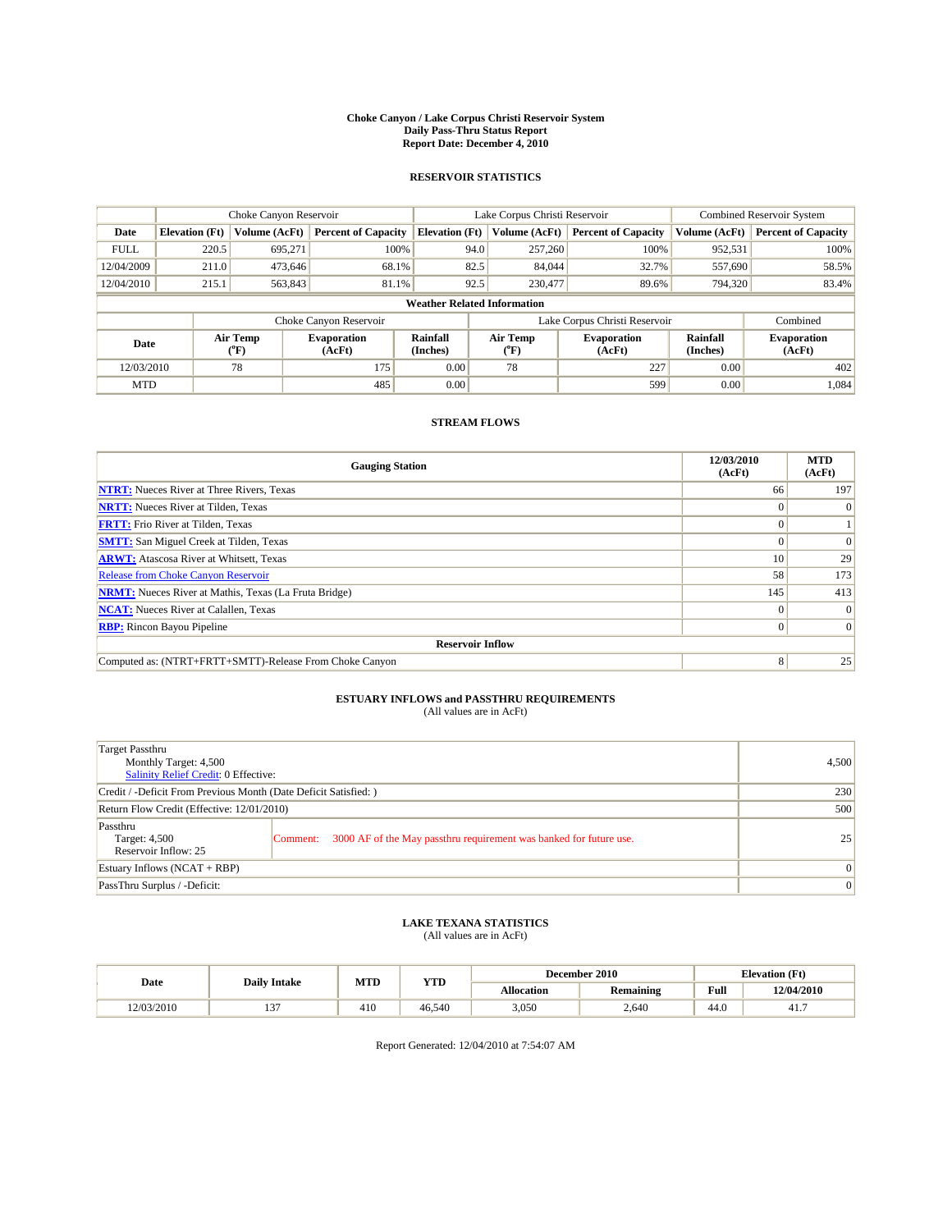#### **Choke Canyon / Lake Corpus Christi Reservoir System Daily Pass-Thru Status Report Report Date: December 4, 2010**

### **RESERVOIR STATISTICS**

|             | Choke Canyon Reservoir             |                  |                              |                       | Lake Corpus Christi Reservoir |                               |                      | Combined Reservoir System    |  |  |
|-------------|------------------------------------|------------------|------------------------------|-----------------------|-------------------------------|-------------------------------|----------------------|------------------------------|--|--|
| Date        | <b>Elevation</b> (Ft)              | Volume (AcFt)    | <b>Percent of Capacity</b>   | <b>Elevation</b> (Ft) | Volume (AcFt)                 | <b>Percent of Capacity</b>    | Volume (AcFt)        | <b>Percent of Capacity</b>   |  |  |
| <b>FULL</b> | 220.5                              | 695,271          | 100%                         | 94.0                  | 257,260                       | 100%                          | 952,531              | 100%                         |  |  |
| 12/04/2009  | 211.0                              | 473.646          | 68.1%                        | 82.5                  | 84,044                        | 32.7%                         | 557,690              | 58.5%                        |  |  |
| 12/04/2010  | 215.1                              | 563,843          | 81.1%                        | 92.5                  | 230,477                       | 89.6%                         | 794,320              | 83.4%                        |  |  |
|             | <b>Weather Related Information</b> |                  |                              |                       |                               |                               |                      |                              |  |  |
|             |                                    |                  | Choke Canyon Reservoir       |                       |                               | Lake Corpus Christi Reservoir |                      | Combined                     |  |  |
| Date        |                                    | Air Temp<br>(°F) | <b>Evaporation</b><br>(AcFt) | Rainfall<br>(Inches)  | Air Temp<br>("F)              | <b>Evaporation</b><br>(AcFt)  | Rainfall<br>(Inches) | <b>Evaporation</b><br>(AcFt) |  |  |
| 12/03/2010  |                                    | 78               | 175                          | 0.00                  | 78                            | 227                           | 0.00                 | 402                          |  |  |
| <b>MTD</b>  |                                    |                  | 485                          | 0.00                  |                               | 599                           | 0.00                 | 1.084                        |  |  |

## **STREAM FLOWS**

| <b>Gauging Station</b>                                       | 12/03/2010<br>(AcFt) | <b>MTD</b><br>(AcFt) |  |  |  |  |  |
|--------------------------------------------------------------|----------------------|----------------------|--|--|--|--|--|
| <b>NTRT:</b> Nueces River at Three Rivers, Texas             | 66                   | 197                  |  |  |  |  |  |
| <b>NRTT:</b> Nueces River at Tilden, Texas                   | $\Omega$             |                      |  |  |  |  |  |
| <b>FRTT:</b> Frio River at Tilden, Texas                     |                      |                      |  |  |  |  |  |
| <b>SMTT:</b> San Miguel Creek at Tilden, Texas               |                      | $\Omega$             |  |  |  |  |  |
| <b>ARWT:</b> Atascosa River at Whitsett, Texas               | 10                   | 29                   |  |  |  |  |  |
| <b>Release from Choke Canyon Reservoir</b>                   | 58                   | 173                  |  |  |  |  |  |
| <b>NRMT:</b> Nueces River at Mathis, Texas (La Fruta Bridge) | 145                  | 413                  |  |  |  |  |  |
| <b>NCAT:</b> Nueces River at Calallen, Texas                 | $\Omega$             | $\Omega$             |  |  |  |  |  |
| <b>RBP:</b> Rincon Bayou Pipeline                            | $\overline{0}$       | $\Omega$             |  |  |  |  |  |
| <b>Reservoir Inflow</b>                                      |                      |                      |  |  |  |  |  |
| Computed as: (NTRT+FRTT+SMTT)-Release From Choke Canyon      | 8                    | 25                   |  |  |  |  |  |

# **ESTUARY INFLOWS and PASSTHRU REQUIREMENTS**<br>(All values are in AcFt)

| Target Passthru<br>Monthly Target: 4,500<br>Salinity Relief Credit: 0 Effective: | 4,500                                                                          |    |
|----------------------------------------------------------------------------------|--------------------------------------------------------------------------------|----|
| Credit / -Deficit From Previous Month (Date Deficit Satisfied: )                 | 230                                                                            |    |
| Return Flow Credit (Effective: 12/01/2010)                                       | 500                                                                            |    |
| Passthru<br>Target: 4,500<br>Reservoir Inflow: 25                                | 3000 AF of the May passthru requirement was banked for future use.<br>Comment: | 25 |
| Estuary Inflows (NCAT + RBP)                                                     | $\vert 0 \vert$                                                                |    |
| PassThru Surplus / -Deficit:                                                     | $\vert 0 \vert$                                                                |    |

## **LAKE TEXANA STATISTICS** (All values are in AcFt)

|            | <b>Daily Intake</b> | MTD | <b>YTD</b> |            | December 2010    |      | <b>Elevation</b> (Ft) |
|------------|---------------------|-----|------------|------------|------------------|------|-----------------------|
| Date       |                     |     |            | Allocation | <b>Remaining</b> | Full | 12/04/2010            |
| 12/03/2010 | $\sim$<br>…         | 410 | 46.540     | 3,050      | 2.640            | 44.0 | 41.7                  |

Report Generated: 12/04/2010 at 7:54:07 AM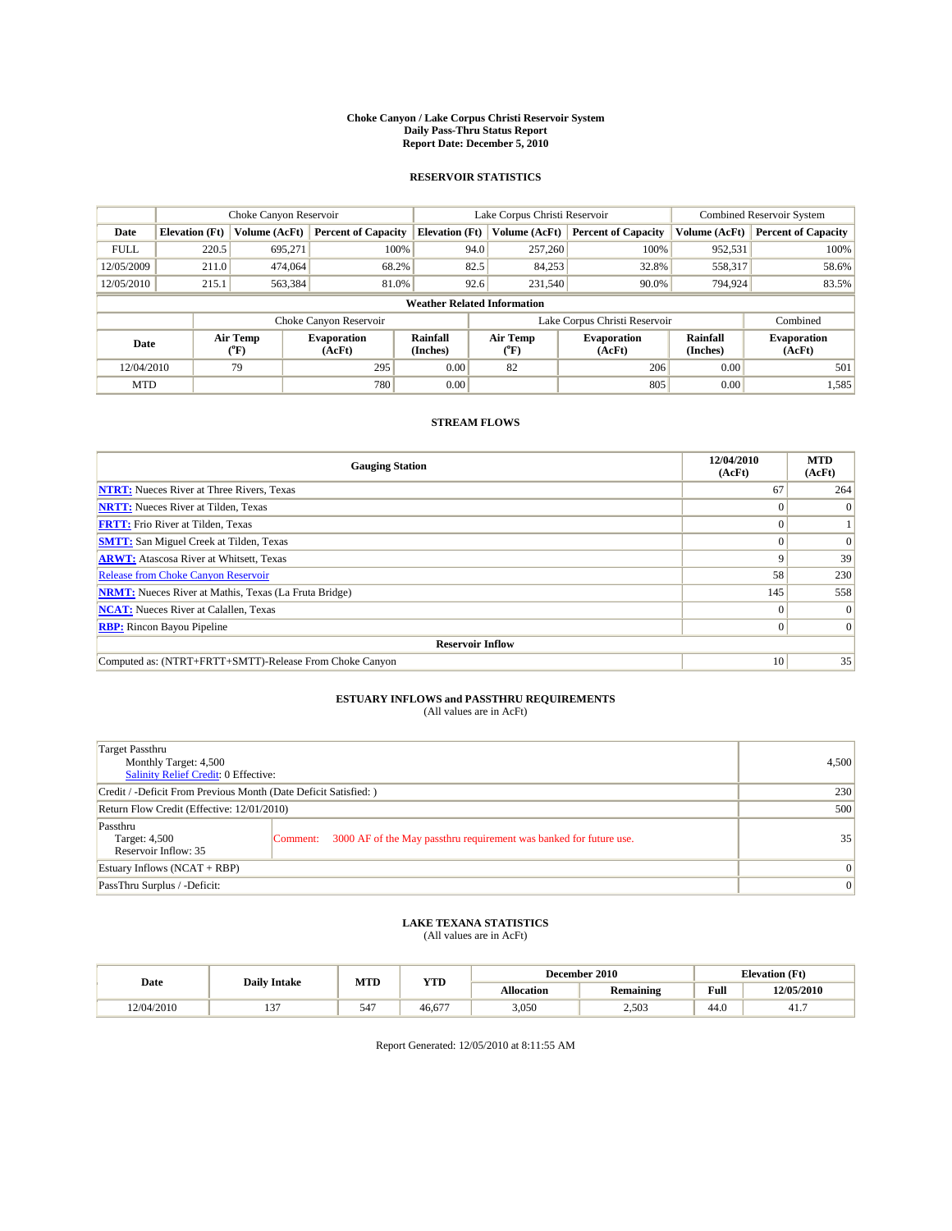#### **Choke Canyon / Lake Corpus Christi Reservoir System Daily Pass-Thru Status Report Report Date: December 5, 2010**

### **RESERVOIR STATISTICS**

|             | Choke Canyon Reservoir             |                  |                              |                             | Lake Corpus Christi Reservoir |                               |                      | Combined Reservoir System    |  |
|-------------|------------------------------------|------------------|------------------------------|-----------------------------|-------------------------------|-------------------------------|----------------------|------------------------------|--|
| Date        | <b>Elevation</b> (Ft)              | Volume (AcFt)    | <b>Percent of Capacity</b>   | <b>Elevation</b> (Ft)       | Volume (AcFt)                 | <b>Percent of Capacity</b>    | Volume (AcFt)        | <b>Percent of Capacity</b>   |  |
| <b>FULL</b> | 220.5                              | 695,271          | 100%                         | 94.0                        | 257,260                       | 100%                          | 952,531              | 100%                         |  |
| 12/05/2009  | 211.0                              | 474,064          | 68.2%                        | 82.5                        | 84,253                        | 32.8%                         | 558,317              | 58.6%                        |  |
| 12/05/2010  | 215.1                              | 563,384          | 81.0%                        | 92.6                        | 231,540                       | 90.0%                         | 794,924              | 83.5%                        |  |
|             | <b>Weather Related Information</b> |                  |                              |                             |                               |                               |                      |                              |  |
|             |                                    |                  | Choke Canyon Reservoir       |                             |                               | Lake Corpus Christi Reservoir |                      | Combined                     |  |
| Date        |                                    | Air Temp<br>(°F) | <b>Evaporation</b><br>(AcFt) | <b>Rainfall</b><br>(Inches) | Air Temp<br>(°F)              | <b>Evaporation</b><br>(AcFt)  | Rainfall<br>(Inches) | <b>Evaporation</b><br>(AcFt) |  |
| 12/04/2010  |                                    | 79               | 295                          | 0.00                        | 82                            | 206                           | 0.00                 | 501                          |  |
| <b>MTD</b>  |                                    |                  | 780                          | 0.00                        |                               | 805                           | 0.00                 | 1,585                        |  |

## **STREAM FLOWS**

| <b>Gauging Station</b>                                       | 12/04/2010<br>(AcFt) | <b>MTD</b><br>(AcFt) |  |  |  |  |  |
|--------------------------------------------------------------|----------------------|----------------------|--|--|--|--|--|
| <b>NTRT:</b> Nueces River at Three Rivers, Texas             | 67                   | 264                  |  |  |  |  |  |
| <b>NRTT:</b> Nueces River at Tilden, Texas                   |                      | $\Omega$             |  |  |  |  |  |
| <b>FRTT:</b> Frio River at Tilden, Texas                     |                      |                      |  |  |  |  |  |
| <b>SMTT:</b> San Miguel Creek at Tilden, Texas               |                      | $\Omega$             |  |  |  |  |  |
| <b>ARWT:</b> Atascosa River at Whitsett, Texas               | 9                    | 39                   |  |  |  |  |  |
| <b>Release from Choke Canyon Reservoir</b>                   | 58                   | 230                  |  |  |  |  |  |
| <b>NRMT:</b> Nueces River at Mathis, Texas (La Fruta Bridge) | 145                  | 558                  |  |  |  |  |  |
| <b>NCAT:</b> Nueces River at Calallen, Texas                 | $\Omega$             | $\Omega$             |  |  |  |  |  |
| <b>RBP:</b> Rincon Bayou Pipeline                            | $\overline{0}$       | $\Omega$             |  |  |  |  |  |
| <b>Reservoir Inflow</b>                                      |                      |                      |  |  |  |  |  |
| Computed as: (NTRT+FRTT+SMTT)-Release From Choke Canyon      | 10                   | 35                   |  |  |  |  |  |

# **ESTUARY INFLOWS and PASSTHRU REQUIREMENTS**<br>(All values are in AcFt)

| Target Passthru<br>Monthly Target: 4,500<br>Salinity Relief Credit: 0 Effective: |                                                                                | 4,500 |
|----------------------------------------------------------------------------------|--------------------------------------------------------------------------------|-------|
| Credit / -Deficit From Previous Month (Date Deficit Satisfied: )                 | 230                                                                            |       |
| Return Flow Credit (Effective: 12/01/2010)                                       | 500                                                                            |       |
| Passthru<br>Target: 4,500<br>Reservoir Inflow: 35                                | 3000 AF of the May passthru requirement was banked for future use.<br>Comment: | 35    |
| Estuary Inflows (NCAT + RBP)                                                     | $\vert 0 \vert$                                                                |       |
| PassThru Surplus / -Deficit:                                                     | $\vert 0 \vert$                                                                |       |

## **LAKE TEXANA STATISTICS** (All values are in AcFt)

|            |                     | MTD             | <b>YTD</b>   |            | December 2010 |                                             | <b>Elevation</b> (Ft) |
|------------|---------------------|-----------------|--------------|------------|---------------|---------------------------------------------|-----------------------|
| Date       | <b>Daily Intake</b> |                 |              | Allocation | Remaining     | Full<br>the contract of the contract of the | 12/05/2010            |
| 12/04/2010 | $\sim$<br>…         | 54 <sup>7</sup> | $-$<br>46.67 | 3.050      | 2.503         | 44.0                                        | 41.,                  |

Report Generated: 12/05/2010 at 8:11:55 AM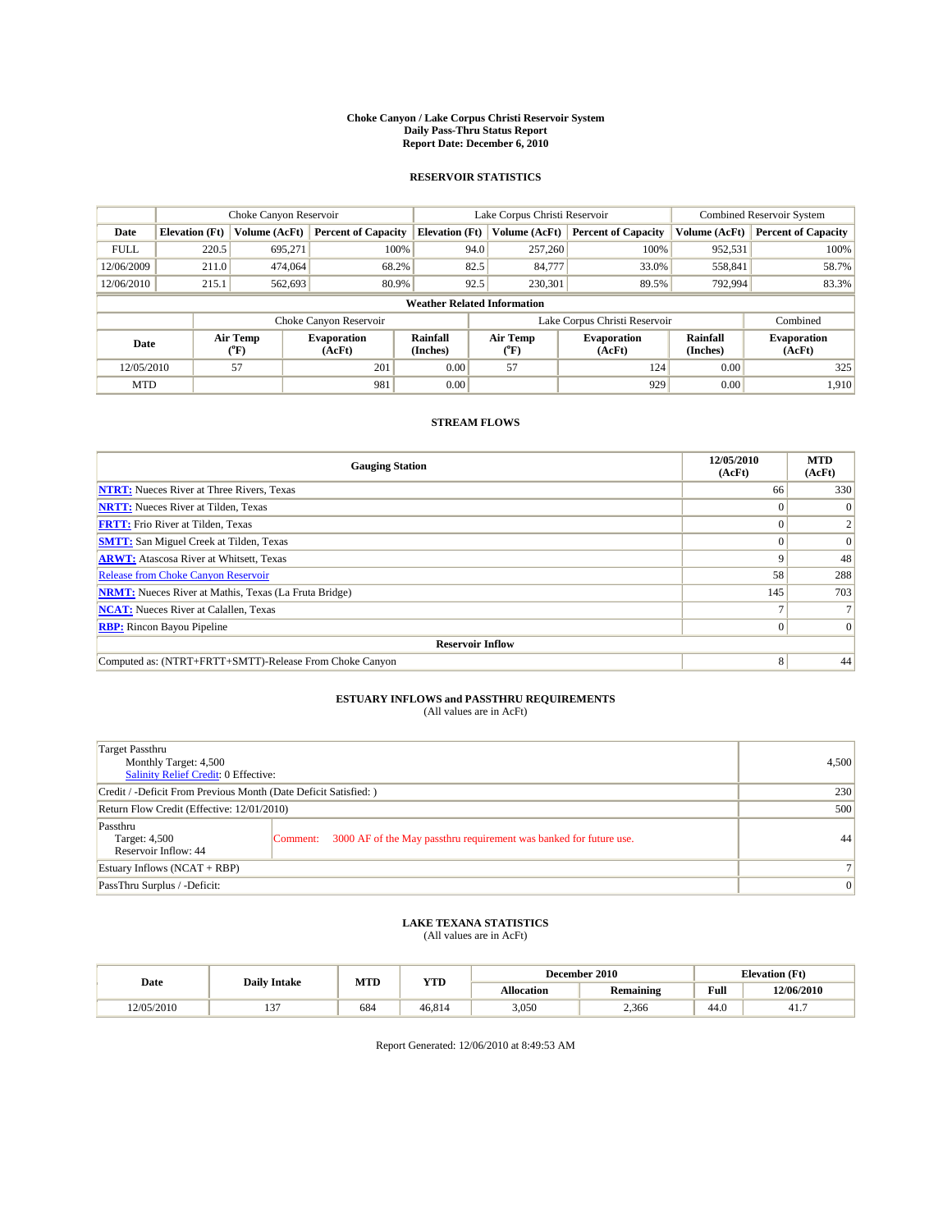#### **Choke Canyon / Lake Corpus Christi Reservoir System Daily Pass-Thru Status Report Report Date: December 6, 2010**

### **RESERVOIR STATISTICS**

|             | Choke Canyon Reservoir             |                  |                              |                       | Lake Corpus Christi Reservoir | <b>Combined Reservoir System</b> |                             |                              |  |
|-------------|------------------------------------|------------------|------------------------------|-----------------------|-------------------------------|----------------------------------|-----------------------------|------------------------------|--|
| Date        | <b>Elevation</b> (Ft)              | Volume (AcFt)    | <b>Percent of Capacity</b>   | <b>Elevation</b> (Ft) | Volume (AcFt)                 | <b>Percent of Capacity</b>       | Volume (AcFt)               | <b>Percent of Capacity</b>   |  |
| <b>FULL</b> | 220.5                              | 695,271          | 100%                         | 94.0                  | 257,260                       | 100%                             | 952,531                     | 100%                         |  |
| 12/06/2009  | 211.0                              | 474,064          | 68.2%                        | 82.5                  | 84,777                        | 33.0%                            | 558,841                     | 58.7%                        |  |
| 12/06/2010  | 215.1                              | 562,693          | 80.9%                        | 92.5                  | 230,301                       | 89.5%                            | 792,994                     | 83.3%                        |  |
|             | <b>Weather Related Information</b> |                  |                              |                       |                               |                                  |                             |                              |  |
|             |                                    |                  | Choke Canyon Reservoir       |                       |                               | Lake Corpus Christi Reservoir    |                             | Combined                     |  |
| Date        |                                    | Air Temp<br>(°F) | <b>Evaporation</b><br>(AcFt) | Rainfall<br>(Inches)  | Air Temp<br>("F)              | <b>Evaporation</b><br>(AcFt)     | <b>Rainfall</b><br>(Inches) | <b>Evaporation</b><br>(AcFt) |  |
| 12/05/2010  |                                    | 57               | 201                          | 0.00                  | 57                            | 124                              | 0.00                        | 325                          |  |
| <b>MTD</b>  |                                    |                  | 981                          | 0.00                  |                               | 929                              | 0.00                        | 1.910                        |  |

## **STREAM FLOWS**

| <b>Gauging Station</b>                                       | 12/05/2010<br>(AcFt) | <b>MTD</b><br>(AcFt) |
|--------------------------------------------------------------|----------------------|----------------------|
| <b>NTRT:</b> Nueces River at Three Rivers, Texas             | 66                   | 330                  |
| <b>NRTT:</b> Nueces River at Tilden, Texas                   |                      |                      |
| <b>FRTT:</b> Frio River at Tilden, Texas                     |                      |                      |
| <b>SMTT:</b> San Miguel Creek at Tilden, Texas               |                      | $\Omega$             |
| <b>ARWT:</b> Atascosa River at Whitsett, Texas               | 9                    | 48                   |
| <b>Release from Choke Canyon Reservoir</b>                   | 58                   | 288                  |
| <b>NRMT:</b> Nueces River at Mathis, Texas (La Fruta Bridge) | 145                  | 703                  |
| <b>NCAT:</b> Nueces River at Calallen, Texas                 |                      |                      |
| <b>RBP:</b> Rincon Bayou Pipeline                            | $\Omega$             |                      |
| <b>Reservoir Inflow</b>                                      |                      |                      |
| Computed as: (NTRT+FRTT+SMTT)-Release From Choke Canyon      | 8                    | 44                   |

# **ESTUARY INFLOWS and PASSTHRU REQUIREMENTS**<br>(All values are in AcFt)

| <b>Target Passthru</b><br>Monthly Target: 4,500<br><b>Salinity Relief Credit: 0 Effective:</b> |                                                                                | 4,500           |
|------------------------------------------------------------------------------------------------|--------------------------------------------------------------------------------|-----------------|
| Credit / -Deficit From Previous Month (Date Deficit Satisfied: )                               | 230                                                                            |                 |
| Return Flow Credit (Effective: 12/01/2010)                                                     | 500                                                                            |                 |
| Passthru<br>Target: 4,500<br>Reservoir Inflow: 44                                              | 3000 AF of the May passthru requirement was banked for future use.<br>Comment: | 44              |
| Estuary Inflows $(NCAT + RBP)$                                                                 |                                                                                | 7 <sup>1</sup>  |
| PassThru Surplus / -Deficit:                                                                   |                                                                                | $\vert 0 \vert$ |

# **LAKE TEXANA STATISTICS** (All values are in AcFt)

|            |                     | MTD | <b>YTD</b> | <b>Elevation</b> (Ft)<br>December 2010 |           |      |            |
|------------|---------------------|-----|------------|----------------------------------------|-----------|------|------------|
| Date       | <b>Daily Intake</b> |     |            | <b>Allocation</b>                      | Remaining | Full | 12/06/2010 |
| 12/05/2010 | $\sim$<br>…         | 684 | 46.814     | 3,050                                  | 2.366     | 44.0 | 41.7       |

Report Generated: 12/06/2010 at 8:49:53 AM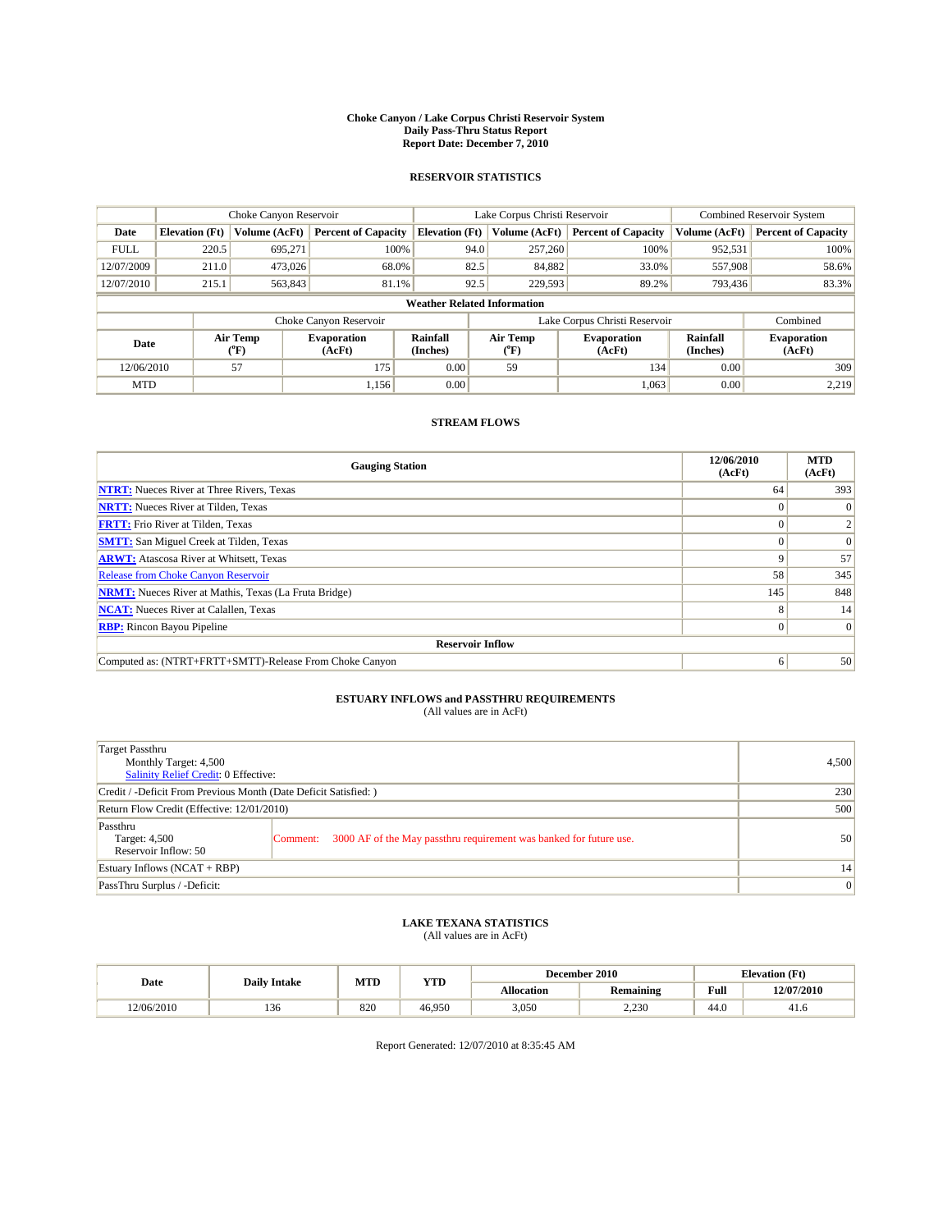#### **Choke Canyon / Lake Corpus Christi Reservoir System Daily Pass-Thru Status Report Report Date: December 7, 2010**

### **RESERVOIR STATISTICS**

|             | Choke Canyon Reservoir             |                  |                              |                             | Lake Corpus Christi Reservoir |                               |                      | <b>Combined Reservoir System</b> |  |  |
|-------------|------------------------------------|------------------|------------------------------|-----------------------------|-------------------------------|-------------------------------|----------------------|----------------------------------|--|--|
| Date        | <b>Elevation</b> (Ft)              | Volume (AcFt)    | <b>Percent of Capacity</b>   | <b>Elevation (Ft)</b>       | Volume (AcFt)                 | <b>Percent of Capacity</b>    | Volume (AcFt)        | <b>Percent of Capacity</b>       |  |  |
| <b>FULL</b> | 220.5                              | 695,271          | 100%                         | 94.0                        | 257,260                       | 100%                          | 952,531              | 100%                             |  |  |
| 12/07/2009  | 211.0                              | 473,026          | 68.0%                        | 82.5                        | 84,882                        | 33.0%                         | 557,908              | 58.6%                            |  |  |
| 12/07/2010  | 215.1                              | 563,843          | 81.1%                        | 92.5                        | 229,593                       | 89.2%                         | 793,436              | 83.3%                            |  |  |
|             | <b>Weather Related Information</b> |                  |                              |                             |                               |                               |                      |                                  |  |  |
|             |                                    |                  | Choke Canyon Reservoir       |                             |                               | Lake Corpus Christi Reservoir |                      | Combined                         |  |  |
| Date        |                                    | Air Temp<br>(°F) | <b>Evaporation</b><br>(AcFt) | <b>Rainfall</b><br>(Inches) | Air Temp<br>(°F)              | <b>Evaporation</b><br>(AcFt)  | Rainfall<br>(Inches) | <b>Evaporation</b><br>(AcFt)     |  |  |
| 12/06/2010  |                                    | 57               | 175                          | 0.00                        | 59                            | 134                           | 0.00                 | 309                              |  |  |
| <b>MTD</b>  |                                    |                  | 1,156                        | 0.00                        |                               | 1,063                         | 0.00                 | 2.219                            |  |  |

## **STREAM FLOWS**

| <b>Gauging Station</b>                                       | 12/06/2010<br>(AcFt) | <b>MTD</b><br>(AcFt) |
|--------------------------------------------------------------|----------------------|----------------------|
| <b>NTRT:</b> Nueces River at Three Rivers, Texas             | 64                   | 393                  |
| <b>NRTT:</b> Nueces River at Tilden, Texas                   |                      | $\theta$             |
| <b>FRTT:</b> Frio River at Tilden, Texas                     |                      |                      |
| <b>SMTT:</b> San Miguel Creek at Tilden, Texas               |                      | $\Omega$             |
| <b>ARWT:</b> Atascosa River at Whitsett, Texas               | 9                    | 57                   |
| Release from Choke Canyon Reservoir                          | 58                   | 345                  |
| <b>NRMT:</b> Nueces River at Mathis, Texas (La Fruta Bridge) | 145                  | 848                  |
| <b>NCAT:</b> Nueces River at Calallen, Texas                 | 8                    | 14                   |
| <b>RBP:</b> Rincon Bayou Pipeline                            | $\Omega$             | $\Omega$             |
| <b>Reservoir Inflow</b>                                      |                      |                      |
| Computed as: (NTRT+FRTT+SMTT)-Release From Choke Canyon      | 6                    | 50                   |

# **ESTUARY INFLOWS and PASSTHRU REQUIREMENTS**<br>(All values are in AcFt)

| Target Passthru<br>Monthly Target: 4,500<br>Salinity Relief Credit: 0 Effective: |                                                                                | 4,500 |
|----------------------------------------------------------------------------------|--------------------------------------------------------------------------------|-------|
| Credit / -Deficit From Previous Month (Date Deficit Satisfied: )                 | 230                                                                            |       |
| Return Flow Credit (Effective: 12/01/2010)                                       | 500                                                                            |       |
| Passthru<br>Target: 4,500<br>Reservoir Inflow: 50                                | 3000 AF of the May passthru requirement was banked for future use.<br>Comment: | 50    |
| Estuary Inflows (NCAT + RBP)                                                     | 14                                                                             |       |
| PassThru Surplus / -Deficit:                                                     | $\vert 0 \vert$                                                                |       |

## **LAKE TEXANA STATISTICS** (All values are in AcFt)

|            |                     | MTD | <b>YTD</b> | <b>Elevation</b> (Ft)<br>December 2010 |           |      |            |
|------------|---------------------|-----|------------|----------------------------------------|-----------|------|------------|
| Date       | <b>Daily Intake</b> |     |            | Allocation                             | Remaining | Full | 12/07/2010 |
| 12/06/2010 | 150                 | 820 | 46.950     | 3,050                                  | 2,230     | 44.0 | 41.0       |

Report Generated: 12/07/2010 at 8:35:45 AM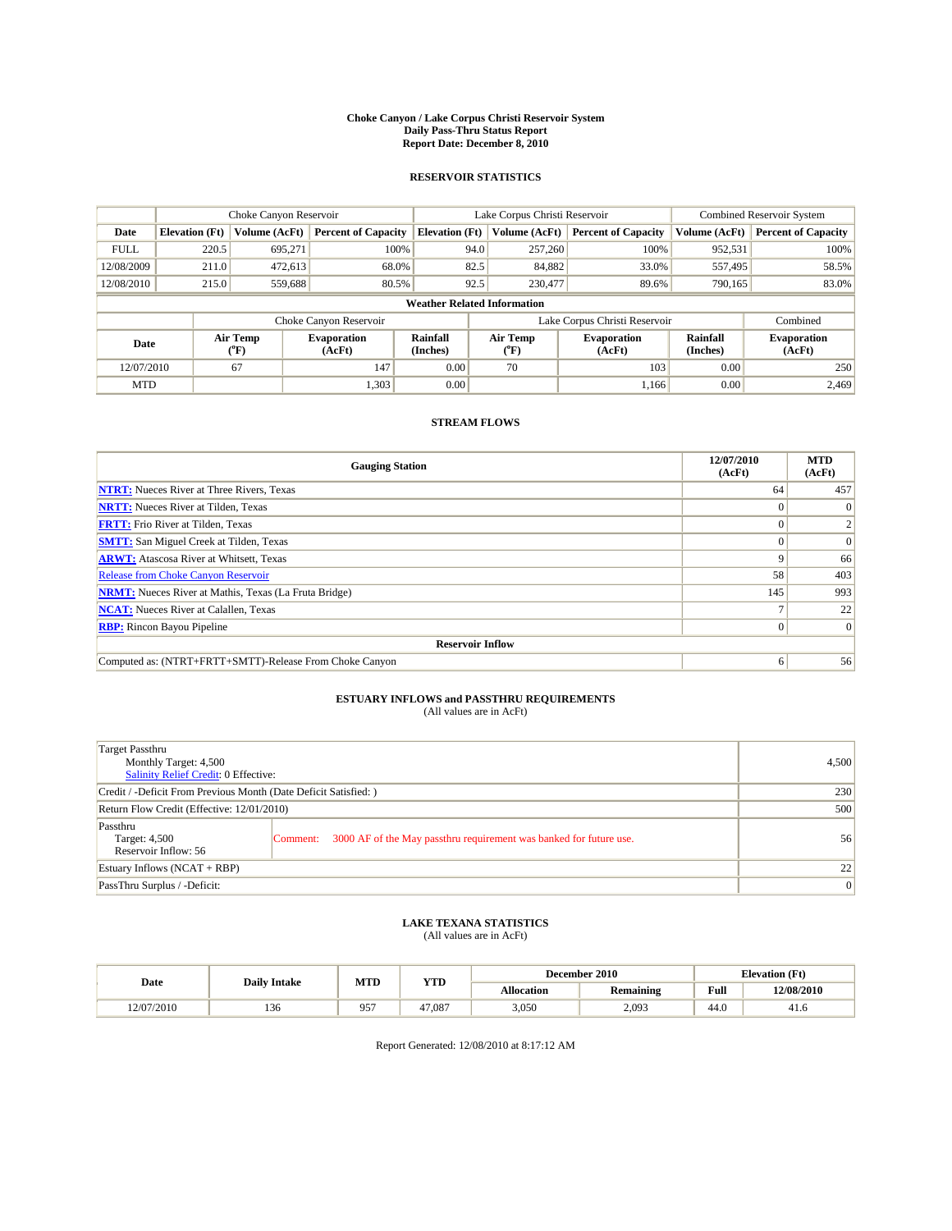#### **Choke Canyon / Lake Corpus Christi Reservoir System Daily Pass-Thru Status Report Report Date: December 8, 2010**

### **RESERVOIR STATISTICS**

|             | Choke Canyon Reservoir             |                  |                              |                       | Lake Corpus Christi Reservoir |                               |                      | <b>Combined Reservoir System</b> |  |  |
|-------------|------------------------------------|------------------|------------------------------|-----------------------|-------------------------------|-------------------------------|----------------------|----------------------------------|--|--|
| Date        | <b>Elevation</b> (Ft)              | Volume (AcFt)    | <b>Percent of Capacity</b>   | <b>Elevation</b> (Ft) | Volume (AcFt)                 | <b>Percent of Capacity</b>    | Volume (AcFt)        | <b>Percent of Capacity</b>       |  |  |
| <b>FULL</b> | 220.5                              | 695,271          | 100%                         | 94.0                  | 257,260                       | 100%                          | 952,531              | 100%                             |  |  |
| 12/08/2009  | 211.0                              | 472,613          | 68.0%                        | 82.5                  | 84,882                        | 33.0%                         | 557,495              | 58.5%                            |  |  |
| 12/08/2010  | 215.0                              | 559,688          | 80.5%                        | 92.5                  | 230,477                       | 89.6%                         | 790,165              | 83.0%                            |  |  |
|             | <b>Weather Related Information</b> |                  |                              |                       |                               |                               |                      |                                  |  |  |
|             |                                    |                  | Choke Canyon Reservoir       |                       |                               | Lake Corpus Christi Reservoir |                      | Combined                         |  |  |
| Date        |                                    | Air Temp<br>(°F) | <b>Evaporation</b><br>(AcFt) | Rainfall<br>(Inches)  | Air Temp<br>("F)              | <b>Evaporation</b><br>(AcFt)  | Rainfall<br>(Inches) | <b>Evaporation</b><br>(AcFt)     |  |  |
| 12/07/2010  |                                    | 67               | 147                          | 0.00                  | 70                            | 103                           | 0.00                 | 250                              |  |  |
| <b>MTD</b>  |                                    |                  | 1,303                        | 0.00                  |                               | 1.166                         | 0.00                 | 2.469                            |  |  |

## **STREAM FLOWS**

| <b>Gauging Station</b>                                       | 12/07/2010<br>(AcFt) | <b>MTD</b><br>(AcFt) |  |  |  |  |  |
|--------------------------------------------------------------|----------------------|----------------------|--|--|--|--|--|
| <b>NTRT:</b> Nueces River at Three Rivers, Texas             | 64                   | 457                  |  |  |  |  |  |
| <b>NRTT:</b> Nueces River at Tilden, Texas                   |                      |                      |  |  |  |  |  |
| <b>FRTT:</b> Frio River at Tilden, Texas                     |                      |                      |  |  |  |  |  |
| <b>SMTT:</b> San Miguel Creek at Tilden, Texas               |                      | $\Omega$             |  |  |  |  |  |
| <b>ARWT:</b> Atascosa River at Whitsett, Texas               | 9                    | 66                   |  |  |  |  |  |
| <b>Release from Choke Canyon Reservoir</b>                   | 58                   | 403                  |  |  |  |  |  |
| <b>NRMT:</b> Nueces River at Mathis, Texas (La Fruta Bridge) | 145                  | 993                  |  |  |  |  |  |
| <b>NCAT:</b> Nueces River at Calallen, Texas                 |                      | 22                   |  |  |  |  |  |
| <b>RBP:</b> Rincon Bayou Pipeline                            | $\overline{0}$       | $\Omega$             |  |  |  |  |  |
| <b>Reservoir Inflow</b>                                      |                      |                      |  |  |  |  |  |
| Computed as: (NTRT+FRTT+SMTT)-Release From Choke Canyon      | 6                    | 56                   |  |  |  |  |  |

# **ESTUARY INFLOWS and PASSTHRU REQUIREMENTS**<br>(All values are in AcFt)

| Target Passthru<br>Monthly Target: 4,500<br>Salinity Relief Credit: 0 Effective: |                                                                                | 4,500 |
|----------------------------------------------------------------------------------|--------------------------------------------------------------------------------|-------|
| Credit / -Deficit From Previous Month (Date Deficit Satisfied: )                 | 230                                                                            |       |
| Return Flow Credit (Effective: 12/01/2010)                                       | 500                                                                            |       |
| Passthru<br>Target: 4,500<br>Reservoir Inflow: 56                                | 3000 AF of the May passthru requirement was banked for future use.<br>Comment: | 56    |
| Estuary Inflows (NCAT + RBP)                                                     | 22                                                                             |       |
| PassThru Surplus / -Deficit:                                                     | $\vert 0 \vert$                                                                |       |

# **LAKE TEXANA STATISTICS** (All values are in AcFt)

|            |                     | MTD          | <b>YTD</b> |            | December 2010 |      | <b>Elevation</b> (Ft) |
|------------|---------------------|--------------|------------|------------|---------------|------|-----------------------|
| Date       | <b>Daily Intake</b> |              |            | Allocation | Remaining     | Full | 12/08/2010            |
| 12/07/2010 | 150                 | $05^{\circ}$ | 47.087     | 3,050      | 2,093         | 44.0 | 41.0                  |

Report Generated: 12/08/2010 at 8:17:12 AM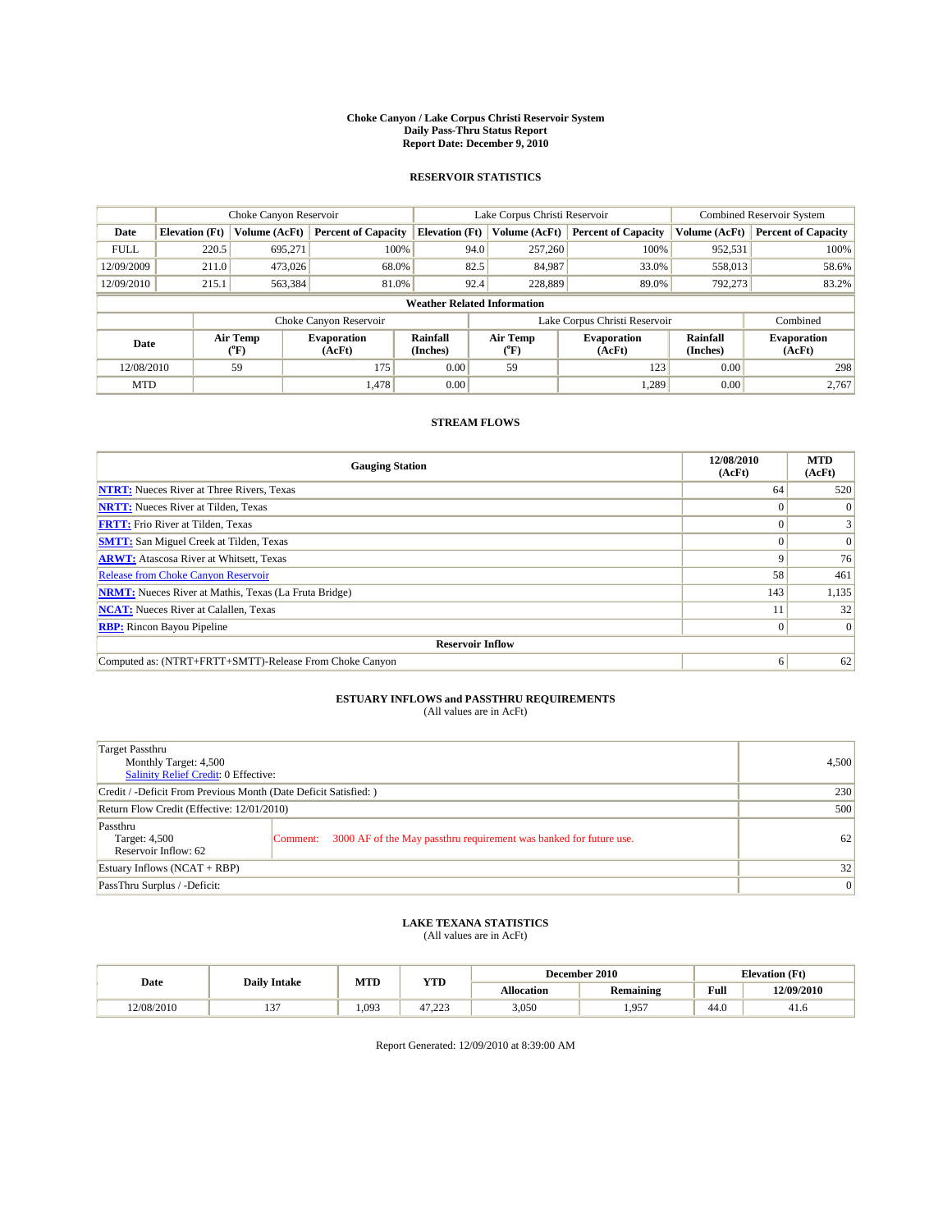#### **Choke Canyon / Lake Corpus Christi Reservoir System Daily Pass-Thru Status Report Report Date: December 9, 2010**

### **RESERVOIR STATISTICS**

|             | Choke Canyon Reservoir             |                          |                              |                       | Lake Corpus Christi Reservoir |                               |                      | <b>Combined Reservoir System</b> |  |
|-------------|------------------------------------|--------------------------|------------------------------|-----------------------|-------------------------------|-------------------------------|----------------------|----------------------------------|--|
| Date        | <b>Elevation</b> (Ft)              | Volume (AcFt)            | <b>Percent of Capacity</b>   | <b>Elevation (Ft)</b> | Volume (AcFt)                 | <b>Percent of Capacity</b>    | Volume (AcFt)        | <b>Percent of Capacity</b>       |  |
| <b>FULL</b> | 220.5                              | 695,271                  | 100%                         | 94.0                  | 257,260                       | 100%                          | 952,531              | 100%                             |  |
| 12/09/2009  | 211.0                              | 473,026                  | 68.0%                        | 82.5                  | 84,987                        | 33.0%                         | 558,013              | 58.6%                            |  |
| 12/09/2010  | 215.1                              | 563,384                  | 81.0%                        | 92.4                  | 228,889                       | 89.0%                         | 792.273              | 83.2%                            |  |
|             | <b>Weather Related Information</b> |                          |                              |                       |                               |                               |                      |                                  |  |
|             |                                    |                          | Choke Canyon Reservoir       |                       |                               | Lake Corpus Christi Reservoir |                      | Combined                         |  |
| Date        |                                    | Air Temp<br>$\rm ^{o}F)$ | <b>Evaporation</b><br>(AcFt) | Rainfall<br>(Inches)  | Air Temp<br>("F)              | <b>Evaporation</b><br>(AcFt)  | Rainfall<br>(Inches) | <b>Evaporation</b><br>(AcFt)     |  |
| 12/08/2010  |                                    | 59                       | 175                          | 0.00                  | 59                            | 123                           | 0.00                 | 298                              |  |
| <b>MTD</b>  |                                    |                          | 1,478                        | 0.00                  |                               | 1,289                         | 0.00                 | 2,767                            |  |

## **STREAM FLOWS**

| <b>Gauging Station</b>                                       | 12/08/2010<br>(AcFt) | <b>MTD</b><br>(AcFt) |  |  |  |  |
|--------------------------------------------------------------|----------------------|----------------------|--|--|--|--|
| <b>NTRT:</b> Nueces River at Three Rivers, Texas             | 64                   | 520                  |  |  |  |  |
| <b>NRTT:</b> Nueces River at Tilden, Texas                   |                      |                      |  |  |  |  |
| <b>FRTT:</b> Frio River at Tilden, Texas                     |                      |                      |  |  |  |  |
| <b>SMTT:</b> San Miguel Creek at Tilden, Texas               |                      | $\Omega$             |  |  |  |  |
| <b>ARWT:</b> Atascosa River at Whitsett, Texas               | 9                    | 76                   |  |  |  |  |
| <b>Release from Choke Canyon Reservoir</b>                   | 58                   | 461                  |  |  |  |  |
| <b>NRMT:</b> Nueces River at Mathis, Texas (La Fruta Bridge) | 143                  | 1,135                |  |  |  |  |
| <b>NCAT:</b> Nueces River at Calallen, Texas                 |                      | 32                   |  |  |  |  |
| <b>RBP:</b> Rincon Bayou Pipeline                            | $\overline{0}$       | $\Omega$             |  |  |  |  |
| <b>Reservoir Inflow</b>                                      |                      |                      |  |  |  |  |
| Computed as: (NTRT+FRTT+SMTT)-Release From Choke Canyon      | 6                    | 62                   |  |  |  |  |

# **ESTUARY INFLOWS and PASSTHRU REQUIREMENTS**<br>(All values are in AcFt)

| Target Passthru<br>Monthly Target: 4,500<br><b>Salinity Relief Credit: 0 Effective:</b> |                                                                                | 4,500 |
|-----------------------------------------------------------------------------------------|--------------------------------------------------------------------------------|-------|
| Credit / -Deficit From Previous Month (Date Deficit Satisfied: )                        | 230                                                                            |       |
| Return Flow Credit (Effective: 12/01/2010)                                              | 500                                                                            |       |
| Passthru<br>Target: 4,500<br>Reservoir Inflow: 62                                       | 3000 AF of the May passthru requirement was banked for future use.<br>Comment: | 62    |
| Estuary Inflows $(NCAT + RBP)$                                                          | 32                                                                             |       |
| PassThru Surplus / -Deficit:                                                            | $\vert 0 \vert$                                                                |       |

## **LAKE TEXANA STATISTICS** (All values are in AcFt)

|            |                     | MTD   | <b>YTD</b> | <b>Elevation</b> (Ft)<br>December 2010 |           |      |            |
|------------|---------------------|-------|------------|----------------------------------------|-----------|------|------------|
| Date       | <b>Daily Intake</b> |       |            | Allocation                             | Remaining | Full | 12/09/2010 |
| 12/08/2010 | $\sim$<br>…         | 1,093 | 47,22.     | 3,050                                  | 957<br>.  | 44.0 | 41.0       |

Report Generated: 12/09/2010 at 8:39:00 AM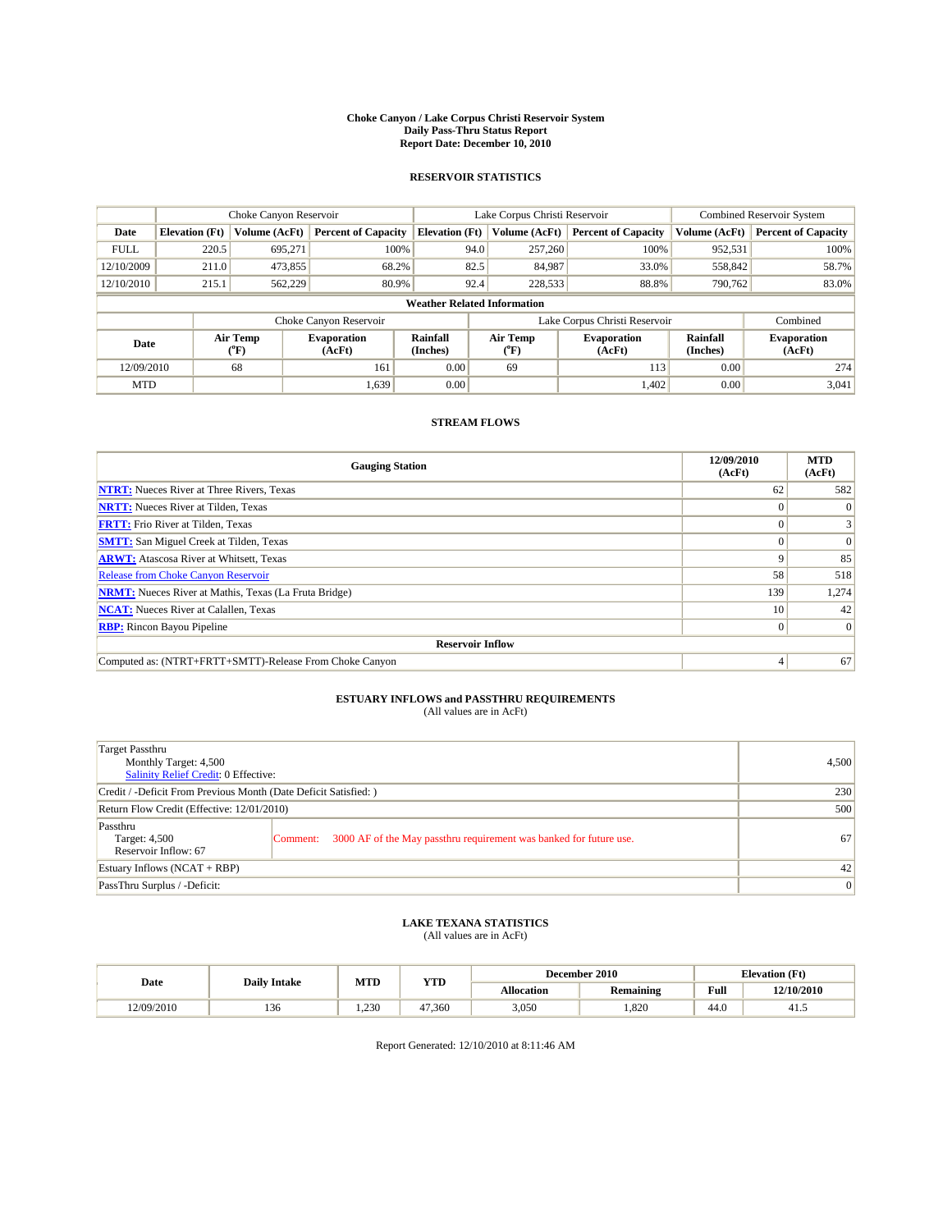#### **Choke Canyon / Lake Corpus Christi Reservoir System Daily Pass-Thru Status Report Report Date: December 10, 2010**

### **RESERVOIR STATISTICS**

|             | Choke Canyon Reservoir             |                  |                              |                             | Lake Corpus Christi Reservoir | <b>Combined Reservoir System</b> |                      |                              |  |  |
|-------------|------------------------------------|------------------|------------------------------|-----------------------------|-------------------------------|----------------------------------|----------------------|------------------------------|--|--|
| Date        | <b>Elevation</b> (Ft)              | Volume (AcFt)    | <b>Percent of Capacity</b>   | <b>Elevation</b> (Ft)       | Volume (AcFt)                 | <b>Percent of Capacity</b>       | Volume (AcFt)        | <b>Percent of Capacity</b>   |  |  |
| <b>FULL</b> | 220.5                              | 695,271          | 100%                         | 94.0                        | 257,260                       | 100%                             | 952,531              | 100%                         |  |  |
| 12/10/2009  | 211.0                              | 473,855          | 68.2%                        | 82.5                        | 84,987                        | 33.0%                            | 558,842              | 58.7%                        |  |  |
| 12/10/2010  | 215.1                              | 562,229          | 80.9%                        | 92.4                        | 228,533                       | 88.8%                            | 790,762              | 83.0%                        |  |  |
|             | <b>Weather Related Information</b> |                  |                              |                             |                               |                                  |                      |                              |  |  |
|             |                                    |                  | Choke Canyon Reservoir       |                             |                               | Lake Corpus Christi Reservoir    |                      | Combined                     |  |  |
| Date        |                                    | Air Temp<br>(°F) | <b>Evaporation</b><br>(AcFt) | <b>Rainfall</b><br>(Inches) | Air Temp<br>(°F)              | <b>Evaporation</b><br>(AcFt)     | Rainfall<br>(Inches) | <b>Evaporation</b><br>(AcFt) |  |  |
| 12/09/2010  |                                    | 68               | 161                          | 0.00                        | 69                            | 113                              | 0.00                 | 274                          |  |  |
| <b>MTD</b>  |                                    |                  | 1,639                        | 0.00                        |                               | 1,402                            | 0.00                 | 3,041                        |  |  |

## **STREAM FLOWS**

| <b>Gauging Station</b>                                       | 12/09/2010<br>(AcFt) | <b>MTD</b><br>(AcFt) |
|--------------------------------------------------------------|----------------------|----------------------|
| <b>NTRT:</b> Nueces River at Three Rivers, Texas             | 62                   | 582                  |
| <b>NRTT:</b> Nueces River at Tilden, Texas                   |                      |                      |
| <b>FRTT:</b> Frio River at Tilden, Texas                     |                      |                      |
| <b>SMTT:</b> San Miguel Creek at Tilden, Texas               |                      | $\Omega$             |
| <b>ARWT:</b> Atascosa River at Whitsett, Texas               | 9                    | 85                   |
| <b>Release from Choke Canyon Reservoir</b>                   | 58                   | 518                  |
| <b>NRMT:</b> Nueces River at Mathis, Texas (La Fruta Bridge) | 139                  | 1,274                |
| <b>NCAT:</b> Nueces River at Calallen, Texas                 | 10 <sup>1</sup>      | 42                   |
| <b>RBP:</b> Rincon Bayou Pipeline                            | $\overline{0}$       | $\Omega$             |
| <b>Reservoir Inflow</b>                                      |                      |                      |
| Computed as: (NTRT+FRTT+SMTT)-Release From Choke Canyon      | 4                    | 67                   |

# **ESTUARY INFLOWS and PASSTHRU REQUIREMENTS**<br>(All values are in AcFt)

| <b>Target Passthru</b><br>Monthly Target: 4,500<br><b>Salinity Relief Credit: 0 Effective:</b> |                                                                                | 4,500           |
|------------------------------------------------------------------------------------------------|--------------------------------------------------------------------------------|-----------------|
| Credit / -Deficit From Previous Month (Date Deficit Satisfied: )                               |                                                                                | 230             |
| Return Flow Credit (Effective: 12/01/2010)                                                     | 500                                                                            |                 |
| Passthru<br>Target: 4,500<br>Reservoir Inflow: 67                                              | 3000 AF of the May passthru requirement was banked for future use.<br>Comment: | 67              |
| Estuary Inflows $(NCAT + RBP)$                                                                 |                                                                                | 42              |
| PassThru Surplus / -Deficit:                                                                   |                                                                                | $\vert 0 \vert$ |

# **LAKE TEXANA STATISTICS** (All values are in AcFt)

|            | <b>Daily Intake</b> | MTD  | YTD    |            | December 2010 |      | <b>Elevation</b> (Ft) |
|------------|---------------------|------|--------|------------|---------------|------|-----------------------|
| Date       |                     |      |        | Allocation | Remaining     | Full | 12/10/2010            |
| 12/09/2010 | 136                 | .230 | 47.360 | 3,050      | .820          | 44.0 | 41.                   |

Report Generated: 12/10/2010 at 8:11:46 AM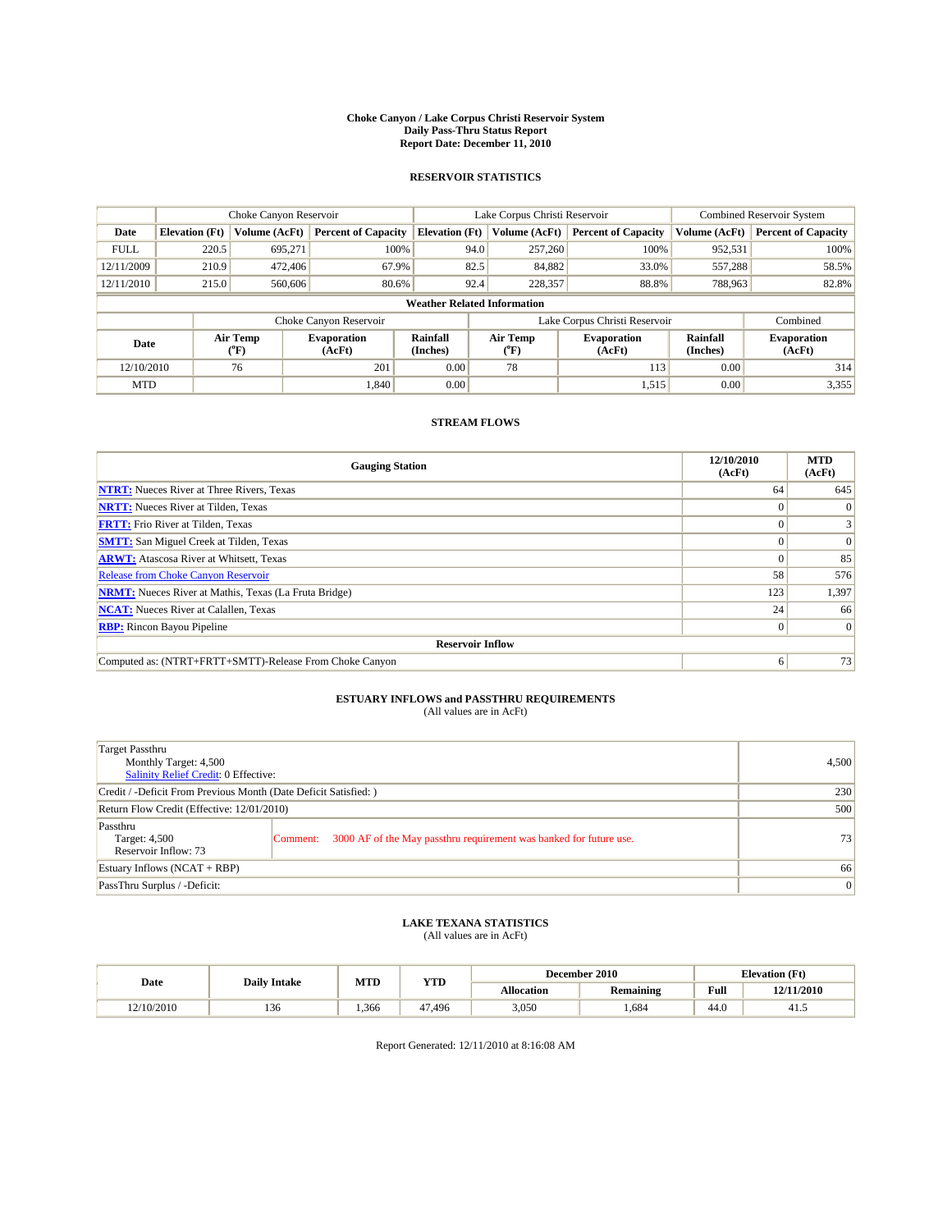#### **Choke Canyon / Lake Corpus Christi Reservoir System Daily Pass-Thru Status Report Report Date: December 11, 2010**

### **RESERVOIR STATISTICS**

|             | Choke Canyon Reservoir             |                  |                              |                             | Lake Corpus Christi Reservoir | <b>Combined Reservoir System</b> |                      |                              |  |  |
|-------------|------------------------------------|------------------|------------------------------|-----------------------------|-------------------------------|----------------------------------|----------------------|------------------------------|--|--|
| Date        | <b>Elevation</b> (Ft)              | Volume (AcFt)    | <b>Percent of Capacity</b>   | <b>Elevation (Ft)</b>       | Volume (AcFt)                 | <b>Percent of Capacity</b>       | Volume (AcFt)        | <b>Percent of Capacity</b>   |  |  |
| <b>FULL</b> | 220.5                              | 695,271          | 100%                         | 94.0                        | 257,260                       | 100%                             | 952,531              | 100%                         |  |  |
| 12/11/2009  | 210.9                              | 472,406          | 67.9%                        | 82.5                        | 84,882                        | 33.0%                            | 557,288              | 58.5%                        |  |  |
| 12/11/2010  | 215.0                              | 560,606          | 80.6%                        | 92.4                        | 228,357                       | 88.8%                            | 788,963              | 82.8%                        |  |  |
|             | <b>Weather Related Information</b> |                  |                              |                             |                               |                                  |                      |                              |  |  |
|             |                                    |                  | Choke Canyon Reservoir       |                             |                               | Lake Corpus Christi Reservoir    |                      | Combined                     |  |  |
| Date        |                                    | Air Temp<br>(°F) | <b>Evaporation</b><br>(AcFt) | <b>Rainfall</b><br>(Inches) | Air Temp<br>(°F)              | <b>Evaporation</b><br>(AcFt)     | Rainfall<br>(Inches) | <b>Evaporation</b><br>(AcFt) |  |  |
| 12/10/2010  |                                    | 76               | 201                          | 0.00                        | 78                            | 113                              | 0.00                 | 314                          |  |  |
| <b>MTD</b>  |                                    |                  | 1.840                        | 0.00                        |                               | 1,515                            | 0.00                 | 3,355                        |  |  |

## **STREAM FLOWS**

| <b>Gauging Station</b>                                       | 12/10/2010<br>(AcFt) | <b>MTD</b><br>(AcFt) |
|--------------------------------------------------------------|----------------------|----------------------|
| <b>NTRT:</b> Nueces River at Three Rivers, Texas             | 64                   | 645                  |
| <b>NRTT:</b> Nueces River at Tilden, Texas                   | $\theta$             |                      |
| <b>FRTT:</b> Frio River at Tilden, Texas                     |                      |                      |
| <b>SMTT:</b> San Miguel Creek at Tilden, Texas               |                      | $\Omega$             |
| <b>ARWT:</b> Atascosa River at Whitsett, Texas               | $\theta$             | 85                   |
| <b>Release from Choke Canyon Reservoir</b>                   | 58                   | 576                  |
| <b>NRMT:</b> Nueces River at Mathis, Texas (La Fruta Bridge) | 123                  | 1,397                |
| <b>NCAT:</b> Nueces River at Calallen, Texas                 | 24                   | 66                   |
| <b>RBP:</b> Rincon Bayou Pipeline                            | $\overline{0}$       | $\Omega$             |
| <b>Reservoir Inflow</b>                                      |                      |                      |
| Computed as: (NTRT+FRTT+SMTT)-Release From Choke Canyon      | 6                    | 73                   |

# **ESTUARY INFLOWS and PASSTHRU REQUIREMENTS**<br>(All values are in AcFt)

| <b>Target Passthru</b><br>Monthly Target: 4,500<br><b>Salinity Relief Credit: 0 Effective:</b> |                                                                                | 4,500           |
|------------------------------------------------------------------------------------------------|--------------------------------------------------------------------------------|-----------------|
| Credit / -Deficit From Previous Month (Date Deficit Satisfied: )                               |                                                                                | 230             |
| Return Flow Credit (Effective: 12/01/2010)                                                     | 500                                                                            |                 |
| Passthru<br>Target: 4,500<br>Reservoir Inflow: 73                                              | 3000 AF of the May passthru requirement was banked for future use.<br>Comment: | 73              |
| Estuary Inflows $(NCAT + RBP)$                                                                 |                                                                                | 66              |
| PassThru Surplus / -Deficit:                                                                   |                                                                                | $\vert 0 \vert$ |

# **LAKE TEXANA STATISTICS** (All values are in AcFt)

|            | <b>Daily Intake</b> | MTD  | YTD    |                   | December 2010    | <b>Elevation</b> (Ft) |            |
|------------|---------------------|------|--------|-------------------|------------------|-----------------------|------------|
| Date       |                     |      |        | <b>Allocation</b> | <b>Remaining</b> | Full                  | 12/11/2010 |
| 12/10/2010 | 136                 | .366 | 47.496 | 3,050             | .684             | 44.0                  | 41.5       |

Report Generated: 12/11/2010 at 8:16:08 AM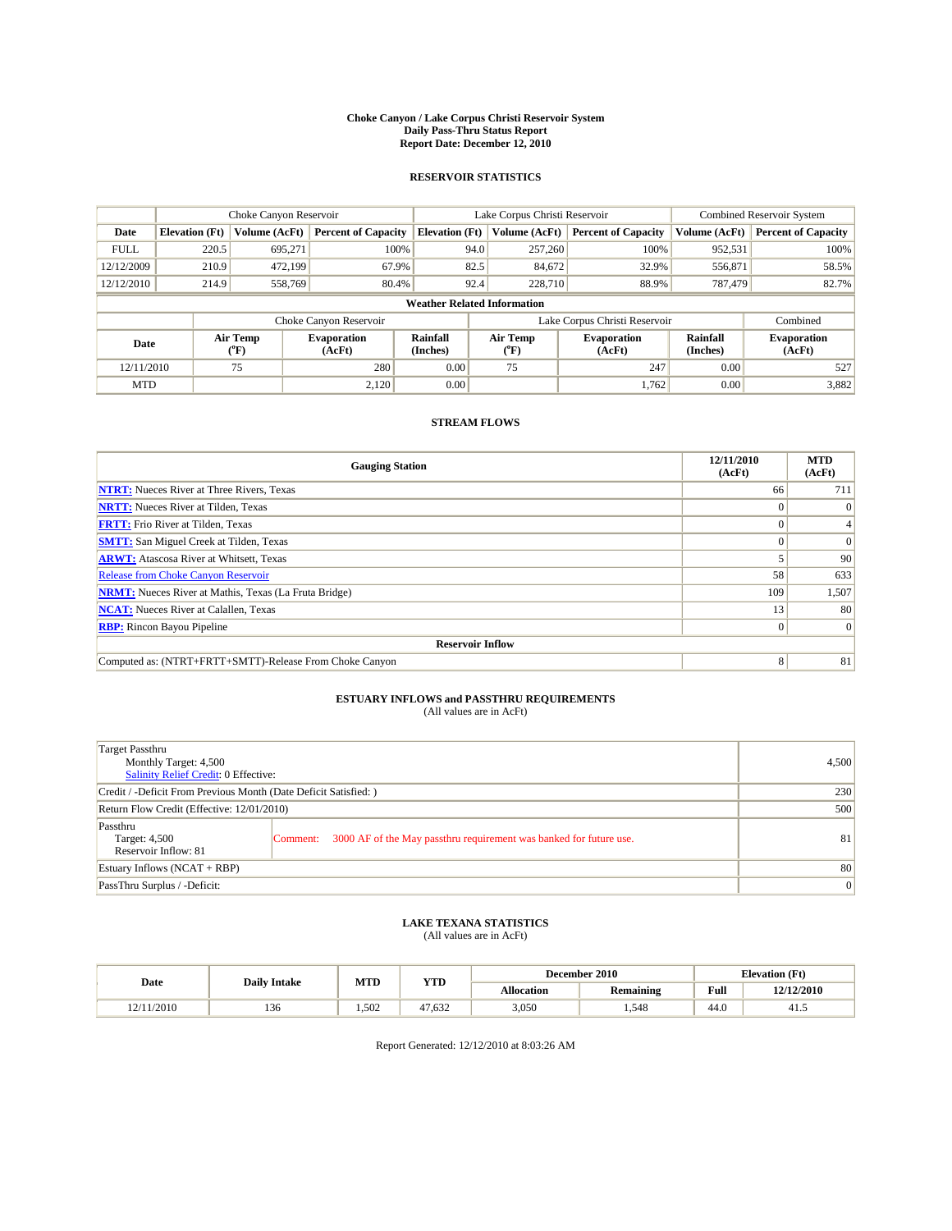#### **Choke Canyon / Lake Corpus Christi Reservoir System Daily Pass-Thru Status Report Report Date: December 12, 2010**

### **RESERVOIR STATISTICS**

|             | Choke Canyon Reservoir             |                  |                              |                       | Lake Corpus Christi Reservoir | <b>Combined Reservoir System</b> |                      |                              |  |  |
|-------------|------------------------------------|------------------|------------------------------|-----------------------|-------------------------------|----------------------------------|----------------------|------------------------------|--|--|
| Date        | <b>Elevation</b> (Ft)              | Volume (AcFt)    | <b>Percent of Capacity</b>   | <b>Elevation (Ft)</b> | Volume (AcFt)                 | <b>Percent of Capacity</b>       | Volume (AcFt)        | <b>Percent of Capacity</b>   |  |  |
| <b>FULL</b> | 220.5                              | 695,271          | 100%                         | 94.0                  | 257,260                       | 100%                             | 952,531              | 100%                         |  |  |
| 12/12/2009  | 210.9                              | 472,199          | 67.9%                        | 82.5                  | 84,672                        | 32.9%                            | 556,871              | 58.5%                        |  |  |
| 12/12/2010  | 214.9                              | 558,769          | 80.4%                        | 92.4                  | 228,710                       | 88.9%                            | 787,479              | 82.7%                        |  |  |
|             | <b>Weather Related Information</b> |                  |                              |                       |                               |                                  |                      |                              |  |  |
|             |                                    |                  | Choke Canyon Reservoir       |                       |                               | Lake Corpus Christi Reservoir    |                      | Combined                     |  |  |
| Date        |                                    | Air Temp<br>(°F) | <b>Evaporation</b><br>(AcFt) | Rainfall<br>(Inches)  | Air Temp<br>("F)              | <b>Evaporation</b><br>(AcFt)     | Rainfall<br>(Inches) | <b>Evaporation</b><br>(AcFt) |  |  |
| 12/11/2010  |                                    | 75               | 280                          | 0.00                  | 75                            | 247                              | 0.00                 | 527                          |  |  |
| <b>MTD</b>  |                                    |                  | 2.120                        | 0.00                  |                               | 1,762                            | 0.00                 | 3,882                        |  |  |

## **STREAM FLOWS**

| <b>Gauging Station</b>                                       | 12/11/2010<br>(AcFt) | <b>MTD</b><br>(AcFt) |
|--------------------------------------------------------------|----------------------|----------------------|
| <b>NTRT:</b> Nueces River at Three Rivers, Texas             | 66                   | 711                  |
| <b>NRTT:</b> Nueces River at Tilden, Texas                   |                      |                      |
| <b>FRTT:</b> Frio River at Tilden, Texas                     |                      |                      |
| <b>SMTT:</b> San Miguel Creek at Tilden, Texas               |                      | $\Omega$             |
| <b>ARWT:</b> Atascosa River at Whitsett, Texas               |                      | 90                   |
| Release from Choke Canyon Reservoir                          | 58                   | 633                  |
| <b>NRMT:</b> Nueces River at Mathis, Texas (La Fruta Bridge) | 109                  | 1,507                |
| <b>NCAT:</b> Nueces River at Calallen, Texas                 | 13 <sup>1</sup>      | 80                   |
| <b>RBP:</b> Rincon Bayou Pipeline                            | $\Omega$             | $\Omega$             |
| <b>Reservoir Inflow</b>                                      |                      |                      |
| Computed as: (NTRT+FRTT+SMTT)-Release From Choke Canyon      | 8                    | 81                   |

# **ESTUARY INFLOWS and PASSTHRU REQUIREMENTS**<br>(All values are in AcFt)

| Target Passthru<br>Monthly Target: 4,500<br>Salinity Relief Credit: 0 Effective: |                                                                                | 4,500 |
|----------------------------------------------------------------------------------|--------------------------------------------------------------------------------|-------|
| Credit / -Deficit From Previous Month (Date Deficit Satisfied: )                 | 230                                                                            |       |
| Return Flow Credit (Effective: 12/01/2010)                                       | 500                                                                            |       |
| Passthru<br>Target: 4,500<br>Reservoir Inflow: 81                                | 3000 AF of the May passthru requirement was banked for future use.<br>Comment: | 81    |
| Estuary Inflows (NCAT + RBP)                                                     |                                                                                | 80    |
| PassThru Surplus / -Deficit:                                                     | $\vert 0 \vert$                                                                |       |

## **LAKE TEXANA STATISTICS** (All values are in AcFt)

|            | <b>Daily Intake</b> | MTD  | <b>YTD</b> |            | December 2010    | <b>Elevation</b> (Ft) |            |
|------------|---------------------|------|------------|------------|------------------|-----------------------|------------|
| Date       |                     |      |            | Allocation | <b>Remaining</b> | Full                  | 12/12/2010 |
| 12/11/2010 | 136                 | .502 | 47.632     | 3,050      | .548             | 44.0                  | 41.5       |

Report Generated: 12/12/2010 at 8:03:26 AM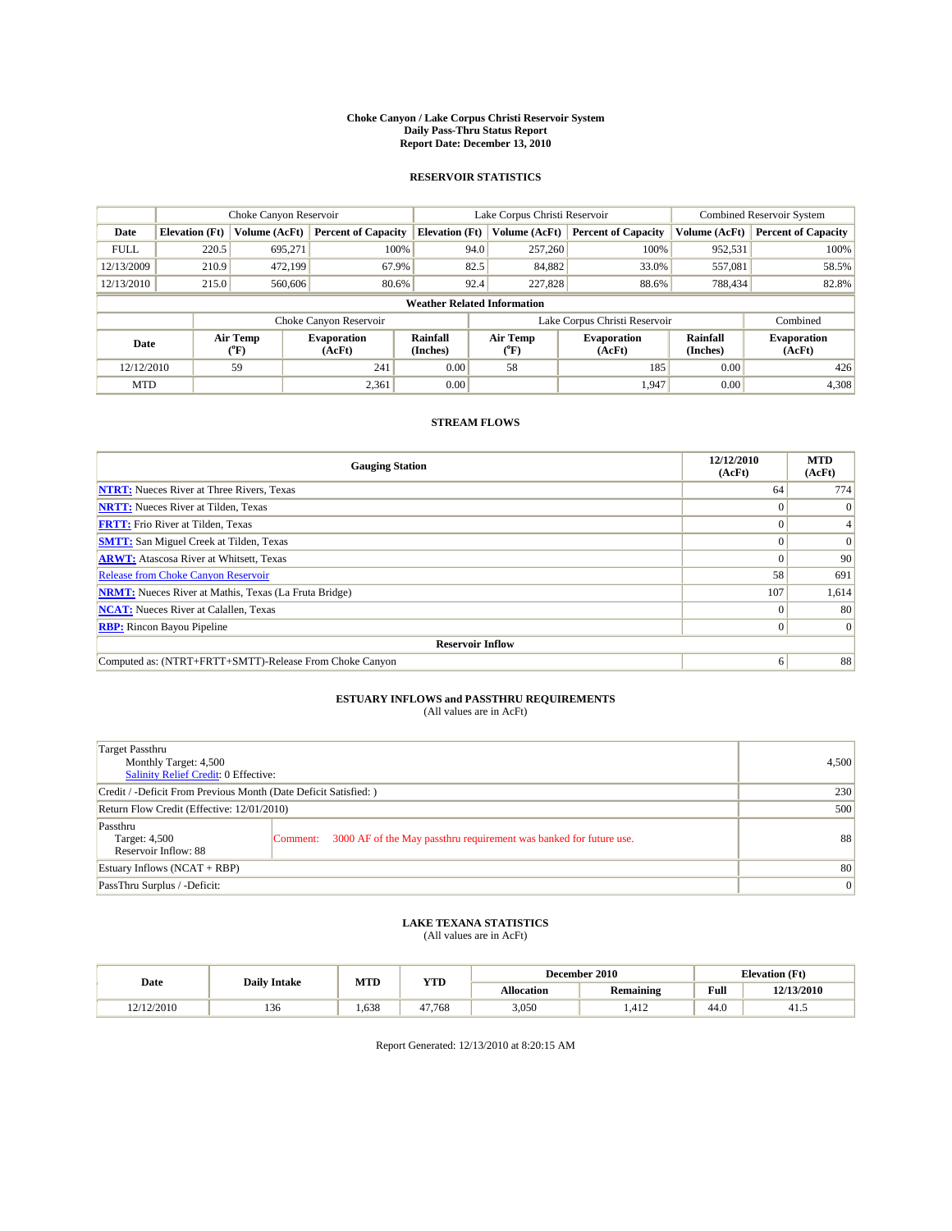#### **Choke Canyon / Lake Corpus Christi Reservoir System Daily Pass-Thru Status Report Report Date: December 13, 2010**

### **RESERVOIR STATISTICS**

|             | Choke Canyon Reservoir             |                  |                              |                       | Lake Corpus Christi Reservoir |                               |                      | <b>Combined Reservoir System</b> |  |  |
|-------------|------------------------------------|------------------|------------------------------|-----------------------|-------------------------------|-------------------------------|----------------------|----------------------------------|--|--|
| Date        | <b>Elevation</b> (Ft)              | Volume (AcFt)    | <b>Percent of Capacity</b>   | <b>Elevation (Ft)</b> | Volume (AcFt)                 | <b>Percent of Capacity</b>    | Volume (AcFt)        | <b>Percent of Capacity</b>       |  |  |
| <b>FULL</b> | 220.5                              | 695,271          | 100%                         | 94.0                  | 257,260                       | 100%                          | 952,531              | 100%                             |  |  |
| 12/13/2009  | 210.9                              | 472,199          | 67.9%                        | 82.5                  | 84,882                        | 33.0%                         | 557,081              | 58.5%                            |  |  |
| 12/13/2010  | 215.0                              | 560,606          | 80.6%                        | 92.4                  | 227,828                       | 88.6%                         | 788,434              | 82.8%                            |  |  |
|             | <b>Weather Related Information</b> |                  |                              |                       |                               |                               |                      |                                  |  |  |
|             |                                    |                  | Choke Canyon Reservoir       |                       |                               | Lake Corpus Christi Reservoir |                      | Combined                         |  |  |
| Date        |                                    | Air Temp<br>(°F) | <b>Evaporation</b><br>(AcFt) | Rainfall<br>(Inches)  | Air Temp<br>("F)              | <b>Evaporation</b><br>(AcFt)  | Rainfall<br>(Inches) | <b>Evaporation</b><br>(AcFt)     |  |  |
| 12/12/2010  |                                    | 59               | 241                          | 0.00                  | 58                            | 185                           | 0.00                 | 426                              |  |  |
| <b>MTD</b>  |                                    |                  | 2,361                        | 0.00                  |                               | 1.947                         | 0.00                 | 4,308                            |  |  |

## **STREAM FLOWS**

| <b>Gauging Station</b>                                       | 12/12/2010<br>(AcFt) | <b>MTD</b><br>(AcFt) |
|--------------------------------------------------------------|----------------------|----------------------|
| <b>NTRT:</b> Nueces River at Three Rivers, Texas             | 64                   | 774                  |
| <b>NRTT:</b> Nueces River at Tilden, Texas                   |                      | $\theta$             |
| <b>FRTT:</b> Frio River at Tilden, Texas                     |                      |                      |
| <b>SMTT:</b> San Miguel Creek at Tilden, Texas               |                      | $\Omega$             |
| <b>ARWT:</b> Atascosa River at Whitsett, Texas               | $\theta$             | 90                   |
| Release from Choke Canyon Reservoir                          | 58                   | 691                  |
| <b>NRMT:</b> Nueces River at Mathis, Texas (La Fruta Bridge) | 107                  | 1,614                |
| <b>NCAT:</b> Nueces River at Calallen, Texas                 | $\Omega$             | 80                   |
| <b>RBP:</b> Rincon Bayou Pipeline                            | $\Omega$             | $\Omega$             |
| <b>Reservoir Inflow</b>                                      |                      |                      |
| Computed as: (NTRT+FRTT+SMTT)-Release From Choke Canyon      | 6                    | 88                   |

# **ESTUARY INFLOWS and PASSTHRU REQUIREMENTS**<br>(All values are in AcFt)

| Target Passthru<br>Monthly Target: 4,500<br>Salinity Relief Credit: 0 Effective: |                                                                                | 4,500 |  |  |  |
|----------------------------------------------------------------------------------|--------------------------------------------------------------------------------|-------|--|--|--|
| Credit / -Deficit From Previous Month (Date Deficit Satisfied: )                 | 230                                                                            |       |  |  |  |
| Return Flow Credit (Effective: 12/01/2010)                                       | 500                                                                            |       |  |  |  |
| Passthru<br>Target: 4,500<br>Reservoir Inflow: 88                                | 3000 AF of the May passthru requirement was banked for future use.<br>Comment: | 88    |  |  |  |
| Estuary Inflows (NCAT + RBP)                                                     | 80                                                                             |       |  |  |  |
| PassThru Surplus / -Deficit:                                                     |                                                                                |       |  |  |  |

## **LAKE TEXANA STATISTICS** (All values are in AcFt)

| Date       | <b>Daily Intake</b> | MTD  | YTD    |            | December 2010    | <b>Elevation</b> (Ft) |            |
|------------|---------------------|------|--------|------------|------------------|-----------------------|------------|
|            |                     |      |        | Allocation | <b>Remaining</b> | Full                  | 12/13/2010 |
| 12/12/2010 | 136                 | .638 | 47,768 | 3,050      | .414             | 44.0                  | 41.J       |

Report Generated: 12/13/2010 at 8:20:15 AM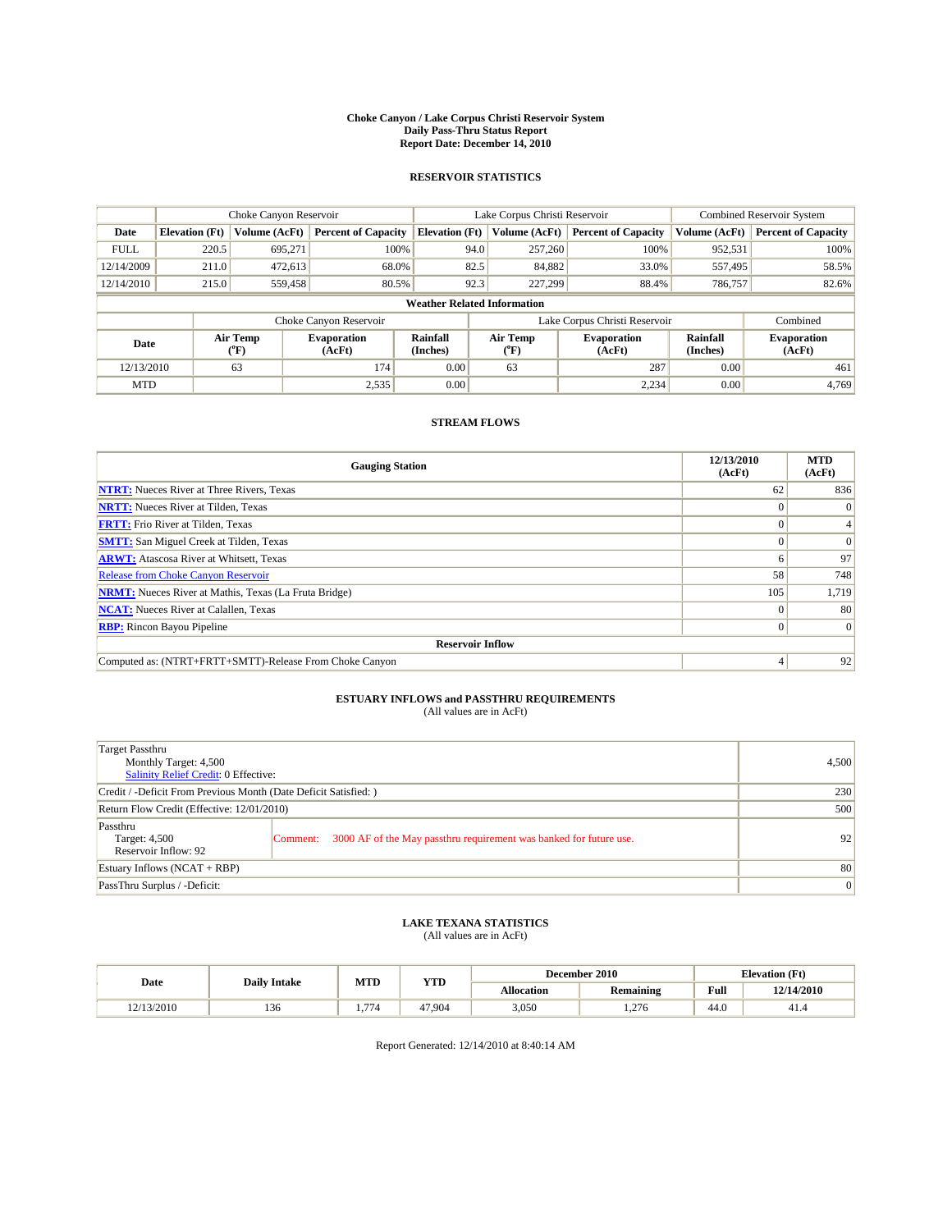#### **Choke Canyon / Lake Corpus Christi Reservoir System Daily Pass-Thru Status Report Report Date: December 14, 2010**

### **RESERVOIR STATISTICS**

|             | Choke Canyon Reservoir             |                  |                              |                       | Lake Corpus Christi Reservoir |                               |                      | <b>Combined Reservoir System</b> |  |  |
|-------------|------------------------------------|------------------|------------------------------|-----------------------|-------------------------------|-------------------------------|----------------------|----------------------------------|--|--|
| Date        | <b>Elevation</b> (Ft)              | Volume (AcFt)    | <b>Percent of Capacity</b>   | <b>Elevation</b> (Ft) | Volume (AcFt)                 | <b>Percent of Capacity</b>    | Volume (AcFt)        | <b>Percent of Capacity</b>       |  |  |
| <b>FULL</b> | 220.5                              | 695,271          | 100%                         | 94.0                  | 257,260                       | 100%                          | 952,531              | 100%                             |  |  |
| 12/14/2009  | 211.0                              | 472,613          | 68.0%                        | 82.5                  | 84,882                        | 33.0%                         | 557,495              | 58.5%                            |  |  |
| 12/14/2010  | 215.0                              | 559,458          | 80.5%                        | 92.3                  | 227,299                       | 88.4%                         | 786,757              | 82.6%                            |  |  |
|             | <b>Weather Related Information</b> |                  |                              |                       |                               |                               |                      |                                  |  |  |
|             |                                    |                  | Choke Canyon Reservoir       |                       |                               | Lake Corpus Christi Reservoir |                      | Combined                         |  |  |
| Date        |                                    | Air Temp<br>(°F) | <b>Evaporation</b><br>(AcFt) | Rainfall<br>(Inches)  | Air Temp<br>("F)              | <b>Evaporation</b><br>(AcFt)  | Rainfall<br>(Inches) | <b>Evaporation</b><br>(AcFt)     |  |  |
| 12/13/2010  |                                    | 63               | 174                          | 0.00                  | 63                            | 287                           | 0.00                 | 461                              |  |  |
| <b>MTD</b>  |                                    |                  | 2,535                        | 0.00                  |                               | 2,234                         | 0.00                 | 4.769                            |  |  |

## **STREAM FLOWS**

| <b>Gauging Station</b>                                       | 12/13/2010<br>(AcFt) | <b>MTD</b><br>(AcFt) |
|--------------------------------------------------------------|----------------------|----------------------|
| <b>NTRT:</b> Nueces River at Three Rivers, Texas             | 62                   | 836                  |
| <b>NRTT:</b> Nueces River at Tilden, Texas                   |                      | $\Omega$             |
| <b>FRTT:</b> Frio River at Tilden, Texas                     |                      |                      |
| <b>SMTT:</b> San Miguel Creek at Tilden, Texas               |                      | $\vert 0 \vert$      |
| <b>ARWT:</b> Atascosa River at Whitsett, Texas               |                      | 97                   |
| <b>Release from Choke Canyon Reservoir</b>                   | 58                   | 748                  |
| <b>NRMT:</b> Nueces River at Mathis, Texas (La Fruta Bridge) | 105                  | 1,719                |
| <b>NCAT:</b> Nueces River at Calallen, Texas                 |                      | 80                   |
| <b>RBP:</b> Rincon Bayou Pipeline                            | 0                    | $\vert 0 \vert$      |
| <b>Reservoir Inflow</b>                                      |                      |                      |
| Computed as: (NTRT+FRTT+SMTT)-Release From Choke Canyon      |                      | 92                   |

# **ESTUARY INFLOWS and PASSTHRU REQUIREMENTS**<br>(All values are in AcFt)

| Target Passthru<br>Monthly Target: 4,500<br><b>Salinity Relief Credit: 0 Effective:</b> |                                                                                | 4,500           |
|-----------------------------------------------------------------------------------------|--------------------------------------------------------------------------------|-----------------|
| Credit / -Deficit From Previous Month (Date Deficit Satisfied: )                        | 230                                                                            |                 |
| Return Flow Credit (Effective: 12/01/2010)                                              | 500                                                                            |                 |
| Passthru<br>Target: 4,500<br>Reservoir Inflow: 92                                       | 3000 AF of the May passthru requirement was banked for future use.<br>Comment: | 92 <sub>1</sub> |
| Estuary Inflows $(NCAT + RBP)$                                                          |                                                                                | 80              |
| PassThru Surplus / -Deficit:                                                            |                                                                                | $\vert 0 \vert$ |

## **LAKE TEXANA STATISTICS** (All values are in AcFt)

|            | <b>Daily Intake</b> | MTD          | <b>YTD</b> |            | December 2010    | <b>Elevation</b> (Ft) |            |
|------------|---------------------|--------------|------------|------------|------------------|-----------------------|------------|
| Date       |                     |              |            | Allocation | <b>Remaining</b> | Full                  | 12/14/2010 |
| 12/13/2010 | 150                 | $- -$<br>٬۱۵ | 47.904     | 3,050      | 1.276            | 44.0                  | 41.4       |

Report Generated: 12/14/2010 at 8:40:14 AM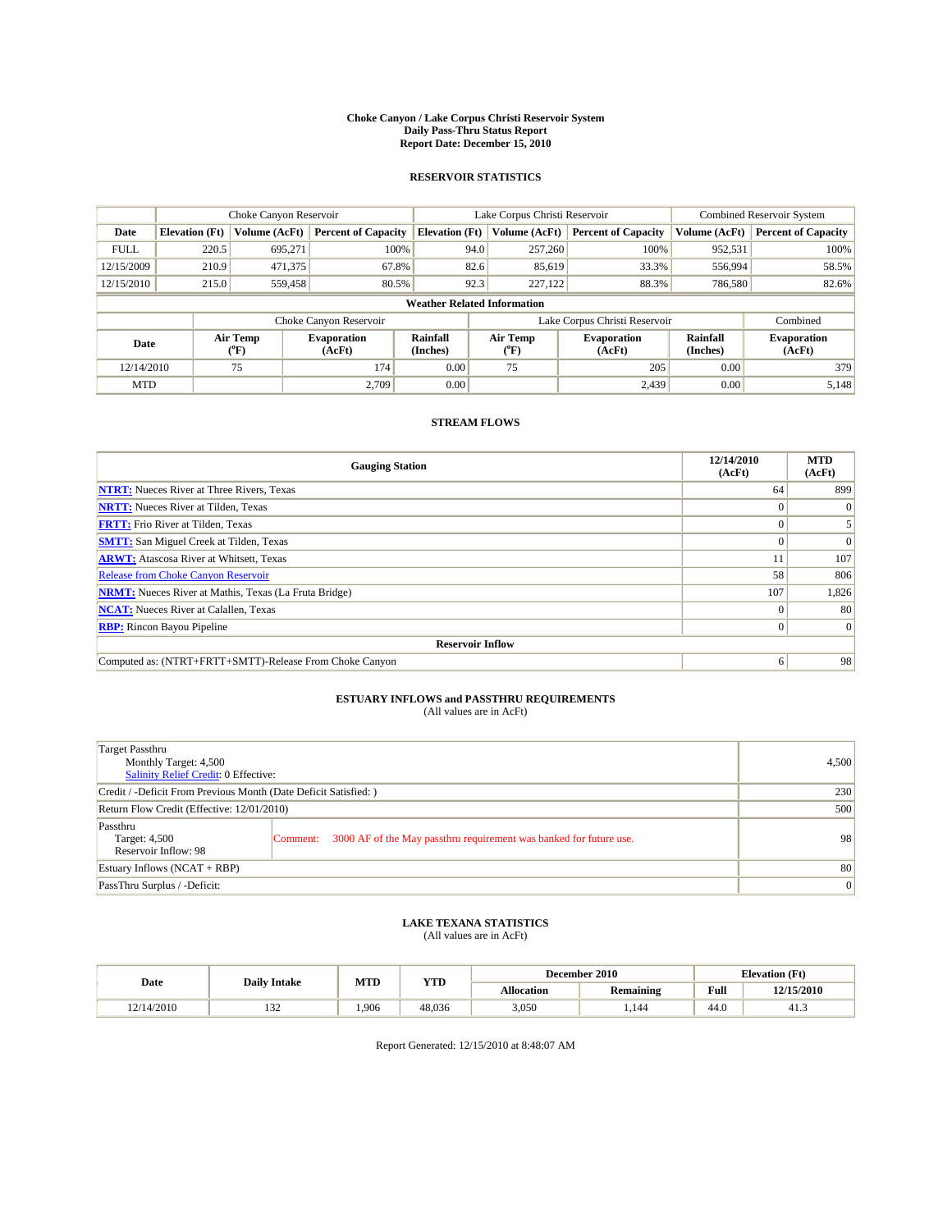#### **Choke Canyon / Lake Corpus Christi Reservoir System Daily Pass-Thru Status Report Report Date: December 15, 2010**

### **RESERVOIR STATISTICS**

|             | Choke Canyon Reservoir             |                  |                              |                       | Lake Corpus Christi Reservoir |                               |                      | <b>Combined Reservoir System</b> |  |  |
|-------------|------------------------------------|------------------|------------------------------|-----------------------|-------------------------------|-------------------------------|----------------------|----------------------------------|--|--|
| Date        | <b>Elevation</b> (Ft)              | Volume (AcFt)    | <b>Percent of Capacity</b>   | <b>Elevation (Ft)</b> | Volume (AcFt)                 | <b>Percent of Capacity</b>    | Volume (AcFt)        | <b>Percent of Capacity</b>       |  |  |
| <b>FULL</b> | 220.5                              | 695,271          | 100%                         | 94.0                  | 257,260                       | 100%                          | 952,531              | 100%                             |  |  |
| 12/15/2009  | 210.9                              | 471,375          | 67.8%                        | 82.6                  | 85,619                        | 33.3%                         | 556,994              | 58.5%                            |  |  |
| 12/15/2010  | 215.0                              | 559,458          | 80.5%                        | 92.3                  | 227,122                       | 88.3%                         | 786,580              | 82.6%                            |  |  |
|             | <b>Weather Related Information</b> |                  |                              |                       |                               |                               |                      |                                  |  |  |
|             |                                    |                  | Choke Canyon Reservoir       |                       |                               | Lake Corpus Christi Reservoir |                      | Combined                         |  |  |
| Date        |                                    | Air Temp<br>(°F) | <b>Evaporation</b><br>(AcFt) | Rainfall<br>(Inches)  | Air Temp<br>("F)              | <b>Evaporation</b><br>(AcFt)  | Rainfall<br>(Inches) | <b>Evaporation</b><br>(AcFt)     |  |  |
| 12/14/2010  |                                    | 75               | 174                          | 0.00                  | 75                            | 205                           | 0.00                 | 379                              |  |  |
| <b>MTD</b>  |                                    |                  | 2.709                        | 0.00                  |                               | 2.439                         | 0.00                 | 5,148                            |  |  |

## **STREAM FLOWS**

| <b>Gauging Station</b>                                       | 12/14/2010<br>(AcFt) | <b>MTD</b><br>(AcFt) |
|--------------------------------------------------------------|----------------------|----------------------|
| <b>NTRT:</b> Nueces River at Three Rivers, Texas             | 64                   | 899                  |
| <b>NRTT:</b> Nueces River at Tilden, Texas                   | $\theta$             |                      |
| <b>FRTT:</b> Frio River at Tilden, Texas                     |                      |                      |
| <b>SMTT:</b> San Miguel Creek at Tilden, Texas               |                      | $\Omega$             |
| <b>ARWT:</b> Atascosa River at Whitsett, Texas               |                      | 107                  |
| <b>Release from Choke Canyon Reservoir</b>                   | 58                   | 806                  |
| <b>NRMT:</b> Nueces River at Mathis, Texas (La Fruta Bridge) | 107                  | 1,826                |
| <b>NCAT:</b> Nueces River at Calallen, Texas                 | $\theta$             | 80                   |
| <b>RBP:</b> Rincon Bayou Pipeline                            | $\Omega$             | $\Omega$             |
| <b>Reservoir Inflow</b>                                      |                      |                      |
| Computed as: (NTRT+FRTT+SMTT)-Release From Choke Canyon      | 6                    | 98                   |

# **ESTUARY INFLOWS and PASSTHRU REQUIREMENTS**<br>(All values are in AcFt)

| Target Passthru<br>Monthly Target: 4,500<br>Salinity Relief Credit: 0 Effective: |                                                                                | 4,500 |
|----------------------------------------------------------------------------------|--------------------------------------------------------------------------------|-------|
| Credit / -Deficit From Previous Month (Date Deficit Satisfied: )                 | 230                                                                            |       |
| Return Flow Credit (Effective: 12/01/2010)                                       | 500                                                                            |       |
| Passthru<br>Target: 4,500<br>Reservoir Inflow: 98                                | 3000 AF of the May passthru requirement was banked for future use.<br>Comment: | 98    |
| Estuary Inflows (NCAT + RBP)                                                     |                                                                                | 80    |
| PassThru Surplus / -Deficit:                                                     | $\vert 0 \vert$                                                                |       |

# **LAKE TEXANA STATISTICS** (All values are in AcFt)

|            | <b>Daily Intake</b> |      | MTD<br><b>YTD</b> | December 2010 |                  | <b>Elevation</b> (Ft)                       |            |
|------------|---------------------|------|-------------------|---------------|------------------|---------------------------------------------|------------|
| Date       |                     |      |                   | Allocation    | <b>Remaining</b> | Full<br>the contract of the contract of the | 12/15/2010 |
| 12/14/2010 | $\sim$<br>1.JZ      | .906 | 48.036            | 3,050         | .144             | 44.0                                        | 41.3       |

Report Generated: 12/15/2010 at 8:48:07 AM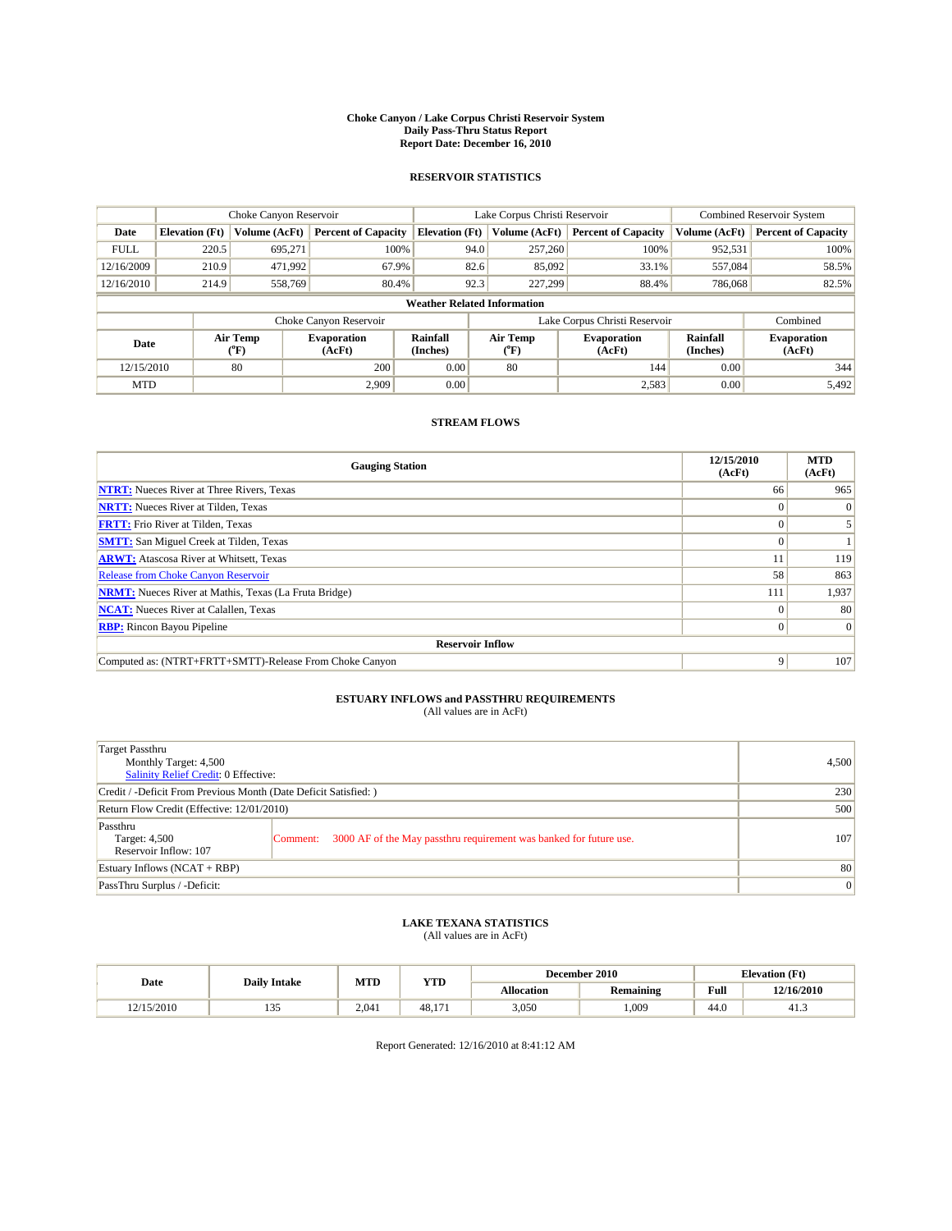#### **Choke Canyon / Lake Corpus Christi Reservoir System Daily Pass-Thru Status Report Report Date: December 16, 2010**

### **RESERVOIR STATISTICS**

|             | Choke Canyon Reservoir             |                  |                              |                             | Lake Corpus Christi Reservoir |                               |                      | <b>Combined Reservoir System</b> |  |
|-------------|------------------------------------|------------------|------------------------------|-----------------------------|-------------------------------|-------------------------------|----------------------|----------------------------------|--|
| Date        | <b>Elevation</b> (Ft)              | Volume (AcFt)    | <b>Percent of Capacity</b>   | <b>Elevation</b> (Ft)       | Volume (AcFt)                 | <b>Percent of Capacity</b>    | Volume (AcFt)        | <b>Percent of Capacity</b>       |  |
| <b>FULL</b> | 220.5                              | 695,271          | 100%                         | 94.0                        | 257,260                       | 100%                          | 952,531              | 100%                             |  |
| 12/16/2009  | 210.9                              | 471,992          | 67.9%                        | 82.6                        | 85,092                        | 33.1%                         | 557,084              | 58.5%                            |  |
| 12/16/2010  | 214.9                              | 558,769          | 80.4%                        | 92.3                        | 227,299                       | 88.4%                         | 786,068              | 82.5%                            |  |
|             | <b>Weather Related Information</b> |                  |                              |                             |                               |                               |                      |                                  |  |
|             |                                    |                  | Choke Canyon Reservoir       |                             |                               | Lake Corpus Christi Reservoir |                      | Combined                         |  |
| Date        |                                    | Air Temp<br>(°F) | <b>Evaporation</b><br>(AcFt) | <b>Rainfall</b><br>(Inches) | Air Temp<br>(°F)              | <b>Evaporation</b><br>(AcFt)  | Rainfall<br>(Inches) | <b>Evaporation</b><br>(AcFt)     |  |
| 12/15/2010  |                                    | 80               | 200                          | 0.00                        | 80                            | 144                           | 0.00                 | 344                              |  |
| <b>MTD</b>  |                                    |                  | 2.909                        | 0.00                        |                               | 2,583                         | 0.00                 | 5,492                            |  |

## **STREAM FLOWS**

| <b>Gauging Station</b>                                       | 12/15/2010<br>(AcFt) | <b>MTD</b><br>(AcFt) |  |  |  |  |
|--------------------------------------------------------------|----------------------|----------------------|--|--|--|--|
| <b>NTRT:</b> Nueces River at Three Rivers, Texas             | 66                   | 965                  |  |  |  |  |
| <b>NRTT:</b> Nueces River at Tilden, Texas                   |                      |                      |  |  |  |  |
| <b>FRTT:</b> Frio River at Tilden, Texas                     |                      |                      |  |  |  |  |
| <b>SMTT:</b> San Miguel Creek at Tilden, Texas               |                      |                      |  |  |  |  |
| <b>ARWT:</b> Atascosa River at Whitsett, Texas               |                      | 119                  |  |  |  |  |
| Release from Choke Canyon Reservoir                          | 58                   | 863                  |  |  |  |  |
| <b>NRMT:</b> Nueces River at Mathis, Texas (La Fruta Bridge) | 111                  | 1,937                |  |  |  |  |
| <b>NCAT:</b> Nueces River at Calallen, Texas                 | $\Omega$             | 80                   |  |  |  |  |
| <b>RBP:</b> Rincon Bayou Pipeline                            | $\Omega$             | $\Omega$             |  |  |  |  |
| <b>Reservoir Inflow</b>                                      |                      |                      |  |  |  |  |
| Computed as: (NTRT+FRTT+SMTT)-Release From Choke Canyon      | 9                    | 107                  |  |  |  |  |

# **ESTUARY INFLOWS and PASSTHRU REQUIREMENTS**<br>(All values are in AcFt)

| Target Passthru<br>Monthly Target: 4,500<br>Salinity Relief Credit: 0 Effective: | 4,500                                                                          |     |
|----------------------------------------------------------------------------------|--------------------------------------------------------------------------------|-----|
| Credit / -Deficit From Previous Month (Date Deficit Satisfied: )                 | 230                                                                            |     |
| Return Flow Credit (Effective: 12/01/2010)                                       | 500                                                                            |     |
| Passthru<br>Target: 4,500<br>Reservoir Inflow: 107                               | 3000 AF of the May passthru requirement was banked for future use.<br>Comment: | 107 |
| Estuary Inflows (NCAT + RBP)                                                     | 80                                                                             |     |
| PassThru Surplus / -Deficit:                                                     | 0                                                                              |     |

## **LAKE TEXANA STATISTICS** (All values are in AcFt)

|            |                     | MTD   | <b>YTD</b> | December 2010<br><b>Elevation</b> (Ft) |           |                                             |            |
|------------|---------------------|-------|------------|----------------------------------------|-----------|---------------------------------------------|------------|
| Date       | <b>Daily Intake</b> |       |            | Allocation                             | Remaining | Full<br>the contract of the contract of the | 12/16/2010 |
| 12/15/2010 | $\sim$<br>1 J J     | 2.041 | 48.17.     | 3,050                                  | .009      | 44.0                                        | 41.3       |

Report Generated: 12/16/2010 at 8:41:12 AM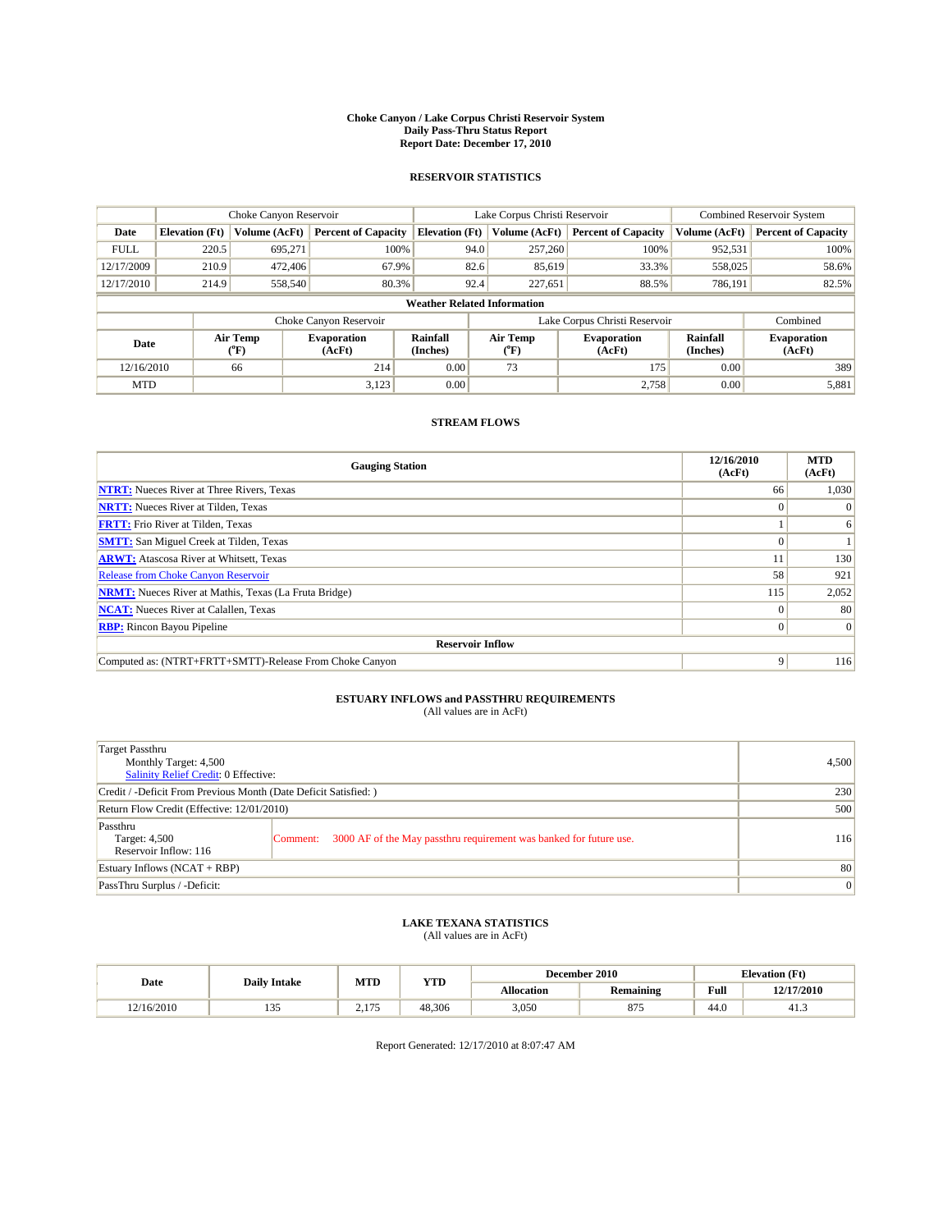#### **Choke Canyon / Lake Corpus Christi Reservoir System Daily Pass-Thru Status Report Report Date: December 17, 2010**

### **RESERVOIR STATISTICS**

|             | Choke Canyon Reservoir             |                  |                              |                             | Lake Corpus Christi Reservoir | <b>Combined Reservoir System</b> |                      |                              |  |  |
|-------------|------------------------------------|------------------|------------------------------|-----------------------------|-------------------------------|----------------------------------|----------------------|------------------------------|--|--|
| Date        | <b>Elevation</b> (Ft)              | Volume (AcFt)    | <b>Percent of Capacity</b>   | <b>Elevation</b> (Ft)       | Volume (AcFt)                 | <b>Percent of Capacity</b>       | Volume (AcFt)        | <b>Percent of Capacity</b>   |  |  |
| <b>FULL</b> | 220.5                              | 695,271          | 100%                         | 94.0                        | 257,260                       | 100%                             | 952,531              | 100%                         |  |  |
| 12/17/2009  | 210.9                              | 472,406          | 67.9%                        | 82.6                        | 85,619                        | 33.3%                            | 558,025              | 58.6%                        |  |  |
| 12/17/2010  | 214.9                              | 558,540          | 80.3%                        | 92.4                        | 227,651                       | 88.5%                            | 786,191              | 82.5%                        |  |  |
|             | <b>Weather Related Information</b> |                  |                              |                             |                               |                                  |                      |                              |  |  |
|             |                                    |                  | Choke Canyon Reservoir       |                             |                               | Lake Corpus Christi Reservoir    |                      | Combined                     |  |  |
| Date        |                                    | Air Temp<br>(°F) | <b>Evaporation</b><br>(AcFt) | <b>Rainfall</b><br>(Inches) | Air Temp<br>(°F)              | <b>Evaporation</b><br>(AcFt)     | Rainfall<br>(Inches) | <b>Evaporation</b><br>(AcFt) |  |  |
| 12/16/2010  |                                    | 66               | 214                          | 0.00                        | 73                            | 175                              | 0.00                 | 389                          |  |  |
| <b>MTD</b>  |                                    |                  | 3,123                        | 0.00                        |                               | 2.758                            | 0.00                 | 5,881                        |  |  |

## **STREAM FLOWS**

| <b>Gauging Station</b>                                       | 12/16/2010<br>(AcFt) | <b>MTD</b><br>(AcFt) |  |  |  |  |
|--------------------------------------------------------------|----------------------|----------------------|--|--|--|--|
| <b>NTRT:</b> Nueces River at Three Rivers, Texas             | 66                   | 1,030                |  |  |  |  |
| <b>NRTT:</b> Nueces River at Tilden, Texas                   | $\theta$             |                      |  |  |  |  |
| <b>FRTT:</b> Frio River at Tilden, Texas                     |                      | 6                    |  |  |  |  |
| <b>SMTT:</b> San Miguel Creek at Tilden, Texas               |                      |                      |  |  |  |  |
| <b>ARWT:</b> Atascosa River at Whitsett, Texas               |                      | 130                  |  |  |  |  |
| <b>Release from Choke Canyon Reservoir</b>                   | 58                   | 921                  |  |  |  |  |
| <b>NRMT:</b> Nueces River at Mathis, Texas (La Fruta Bridge) | 115                  | 2,052                |  |  |  |  |
| <b>NCAT:</b> Nueces River at Calallen, Texas                 | $\Omega$             | 80                   |  |  |  |  |
| <b>RBP:</b> Rincon Bayou Pipeline                            | $\overline{0}$       | $\Omega$             |  |  |  |  |
| <b>Reservoir Inflow</b>                                      |                      |                      |  |  |  |  |
| Computed as: (NTRT+FRTT+SMTT)-Release From Choke Canyon      | 9                    | 116                  |  |  |  |  |

# **ESTUARY INFLOWS and PASSTHRU REQUIREMENTS**<br>(All values are in AcFt)

| Target Passthru<br>Monthly Target: 4,500<br>Salinity Relief Credit: 0 Effective: |                                                                                | 4,500 |
|----------------------------------------------------------------------------------|--------------------------------------------------------------------------------|-------|
| Credit / -Deficit From Previous Month (Date Deficit Satisfied: )                 | 230                                                                            |       |
| Return Flow Credit (Effective: 12/01/2010)                                       | 500                                                                            |       |
| Passthru<br>Target: 4,500<br>Reservoir Inflow: 116                               | 3000 AF of the May passthru requirement was banked for future use.<br>Comment: | 116   |
| Estuary Inflows (NCAT + RBP)                                                     | 80                                                                             |       |
| PassThru Surplus / -Deficit:                                                     | $\vert 0 \vert$                                                                |       |

# **LAKE TEXANA STATISTICS** (All values are in AcFt)

|            |                     | MTD                  | <b>YTD</b> |            | December 2010 |      | <b>Elevation</b> (Ft) |
|------------|---------------------|----------------------|------------|------------|---------------|------|-----------------------|
| Date       | <b>Daily Intake</b> |                      |            | Allocation | Remaining     | Full | 12/17/2010            |
| 12/16/2010 | 1 J J               | 175<br>$\sim$ $\sim$ | 48.306     | 3,050      | 075<br>01     | 44.0 | 41.3                  |

Report Generated: 12/17/2010 at 8:07:47 AM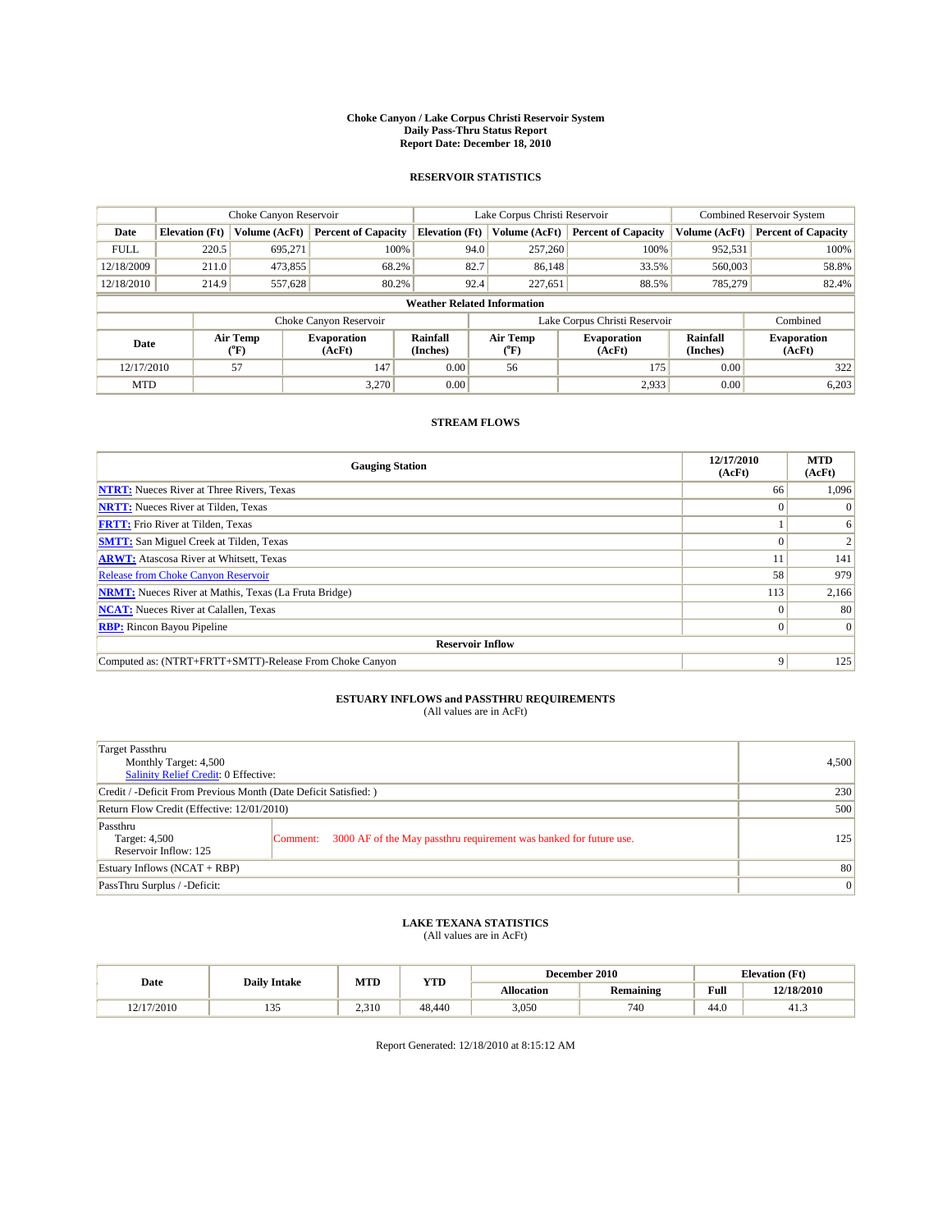#### **Choke Canyon / Lake Corpus Christi Reservoir System Daily Pass-Thru Status Report Report Date: December 18, 2010**

### **RESERVOIR STATISTICS**

|             | Choke Canyon Reservoir             |                  |                              |                       | Lake Corpus Christi Reservoir |                               |                      | <b>Combined Reservoir System</b> |  |  |
|-------------|------------------------------------|------------------|------------------------------|-----------------------|-------------------------------|-------------------------------|----------------------|----------------------------------|--|--|
| Date        | <b>Elevation</b> (Ft)              | Volume (AcFt)    | <b>Percent of Capacity</b>   | <b>Elevation (Ft)</b> | Volume (AcFt)                 | <b>Percent of Capacity</b>    | Volume (AcFt)        | <b>Percent of Capacity</b>       |  |  |
| <b>FULL</b> | 220.5                              | 695,271          | 100%                         |                       | 257,260<br>94.0               | 100%                          | 952,531              | 100%                             |  |  |
| 12/18/2009  | 211.0                              | 473,855          | 68.2%                        | 82.7                  | 86,148                        | 33.5%                         | 560,003              | 58.8%                            |  |  |
| 12/18/2010  | 214.9                              | 557,628          | 80.2%                        |                       | 92.4<br>227,651               | 88.5%                         | 785,279              | 82.4%                            |  |  |
|             | <b>Weather Related Information</b> |                  |                              |                       |                               |                               |                      |                                  |  |  |
|             |                                    |                  | Choke Canyon Reservoir       |                       |                               | Lake Corpus Christi Reservoir |                      | Combined                         |  |  |
| Date        |                                    | Air Temp<br>(°F) | <b>Evaporation</b><br>(AcFt) | Rainfall<br>(Inches)  | Air Temp<br>("F)              | <b>Evaporation</b><br>(AcFt)  | Rainfall<br>(Inches) | <b>Evaporation</b><br>(AcFt)     |  |  |
| 12/17/2010  |                                    | 57               | 147                          | 0.00                  | 56                            | 175                           | 0.00                 | 322                              |  |  |
| <b>MTD</b>  |                                    |                  | 3.270                        | 0.00                  |                               | 2,933                         | 0.00                 | 6,203                            |  |  |

## **STREAM FLOWS**

| <b>Gauging Station</b>                                       | 12/17/2010<br>(AcFt) | <b>MTD</b><br>(AcFt) |  |  |  |  |
|--------------------------------------------------------------|----------------------|----------------------|--|--|--|--|
| <b>NTRT:</b> Nueces River at Three Rivers, Texas             | 66                   | 1,096                |  |  |  |  |
| <b>NRTT:</b> Nueces River at Tilden, Texas                   |                      |                      |  |  |  |  |
| <b>FRTT:</b> Frio River at Tilden, Texas                     |                      | 6                    |  |  |  |  |
| <b>SMTT:</b> San Miguel Creek at Tilden, Texas               |                      |                      |  |  |  |  |
| <b>ARWT:</b> Atascosa River at Whitsett, Texas               |                      | 141                  |  |  |  |  |
| Release from Choke Canyon Reservoir                          | 58                   | 979                  |  |  |  |  |
| <b>NRMT:</b> Nueces River at Mathis, Texas (La Fruta Bridge) | 113                  | 2,166                |  |  |  |  |
| <b>NCAT:</b> Nueces River at Calallen, Texas                 | 0                    | 80                   |  |  |  |  |
| <b>RBP:</b> Rincon Bayou Pipeline                            | $\Omega$             | $\Omega$             |  |  |  |  |
| <b>Reservoir Inflow</b>                                      |                      |                      |  |  |  |  |
| Computed as: (NTRT+FRTT+SMTT)-Release From Choke Canyon      | 9                    | 125                  |  |  |  |  |

## **ESTUARY INFLOWS and PASSTHRU REQUIREMENTS**<br>(All values are in AcFt)

| Target Passthru<br>Monthly Target: 4,500<br>Salinity Relief Credit: 0 Effective: |                                                                                | 4,500 |
|----------------------------------------------------------------------------------|--------------------------------------------------------------------------------|-------|
| Credit / -Deficit From Previous Month (Date Deficit Satisfied: )                 | 230                                                                            |       |
| Return Flow Credit (Effective: 12/01/2010)                                       | 500                                                                            |       |
| Passthru<br>Target: 4,500<br>Reservoir Inflow: 125                               | 3000 AF of the May passthru requirement was banked for future use.<br>Comment: | 125   |
| Estuary Inflows $(NCAT + RBP)$                                                   | 80                                                                             |       |
| PassThru Surplus / -Deficit:                                                     | 0                                                                              |       |

## **LAKE TEXANA STATISTICS** (All values are in AcFt)

|            |                     | MTD   | <b>YTD</b> |            | December 2010    |      | <b>Elevation</b> (Ft) |
|------------|---------------------|-------|------------|------------|------------------|------|-----------------------|
| Date       | <b>Daily Intake</b> |       |            | Allocation | <b>Remaining</b> | Full | 12/18/2010            |
| 12/17/2010 | 1 J J               | 2.310 | 48,440     | 3,050      | 740              | 44.0 | 41.3                  |

Report Generated: 12/18/2010 at 8:15:12 AM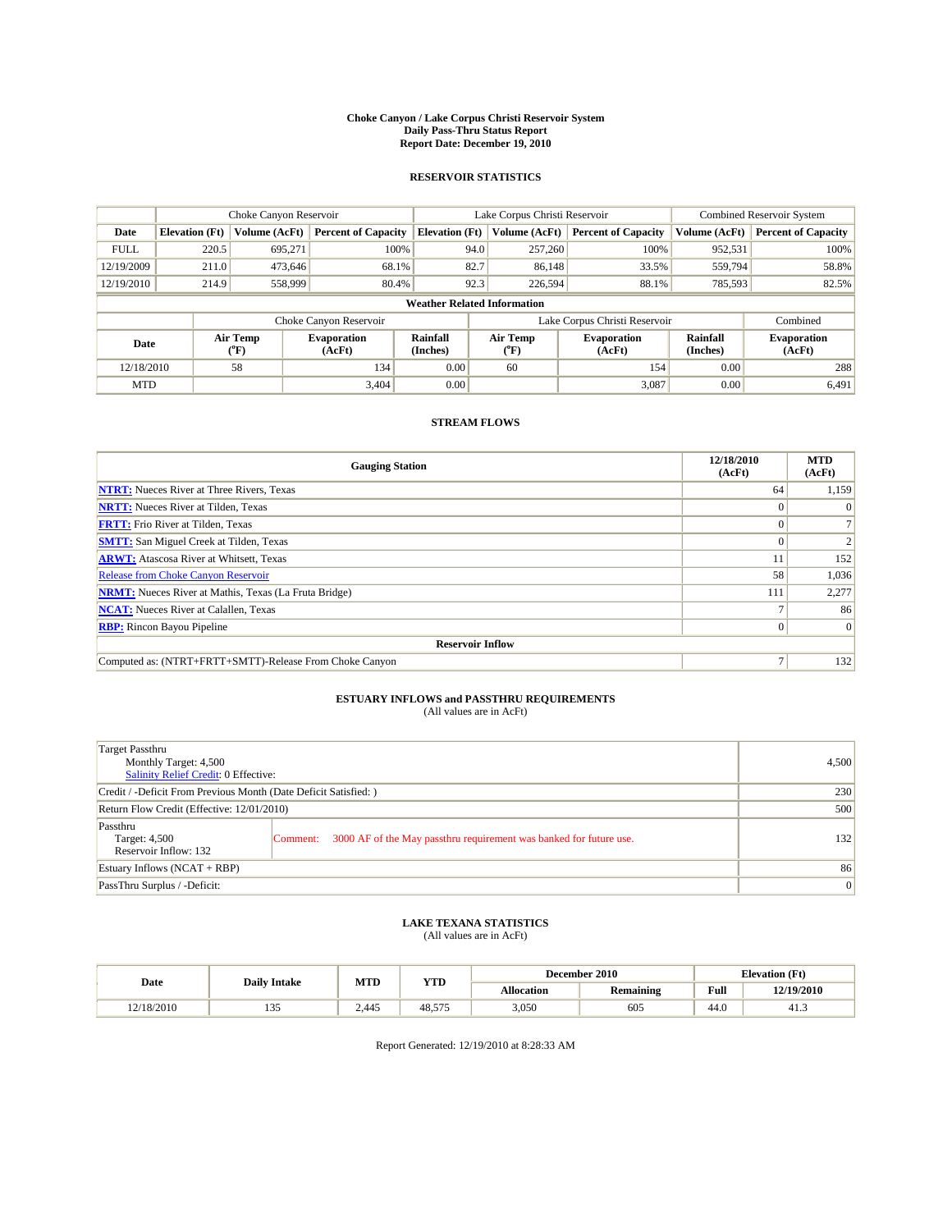#### **Choke Canyon / Lake Corpus Christi Reservoir System Daily Pass-Thru Status Report Report Date: December 19, 2010**

### **RESERVOIR STATISTICS**

|             | Choke Canyon Reservoir             |                             |                              |                             | Lake Corpus Christi Reservoir |                               |                      | Combined Reservoir System    |  |  |
|-------------|------------------------------------|-----------------------------|------------------------------|-----------------------------|-------------------------------|-------------------------------|----------------------|------------------------------|--|--|
| Date        | <b>Elevation</b> (Ft)              | Volume (AcFt)               | <b>Percent of Capacity</b>   | <b>Elevation</b> (Ft)       | Volume (AcFt)                 | <b>Percent of Capacity</b>    | Volume (AcFt)        | <b>Percent of Capacity</b>   |  |  |
| <b>FULL</b> | 220.5                              | 695,271                     | 100%                         | 94.0                        | 257,260                       | 100%                          | 952,531              | 100%                         |  |  |
| 12/19/2009  | 211.0                              | 473.646                     | 68.1%                        | 82.7                        | 86,148                        | 33.5%                         | 559,794              | 58.8%                        |  |  |
| 12/19/2010  | 214.9                              | 558,999                     | 80.4%                        | 92.3                        | 226,594                       | 88.1%                         | 785,593              | 82.5%                        |  |  |
|             | <b>Weather Related Information</b> |                             |                              |                             |                               |                               |                      |                              |  |  |
|             |                                    |                             | Choke Canyon Reservoir       |                             |                               | Lake Corpus Christi Reservoir |                      | Combined                     |  |  |
| Date        |                                    | Air Temp<br>${}^{\circ}$ F) | <b>Evaporation</b><br>(AcFt) | <b>Rainfall</b><br>(Inches) | Air Temp<br>(°F)              | <b>Evaporation</b><br>(AcFt)  | Rainfall<br>(Inches) | <b>Evaporation</b><br>(AcFt) |  |  |
| 12/18/2010  |                                    | 58                          | 134                          | 0.00                        | 60                            | 154                           | 0.00                 | 288                          |  |  |
| <b>MTD</b>  |                                    |                             | 3,404                        | 0.00                        |                               | 3,087                         | 0.00                 | 6,491                        |  |  |

## **STREAM FLOWS**

| <b>Gauging Station</b>                                       | 12/18/2010<br>(AcFt) | <b>MTD</b><br>(AcFt) |
|--------------------------------------------------------------|----------------------|----------------------|
| <b>NTRT:</b> Nueces River at Three Rivers, Texas             | 64                   | 1,159                |
| <b>NRTT:</b> Nueces River at Tilden, Texas                   |                      | $\Omega$             |
| <b>FRTT:</b> Frio River at Tilden, Texas                     |                      |                      |
| <b>SMTT:</b> San Miguel Creek at Tilden, Texas               |                      |                      |
| <b>ARWT:</b> Atascosa River at Whitsett, Texas               |                      | 152                  |
| <b>Release from Choke Canyon Reservoir</b>                   | 58                   | 1,036                |
| <b>NRMT:</b> Nueces River at Mathis, Texas (La Fruta Bridge) | 111                  | 2,277                |
| <b>NCAT:</b> Nueces River at Calallen, Texas                 |                      | 86                   |
| <b>RBP:</b> Rincon Bayou Pipeline                            | 0                    | $\vert 0 \vert$      |
| <b>Reservoir Inflow</b>                                      |                      |                      |
| Computed as: (NTRT+FRTT+SMTT)-Release From Choke Canyon      |                      | 132                  |

# **ESTUARY INFLOWS and PASSTHRU REQUIREMENTS**<br>(All values are in AcFt)

| Target Passthru<br>Monthly Target: 4,500<br>Salinity Relief Credit: 0 Effective: |                                                                                | 4,500 |
|----------------------------------------------------------------------------------|--------------------------------------------------------------------------------|-------|
| Credit / -Deficit From Previous Month (Date Deficit Satisfied: )                 | 230                                                                            |       |
| Return Flow Credit (Effective: 12/01/2010)                                       | 500                                                                            |       |
| Passthru<br>Target: 4,500<br>Reservoir Inflow: 132                               | 3000 AF of the May passthru requirement was banked for future use.<br>Comment: | 132   |
| Estuary Inflows (NCAT + RBP)                                                     |                                                                                | 86    |
| PassThru Surplus / -Deficit:                                                     | 0                                                                              |       |

## **LAKE TEXANA STATISTICS** (All values are in AcFt)

| Date       |                     | MTD   | <b>YTD</b> |            | December 2010    | <b>Elevation</b> (Ft) |            |
|------------|---------------------|-------|------------|------------|------------------|-----------------------|------------|
|            | <b>Daily Intake</b> |       |            | Allocation | <b>Remaining</b> | Full                  | 12/19/2010 |
| 12/18/2010 | $\sim$<br>ر ر       | 2.445 | 48.57.     | 3,050      | 605              | 44.0                  | 41.3       |

Report Generated: 12/19/2010 at 8:28:33 AM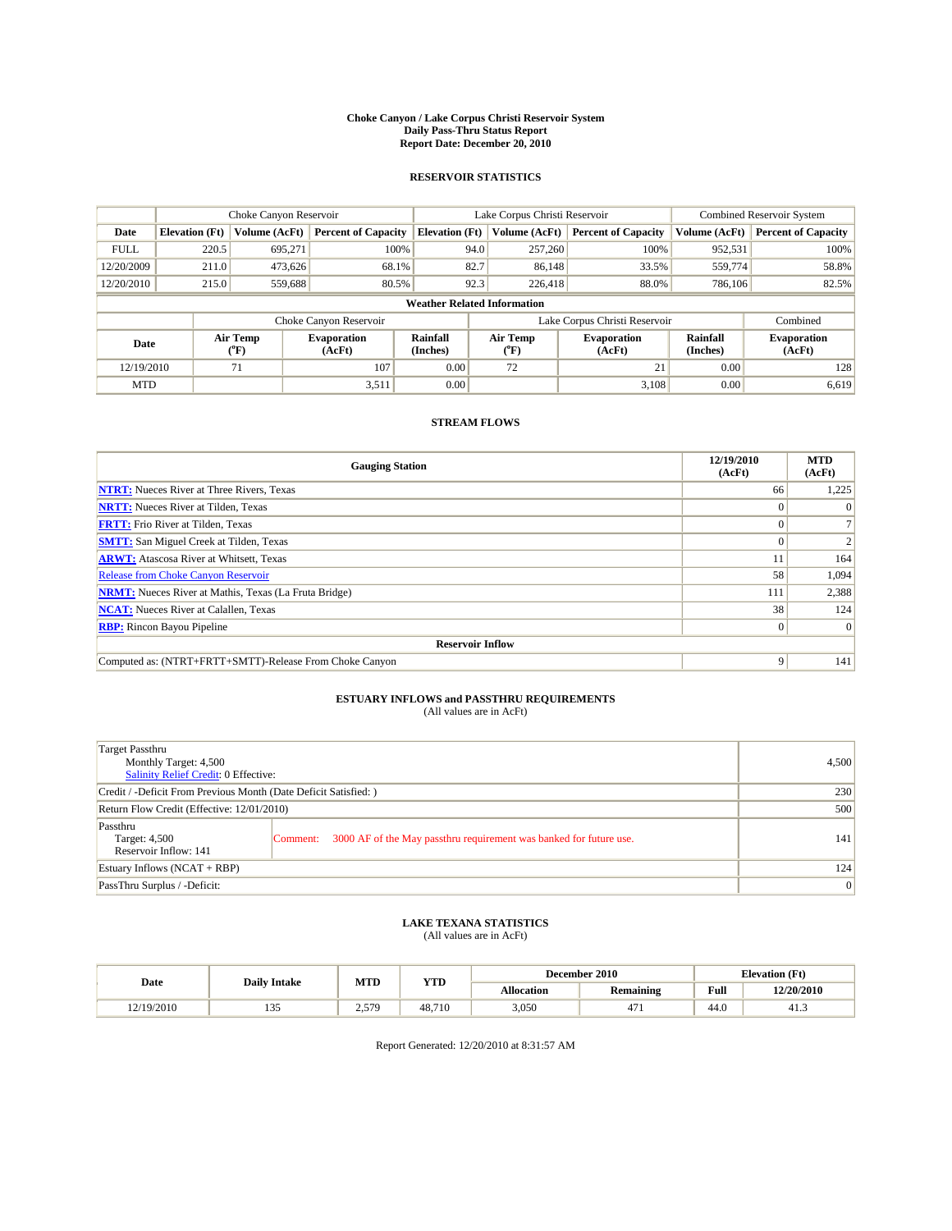#### **Choke Canyon / Lake Corpus Christi Reservoir System Daily Pass-Thru Status Report Report Date: December 20, 2010**

### **RESERVOIR STATISTICS**

|             | Choke Canyon Reservoir             |                  |                              |                       | Lake Corpus Christi Reservoir | <b>Combined Reservoir System</b> |                      |                              |  |  |
|-------------|------------------------------------|------------------|------------------------------|-----------------------|-------------------------------|----------------------------------|----------------------|------------------------------|--|--|
| Date        | <b>Elevation</b> (Ft)              | Volume (AcFt)    | <b>Percent of Capacity</b>   | <b>Elevation</b> (Ft) | Volume (AcFt)                 | <b>Percent of Capacity</b>       | Volume (AcFt)        | <b>Percent of Capacity</b>   |  |  |
| <b>FULL</b> | 220.5                              | 695,271          | 100%                         | 94.0                  | 257,260                       | 100%                             | 952,531              | 100%                         |  |  |
| 12/20/2009  | 211.0                              | 473,626          | 68.1%                        | 82.7                  | 86.148                        | 33.5%                            | 559,774              | 58.8%                        |  |  |
| 12/20/2010  | 215.0                              | 559,688          | 80.5%                        | 92.3                  | 226,418                       | 88.0%                            | 786,106              | 82.5%                        |  |  |
|             | <b>Weather Related Information</b> |                  |                              |                       |                               |                                  |                      |                              |  |  |
|             |                                    |                  | Choke Canyon Reservoir       |                       |                               | Lake Corpus Christi Reservoir    |                      | Combined                     |  |  |
| Date        |                                    | Air Temp<br>(°F) | <b>Evaporation</b><br>(AcFt) | Rainfall<br>(Inches)  | Air Temp<br>("F)              | <b>Evaporation</b><br>(AcFt)     | Rainfall<br>(Inches) | <b>Evaporation</b><br>(AcFt) |  |  |
| 12/19/2010  |                                    | 71               | 107                          | 0.00                  | 72                            | 21                               | 0.00                 | 128                          |  |  |
| <b>MTD</b>  |                                    |                  | 3,511                        | 0.00                  |                               | 3.108                            | 0.00                 | 6,619                        |  |  |

## **STREAM FLOWS**

| <b>Gauging Station</b>                                       | 12/19/2010<br>(AcFt) | <b>MTD</b><br>(AcFt) |
|--------------------------------------------------------------|----------------------|----------------------|
| <b>NTRT:</b> Nueces River at Three Rivers, Texas             | 66                   | 1,225                |
| <b>NRTT:</b> Nueces River at Tilden, Texas                   |                      |                      |
| <b>FRTT:</b> Frio River at Tilden, Texas                     |                      |                      |
| <b>SMTT:</b> San Miguel Creek at Tilden, Texas               |                      |                      |
| <b>ARWT:</b> Atascosa River at Whitsett, Texas               |                      | 164                  |
| Release from Choke Canyon Reservoir                          | 58                   | 1,094                |
| <b>NRMT:</b> Nueces River at Mathis, Texas (La Fruta Bridge) | 111                  | 2,388                |
| <b>NCAT:</b> Nueces River at Calallen, Texas                 | 38                   | 124                  |
| <b>RBP:</b> Rincon Bayou Pipeline                            | $\overline{0}$       | $\Omega$             |
| <b>Reservoir Inflow</b>                                      |                      |                      |
| Computed as: (NTRT+FRTT+SMTT)-Release From Choke Canyon      | 9                    | 141                  |

# **ESTUARY INFLOWS and PASSTHRU REQUIREMENTS**<br>(All values are in AcFt)

| Target Passthru<br>Monthly Target: 4,500<br><b>Salinity Relief Credit: 0 Effective:</b> | 4,500                                                                          |     |  |  |  |  |
|-----------------------------------------------------------------------------------------|--------------------------------------------------------------------------------|-----|--|--|--|--|
| Credit / -Deficit From Previous Month (Date Deficit Satisfied: )                        | 230                                                                            |     |  |  |  |  |
| Return Flow Credit (Effective: 12/01/2010)                                              | 500                                                                            |     |  |  |  |  |
| Passthru<br>Target: 4,500<br>Reservoir Inflow: 141                                      | 3000 AF of the May passthru requirement was banked for future use.<br>Comment: | 141 |  |  |  |  |
| Estuary Inflows (NCAT + RBP)                                                            |                                                                                | 124 |  |  |  |  |
| PassThru Surplus / -Deficit:                                                            |                                                                                |     |  |  |  |  |

## **LAKE TEXANA STATISTICS** (All values are in AcFt)

| Date       |                     | MTD   | <b>YTD</b> |            | December 2010                   | <b>Elevation</b> (Ft) |            |
|------------|---------------------|-------|------------|------------|---------------------------------|-----------------------|------------|
|            | <b>Daily Intake</b> |       |            | Allocation | <b>Remaining</b>                | Full                  | 12/20/2010 |
| 12/19/2010 | $\sim$<br>ر ر       | 2.579 | 48.710     | 3,050      | $\overline{\phantom{0}}$<br>4/1 | 44.0                  | 41.3       |

Report Generated: 12/20/2010 at 8:31:57 AM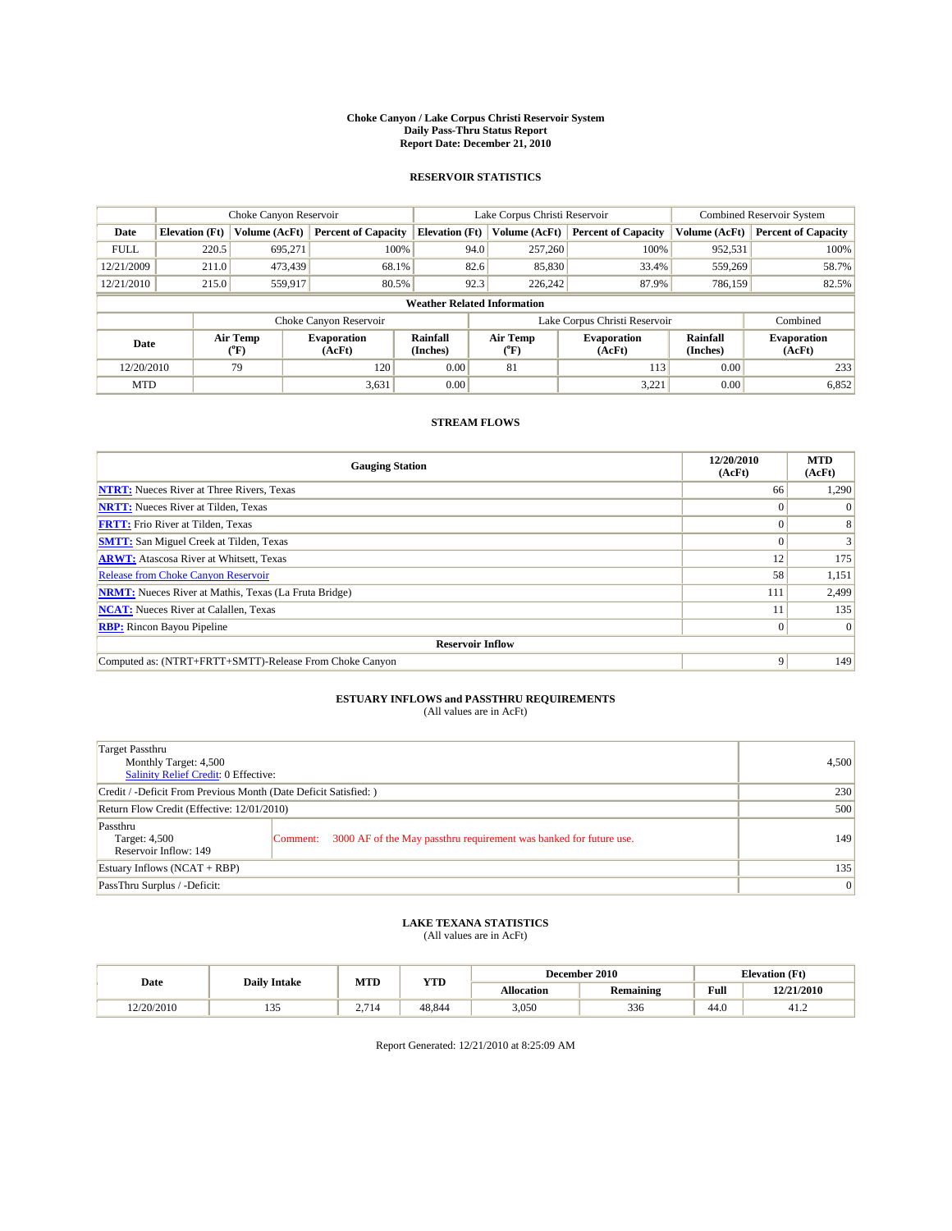#### **Choke Canyon / Lake Corpus Christi Reservoir System Daily Pass-Thru Status Report Report Date: December 21, 2010**

### **RESERVOIR STATISTICS**

|             |                                    | Choke Canyon Reservoir     |                              | Lake Corpus Christi Reservoir |                                         |        |                               | Combined Reservoir System |                              |  |
|-------------|------------------------------------|----------------------------|------------------------------|-------------------------------|-----------------------------------------|--------|-------------------------------|---------------------------|------------------------------|--|
| Date        | <b>Elevation</b> (Ft)              | Volume (AcFt)              | <b>Percent of Capacity</b>   | <b>Elevation (Ft)</b>         | Volume (AcFt)                           |        | <b>Percent of Capacity</b>    | Volume (AcFt)             | <b>Percent of Capacity</b>   |  |
| <b>FULL</b> | 220.5                              | 695,271                    | 100%                         |                               | 257,260<br>94.0                         |        | 100%                          | 952,531                   | 100%                         |  |
| 12/21/2009  | 211.0                              | 473,439                    | 68.1%                        |                               | 82.6                                    | 85,830 | 33.4%                         | 559,269                   | 58.7%                        |  |
| 12/21/2010  | 215.0                              | 559.917                    | 80.5%                        |                               | 92.3<br>226,242                         |        | 87.9%                         | 786,159                   | 82.5%                        |  |
|             | <b>Weather Related Information</b> |                            |                              |                               |                                         |        |                               |                           |                              |  |
|             |                                    |                            | Choke Canyon Reservoir       |                               |                                         |        | Lake Corpus Christi Reservoir |                           | Combined                     |  |
| Date        |                                    | Air Temp<br>${}^{\circ}F)$ | <b>Evaporation</b><br>(AcFt) | Rainfall<br>(Inches)          | Air Temp<br>$(^{\mathrm{o}}\mathrm{F})$ |        | <b>Evaporation</b><br>(AcFt)  | Rainfall<br>(Inches)      | <b>Evaporation</b><br>(AcFt) |  |
| 12/20/2010  |                                    | 79                         | 120                          | 0.00                          | 81                                      |        | 113                           | 0.00                      | 233                          |  |
| <b>MTD</b>  |                                    |                            | 3,631                        | 0.00                          |                                         |        | 3,221                         | 0.00                      | 6,852                        |  |

## **STREAM FLOWS**

| <b>Gauging Station</b>                                       | 12/20/2010<br>(AcFt) | <b>MTD</b><br>(AcFt) |
|--------------------------------------------------------------|----------------------|----------------------|
| <b>NTRT:</b> Nueces River at Three Rivers, Texas             | 66                   | 1,290                |
| <b>NRTT:</b> Nueces River at Tilden, Texas                   | $\theta$             |                      |
| <b>FRTT:</b> Frio River at Tilden, Texas                     |                      |                      |
| <b>SMTT:</b> San Miguel Creek at Tilden, Texas               |                      |                      |
| <b>ARWT:</b> Atascosa River at Whitsett, Texas               | 12                   | 175                  |
| <b>Release from Choke Canyon Reservoir</b>                   | 58                   | 1,151                |
| <b>NRMT:</b> Nueces River at Mathis, Texas (La Fruta Bridge) | 111                  | 2,499                |
| <b>NCAT:</b> Nueces River at Calallen, Texas                 |                      | 135                  |
| <b>RBP:</b> Rincon Bayou Pipeline                            | $\overline{0}$       | $\Omega$             |
| <b>Reservoir Inflow</b>                                      |                      |                      |
| Computed as: (NTRT+FRTT+SMTT)-Release From Choke Canyon      | 9                    | 149                  |

# **ESTUARY INFLOWS and PASSTHRU REQUIREMENTS**<br>(All values are in AcFt)

| Target Passthru<br>Monthly Target: 4,500<br>Salinity Relief Credit: 0 Effective: | 4,500                                                                          |     |
|----------------------------------------------------------------------------------|--------------------------------------------------------------------------------|-----|
| Credit / -Deficit From Previous Month (Date Deficit Satisfied: )                 | 230                                                                            |     |
| Return Flow Credit (Effective: 12/01/2010)                                       | 500                                                                            |     |
| Passthru<br>Target: 4,500<br>Reservoir Inflow: 149                               | 3000 AF of the May passthru requirement was banked for future use.<br>Comment: | 149 |
| Estuary Inflows (NCAT + RBP)                                                     |                                                                                | 135 |
| PassThru Surplus / -Deficit:                                                     | 0                                                                              |     |

## **LAKE TEXANA STATISTICS** (All values are in AcFt)

|            | <b>Daily Intake</b>  | MTD   | <b>YTD</b> |                   | December 2010    |                     | <b>Elevation</b> (Ft) |
|------------|----------------------|-------|------------|-------------------|------------------|---------------------|-----------------------|
| Date       |                      |       |            | <b>Allocation</b> | <b>Remaining</b> | Full                | 12/21/2010            |
| 12/20/2010 | $\sim$ $\sim$<br>ر ر | 2,714 | 48.844     | 3,050             | 336              | $\sqrt{2}$<br>-44.0 | 41.2                  |

Report Generated: 12/21/2010 at 8:25:09 AM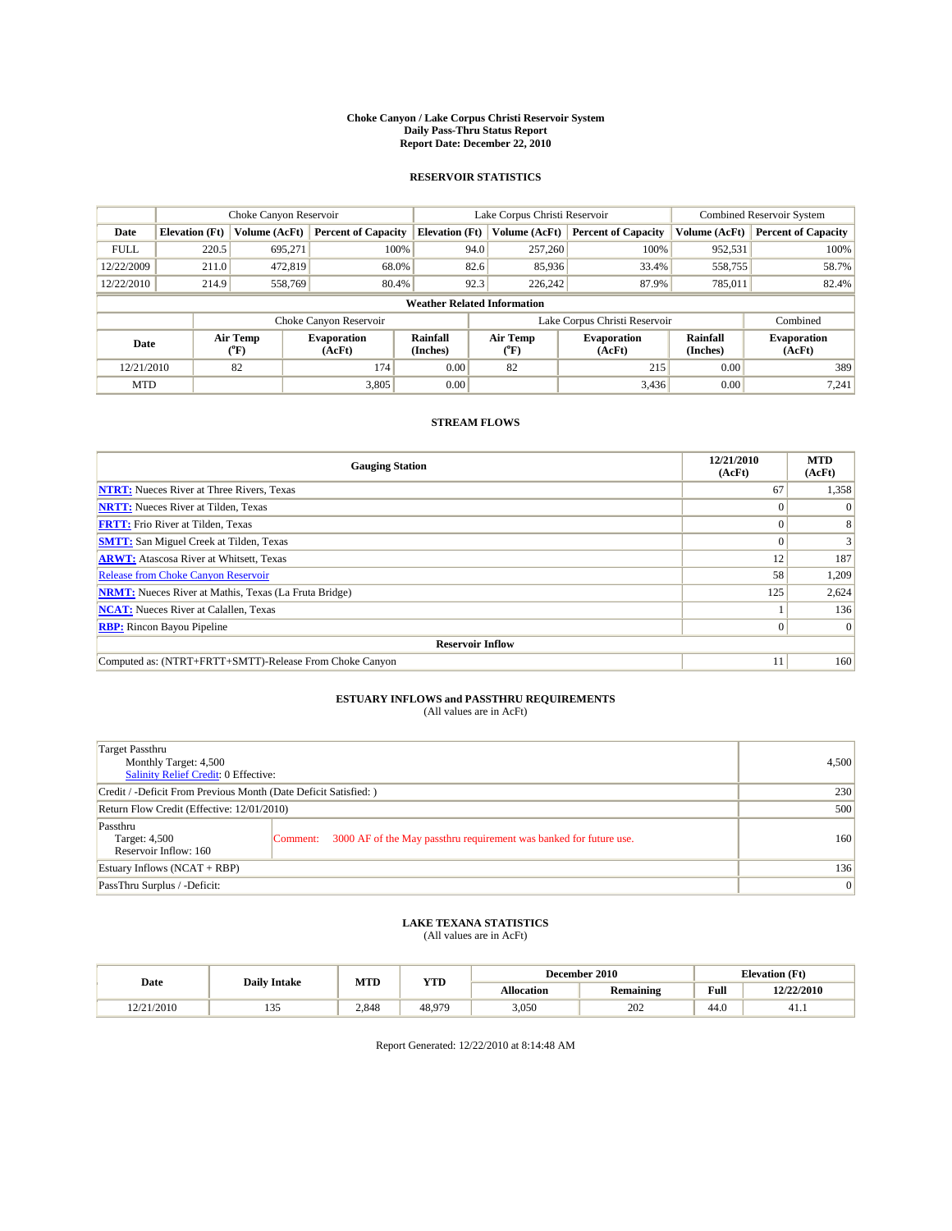#### **Choke Canyon / Lake Corpus Christi Reservoir System Daily Pass-Thru Status Report Report Date: December 22, 2010**

### **RESERVOIR STATISTICS**

|             | Choke Canyon Reservoir             |                  |                              |                       | Lake Corpus Christi Reservoir | <b>Combined Reservoir System</b> |                      |                              |  |  |
|-------------|------------------------------------|------------------|------------------------------|-----------------------|-------------------------------|----------------------------------|----------------------|------------------------------|--|--|
| Date        | <b>Elevation</b> (Ft)              | Volume (AcFt)    | <b>Percent of Capacity</b>   | <b>Elevation (Ft)</b> | Volume (AcFt)                 | <b>Percent of Capacity</b>       | Volume (AcFt)        | <b>Percent of Capacity</b>   |  |  |
| <b>FULL</b> | 220.5                              | 695,271          | 100%                         | 94.0                  | 257,260                       | 100%                             | 952,531              | 100%                         |  |  |
| 12/22/2009  | 211.0                              | 472,819          | 68.0%                        |                       | 85,936<br>82.6                | 33.4%                            | 558,755              | 58.7%                        |  |  |
| 12/22/2010  | 214.9                              | 558,769          | 80.4%                        | 92.3                  | 226,242                       | 87.9%                            | 785,011              | 82.4%                        |  |  |
|             | <b>Weather Related Information</b> |                  |                              |                       |                               |                                  |                      |                              |  |  |
|             |                                    |                  | Choke Canyon Reservoir       |                       |                               | Lake Corpus Christi Reservoir    |                      | Combined                     |  |  |
| Date        |                                    | Air Temp<br>(°F) | <b>Evaporation</b><br>(AcFt) | Rainfall<br>(Inches)  | Air Temp<br>("F)              | <b>Evaporation</b><br>(AcFt)     | Rainfall<br>(Inches) | <b>Evaporation</b><br>(AcFt) |  |  |
| 12/21/2010  |                                    | 82               | 174                          | 0.00                  | 82                            | 215                              | 0.00                 | 389                          |  |  |
| <b>MTD</b>  |                                    |                  | 3,805                        | 0.00                  |                               | 3,436                            | 0.00                 | 7,241                        |  |  |

## **STREAM FLOWS**

| <b>Gauging Station</b>                                       | 12/21/2010<br>(AcFt) | <b>MTD</b><br>(AcFt) |
|--------------------------------------------------------------|----------------------|----------------------|
| <b>NTRT:</b> Nueces River at Three Rivers, Texas             | 67                   | 1,358                |
| <b>NRTT:</b> Nueces River at Tilden, Texas                   |                      |                      |
| <b>FRTT:</b> Frio River at Tilden, Texas                     |                      |                      |
| <b>SMTT:</b> San Miguel Creek at Tilden, Texas               |                      |                      |
| <b>ARWT:</b> Atascosa River at Whitsett, Texas               | 12                   | 187                  |
| <b>Release from Choke Canyon Reservoir</b>                   | 58                   | 1,209                |
| <b>NRMT:</b> Nueces River at Mathis, Texas (La Fruta Bridge) | 125                  | 2,624                |
| <b>NCAT:</b> Nueces River at Calallen, Texas                 |                      | 136                  |
| <b>RBP:</b> Rincon Bayou Pipeline                            | $\overline{0}$       | $\Omega$             |
| <b>Reservoir Inflow</b>                                      |                      |                      |
| Computed as: (NTRT+FRTT+SMTT)-Release From Choke Canyon      | 11                   | 160                  |

# **ESTUARY INFLOWS and PASSTHRU REQUIREMENTS**<br>(All values are in AcFt)

| Target Passthru<br>Monthly Target: 4,500<br>Salinity Relief Credit: 0 Effective: |                                                                                | 4,500 |
|----------------------------------------------------------------------------------|--------------------------------------------------------------------------------|-------|
| Credit / -Deficit From Previous Month (Date Deficit Satisfied: )                 | 230                                                                            |       |
| Return Flow Credit (Effective: 12/01/2010)                                       | 500                                                                            |       |
| Passthru<br>Target: 4,500<br>Reservoir Inflow: 160                               | 3000 AF of the May passthru requirement was banked for future use.<br>Comment: | 160   |
| Estuary Inflows $(NCAT + RBP)$                                                   |                                                                                | 136   |
| PassThru Surplus / -Deficit:                                                     | 0                                                                              |       |

## **LAKE TEXANA STATISTICS** (All values are in AcFt)

|            |                     | MTD   | <b>YTD</b> |            | December 2010 | <b>Elevation</b> (Ft)                   |            |
|------------|---------------------|-------|------------|------------|---------------|-----------------------------------------|------------|
| Date       | <b>Daily Intake</b> |       |            | Allocation | Remaining     | Full<br>the contract of the contract of | 12/22/2010 |
| 12/21/2010 | 1 J J               | 2.848 | 48.979     | 3,050      | 202           | 44.0                                    | 41.1       |

Report Generated: 12/22/2010 at 8:14:48 AM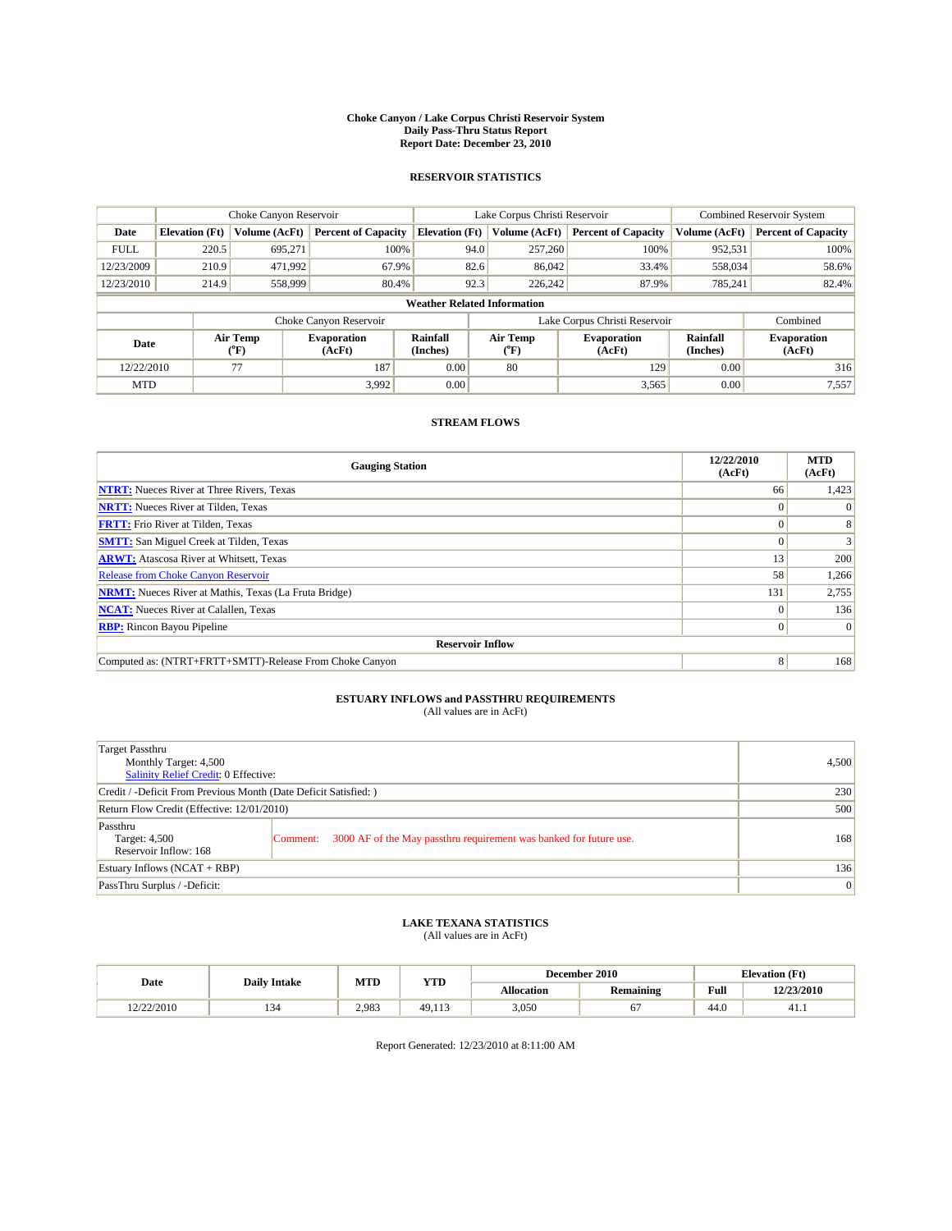#### **Choke Canyon / Lake Corpus Christi Reservoir System Daily Pass-Thru Status Report Report Date: December 23, 2010**

### **RESERVOIR STATISTICS**

|             | Choke Canyon Reservoir             |                  |                              |                       | Lake Corpus Christi Reservoir |                               |                      | <b>Combined Reservoir System</b> |  |  |
|-------------|------------------------------------|------------------|------------------------------|-----------------------|-------------------------------|-------------------------------|----------------------|----------------------------------|--|--|
| Date        | <b>Elevation</b> (Ft)              | Volume (AcFt)    | <b>Percent of Capacity</b>   | <b>Elevation</b> (Ft) | Volume (AcFt)                 | <b>Percent of Capacity</b>    | Volume (AcFt)        | <b>Percent of Capacity</b>       |  |  |
| <b>FULL</b> | 220.5                              | 695,271          | 100%                         | 94.0                  | 257,260                       | 100%                          | 952,531              | 100%                             |  |  |
| 12/23/2009  | 210.9                              | 471,992          | 67.9%                        | 82.6                  | 86,042                        | 33.4%                         | 558,034              | 58.6%                            |  |  |
| 12/23/2010  | 214.9                              | 558,999          | 80.4%                        | 92.3                  | 226,242                       | 87.9%                         | 785,241              | 82.4%                            |  |  |
|             | <b>Weather Related Information</b> |                  |                              |                       |                               |                               |                      |                                  |  |  |
|             |                                    |                  | Choke Canyon Reservoir       |                       |                               | Lake Corpus Christi Reservoir |                      | Combined                         |  |  |
| Date        |                                    | Air Temp<br>(°F) | <b>Evaporation</b><br>(AcFt) | Rainfall<br>(Inches)  | Air Temp<br>("F)              | <b>Evaporation</b><br>(AcFt)  | Rainfall<br>(Inches) | <b>Evaporation</b><br>(AcFt)     |  |  |
| 12/22/2010  |                                    | 77               | 187                          | 0.00                  | 80                            | 129                           | 0.00                 | 316                              |  |  |
| <b>MTD</b>  |                                    |                  | 3.992                        | 0.00                  |                               | 3,565                         | 0.00                 | 7,557                            |  |  |

## **STREAM FLOWS**

| <b>Gauging Station</b>                                       | 12/22/2010<br>(AcFt) | <b>MTD</b><br>(AcFt) |
|--------------------------------------------------------------|----------------------|----------------------|
| <b>NTRT:</b> Nueces River at Three Rivers, Texas             | 66                   | 1,423                |
| <b>NRTT:</b> Nueces River at Tilden, Texas                   | $\Omega$             |                      |
| <b>FRTT:</b> Frio River at Tilden, Texas                     |                      |                      |
| <b>SMTT:</b> San Miguel Creek at Tilden, Texas               |                      |                      |
| <b>ARWT:</b> Atascosa River at Whitsett, Texas               | 13                   | 200                  |
| <b>Release from Choke Canyon Reservoir</b>                   | 58                   | 1,266                |
| <b>NRMT:</b> Nueces River at Mathis, Texas (La Fruta Bridge) | 131                  | 2,755                |
| <b>NCAT:</b> Nueces River at Calallen, Texas                 | $\Omega$             | 136                  |
| <b>RBP:</b> Rincon Bayou Pipeline                            | $\overline{0}$       | $\Omega$             |
| <b>Reservoir Inflow</b>                                      |                      |                      |
| Computed as: (NTRT+FRTT+SMTT)-Release From Choke Canyon      | 8                    | 168                  |

# **ESTUARY INFLOWS and PASSTHRU REQUIREMENTS**<br>(All values are in AcFt)

| Target Passthru<br>Monthly Target: 4,500<br>Salinity Relief Credit: 0 Effective: |                                                                                | 4,500 |
|----------------------------------------------------------------------------------|--------------------------------------------------------------------------------|-------|
| Credit / -Deficit From Previous Month (Date Deficit Satisfied: )                 | 230                                                                            |       |
| Return Flow Credit (Effective: 12/01/2010)                                       | 500                                                                            |       |
| Passthru<br>Target: 4,500<br>Reservoir Inflow: 168                               | 3000 AF of the May passthru requirement was banked for future use.<br>Comment: | 168   |
| Estuary Inflows (NCAT + RBP)                                                     |                                                                                | 136   |
| PassThru Surplus / -Deficit:                                                     | 0                                                                              |       |

## **LAKE TEXANA STATISTICS** (All values are in AcFt)

|            |                     | MTD   | <b>YTD</b> |            | December 2010    | <b>Elevation</b> (Ft) |            |
|------------|---------------------|-------|------------|------------|------------------|-----------------------|------------|
| Date       | <b>Daily Intake</b> |       |            | Allocation | <b>Remaining</b> | Full                  | 12/23/2010 |
| 12/22/2010 | سور                 | 2.983 | 49.113     | 3,050      | υ.               | 44.0                  | 41.1       |

Report Generated: 12/23/2010 at 8:11:00 AM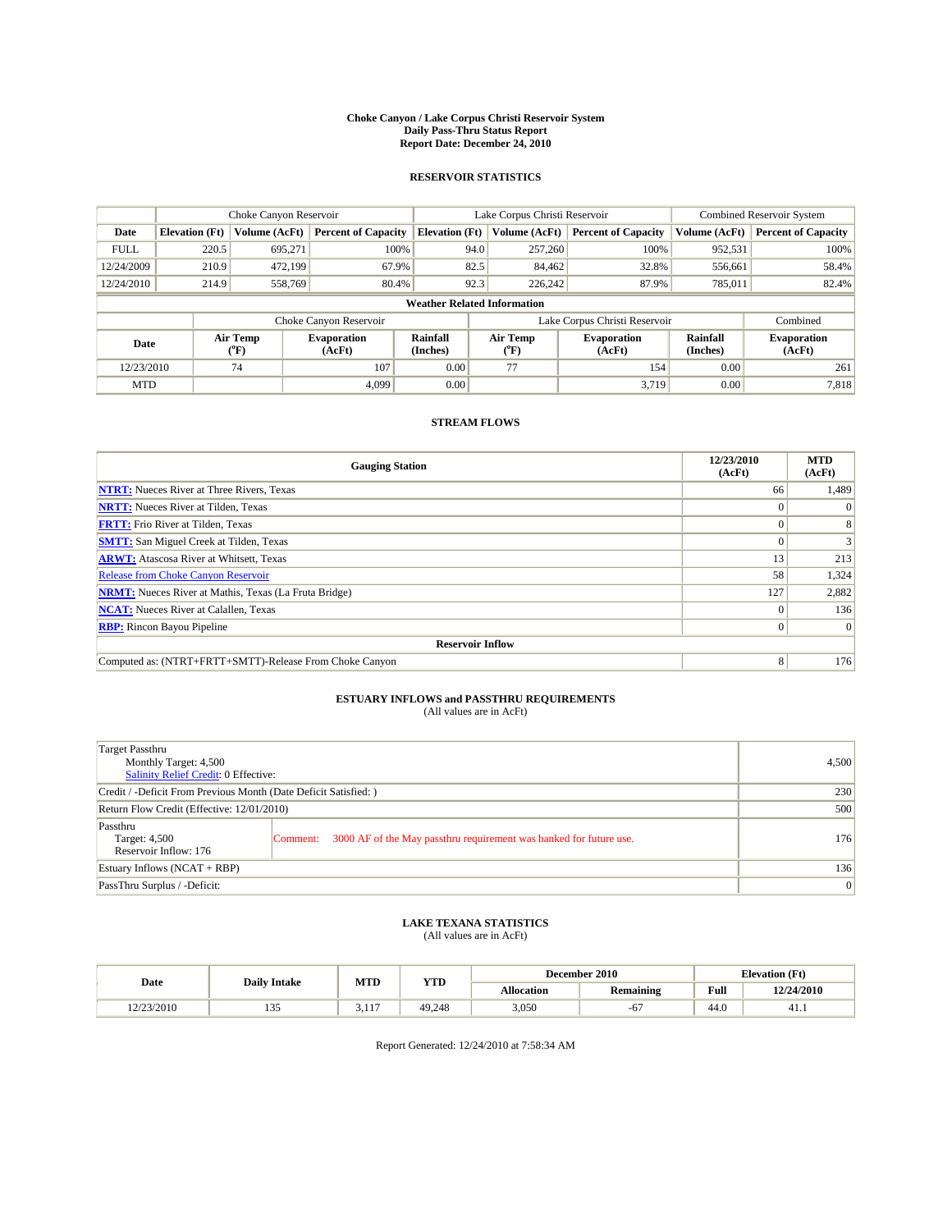#### **Choke Canyon / Lake Corpus Christi Reservoir System Daily Pass-Thru Status Report Report Date: December 24, 2010**

### **RESERVOIR STATISTICS**

|             | Choke Canyon Reservoir             |                  |                              |                       | Lake Corpus Christi Reservoir |                               |                      | <b>Combined Reservoir System</b> |  |  |
|-------------|------------------------------------|------------------|------------------------------|-----------------------|-------------------------------|-------------------------------|----------------------|----------------------------------|--|--|
| Date        | <b>Elevation</b> (Ft)              | Volume (AcFt)    | <b>Percent of Capacity</b>   | <b>Elevation</b> (Ft) | Volume (AcFt)                 | <b>Percent of Capacity</b>    | Volume (AcFt)        | <b>Percent of Capacity</b>       |  |  |
| <b>FULL</b> | 220.5                              | 695,271          | 100%                         |                       | 257,260<br>94.0               | 100%                          | 952,531              | 100%                             |  |  |
| 12/24/2009  | 210.9                              | 472.199          | 67.9%                        |                       | 82.5<br>84.462                | 32.8%                         | 556,661              | 58.4%                            |  |  |
| 12/24/2010  | 214.9                              | 558.769          | 80.4%                        |                       | 92.3<br>226,242               | 87.9%                         | 785.011              | 82.4%                            |  |  |
|             | <b>Weather Related Information</b> |                  |                              |                       |                               |                               |                      |                                  |  |  |
|             |                                    |                  | Choke Canyon Reservoir       |                       |                               | Lake Corpus Christi Reservoir |                      | Combined                         |  |  |
| Date        |                                    | Air Temp<br>(°F) | <b>Evaporation</b><br>(AcFt) | Rainfall<br>(Inches)  | Air Temp<br>("F)              | <b>Evaporation</b><br>(AcFt)  | Rainfall<br>(Inches) | <b>Evaporation</b><br>(AcFt)     |  |  |
| 12/23/2010  |                                    | 74               | 107                          | 0.00                  | 77                            | 154                           | 0.00                 | 261                              |  |  |
| <b>MTD</b>  |                                    |                  | 4.099                        | 0.00                  |                               | 3,719                         | 0.00                 | 7,818                            |  |  |

## **STREAM FLOWS**

| <b>Gauging Station</b>                                       | 12/23/2010<br>(AcFt) | <b>MTD</b><br>(AcFt) |
|--------------------------------------------------------------|----------------------|----------------------|
| <b>NTRT:</b> Nueces River at Three Rivers, Texas             | 66                   | 1,489                |
| <b>NRTT:</b> Nueces River at Tilden, Texas                   | $\theta$             |                      |
| <b>FRTT:</b> Frio River at Tilden, Texas                     |                      |                      |
| <b>SMTT:</b> San Miguel Creek at Tilden, Texas               |                      |                      |
| <b>ARWT:</b> Atascosa River at Whitsett, Texas               | 13                   | 213                  |
| <b>Release from Choke Canyon Reservoir</b>                   | 58                   | 1,324                |
| <b>NRMT:</b> Nueces River at Mathis, Texas (La Fruta Bridge) | 127                  | 2,882                |
| <b>NCAT:</b> Nueces River at Calallen, Texas                 | $\Omega$             | 136                  |
| <b>RBP:</b> Rincon Bayou Pipeline                            | $\overline{0}$       | $\Omega$             |
| <b>Reservoir Inflow</b>                                      |                      |                      |
| Computed as: (NTRT+FRTT+SMTT)-Release From Choke Canyon      | 8                    | 176                  |

# **ESTUARY INFLOWS and PASSTHRU REQUIREMENTS**<br>(All values are in AcFt)

| Target Passthru<br>Monthly Target: 4,500<br><b>Salinity Relief Credit: 0 Effective:</b> |                                                                                | 4,500 |
|-----------------------------------------------------------------------------------------|--------------------------------------------------------------------------------|-------|
| Credit / -Deficit From Previous Month (Date Deficit Satisfied: )                        | 230                                                                            |       |
| Return Flow Credit (Effective: 12/01/2010)                                              | 500                                                                            |       |
| Passthru<br>Target: 4,500<br>Reservoir Inflow: 176                                      | 3000 AF of the May passthru requirement was banked for future use.<br>Comment: | 176   |
| Estuary Inflows $(NCAT + RBP)$                                                          |                                                                                | 136   |
| PassThru Surplus / -Deficit:                                                            | $\vert 0 \vert$                                                                |       |

# **LAKE TEXANA STATISTICS** (All values are in AcFt)

|            | <b>Daily Intake</b>  | MTD            | <b>YTD</b> | December 2010 |                  |                                             | <b>Elevation</b> (Ft) |
|------------|----------------------|----------------|------------|---------------|------------------|---------------------------------------------|-----------------------|
| Date       |                      |                |            | Allocation    | <b>Remaining</b> | Full<br>the contract of the contract of the | 12/24/2010            |
| 12/23/2010 | $\sim$ $\sim$<br>ر ر | 117<br>J.I I I | 49.248     | 3,050         | $-\mathbf{O}$ ,  | 44.0                                        | 41.1                  |

Report Generated: 12/24/2010 at 7:58:34 AM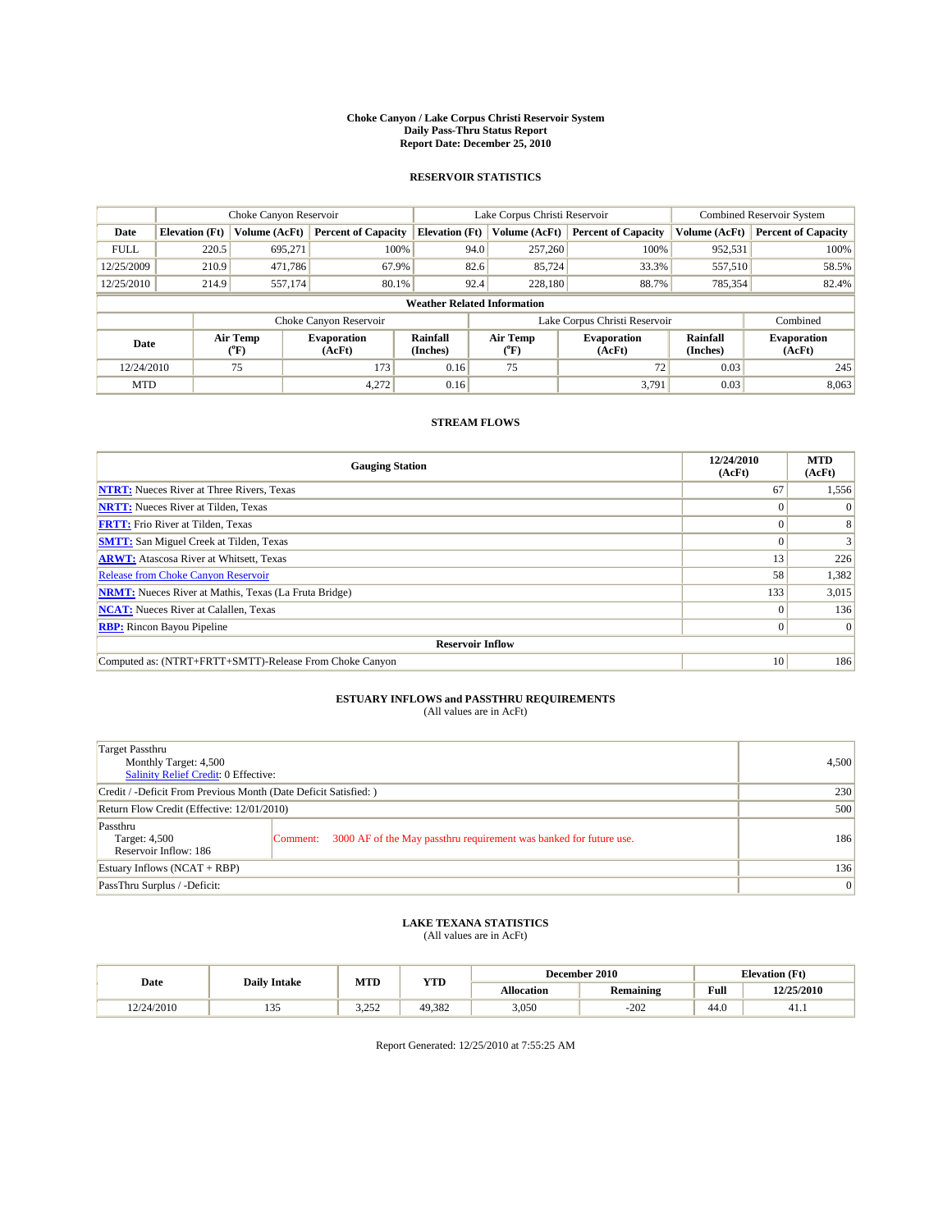#### **Choke Canyon / Lake Corpus Christi Reservoir System Daily Pass-Thru Status Report Report Date: December 25, 2010**

### **RESERVOIR STATISTICS**

|             | Choke Canyon Reservoir             |                             |                              |                             | Lake Corpus Christi Reservoir | <b>Combined Reservoir System</b> |                      |                              |  |  |
|-------------|------------------------------------|-----------------------------|------------------------------|-----------------------------|-------------------------------|----------------------------------|----------------------|------------------------------|--|--|
| Date        | <b>Elevation</b> (Ft)              | Volume (AcFt)               | <b>Percent of Capacity</b>   | <b>Elevation</b> (Ft)       | Volume (AcFt)                 | <b>Percent of Capacity</b>       | Volume (AcFt)        | <b>Percent of Capacity</b>   |  |  |
| <b>FULL</b> | 220.5                              | 695,271                     | 100%                         | 94.0                        | 257,260                       | 100%                             | 952,531              | 100%                         |  |  |
| 12/25/2009  | 210.9                              | 471,786                     | 67.9%                        | 82.6                        | 85,724                        | 33.3%                            | 557,510              | 58.5%                        |  |  |
| 12/25/2010  | 214.9                              | 557,174                     | 80.1%                        | 92.4                        | 228,180                       | 88.7%                            | 785,354              | 82.4%                        |  |  |
|             | <b>Weather Related Information</b> |                             |                              |                             |                               |                                  |                      |                              |  |  |
|             |                                    |                             | Choke Canyon Reservoir       |                             |                               | Lake Corpus Christi Reservoir    |                      | Combined                     |  |  |
| Date        |                                    | Air Temp<br>${}^{\circ}$ F) | <b>Evaporation</b><br>(AcFt) | <b>Rainfall</b><br>(Inches) | Air Temp<br>(°F)              | <b>Evaporation</b><br>(AcFt)     | Rainfall<br>(Inches) | <b>Evaporation</b><br>(AcFt) |  |  |
| 12/24/2010  |                                    | 75                          | 173                          | 0.16                        | 75                            | 72 <sub>1</sub>                  | 0.03                 | 245                          |  |  |
| <b>MTD</b>  |                                    |                             | 4,272                        | 0.16                        |                               | 3,791                            | 0.03                 | 8,063                        |  |  |

## **STREAM FLOWS**

| <b>Gauging Station</b>                                       | 12/24/2010<br>(AcFt) | <b>MTD</b><br>(AcFt) |
|--------------------------------------------------------------|----------------------|----------------------|
| <b>NTRT:</b> Nueces River at Three Rivers, Texas             | 67                   | 1,556                |
| <b>NRTT:</b> Nueces River at Tilden, Texas                   | $\theta$             |                      |
| <b>FRTT:</b> Frio River at Tilden, Texas                     |                      |                      |
| <b>SMTT:</b> San Miguel Creek at Tilden, Texas               |                      |                      |
| <b>ARWT:</b> Atascosa River at Whitsett, Texas               | 13                   | 226                  |
| <b>Release from Choke Canyon Reservoir</b>                   | 58                   | 1,382                |
| <b>NRMT:</b> Nueces River at Mathis, Texas (La Fruta Bridge) | 133                  | 3,015                |
| <b>NCAT:</b> Nueces River at Calallen, Texas                 | $\Omega$             | 136                  |
| <b>RBP:</b> Rincon Bayou Pipeline                            | $\overline{0}$       | $\Omega$             |
| <b>Reservoir Inflow</b>                                      |                      |                      |
| Computed as: (NTRT+FRTT+SMTT)-Release From Choke Canyon      | 10                   | 186                  |

# **ESTUARY INFLOWS and PASSTHRU REQUIREMENTS**<br>(All values are in AcFt)

| Target Passthru<br>Monthly Target: 4,500<br>Salinity Relief Credit: 0 Effective: |                                                                                | 4,500 |
|----------------------------------------------------------------------------------|--------------------------------------------------------------------------------|-------|
| Credit / -Deficit From Previous Month (Date Deficit Satisfied: )                 | 230                                                                            |       |
| Return Flow Credit (Effective: 12/01/2010)                                       | 500                                                                            |       |
| Passthru<br>Target: 4,500<br>Reservoir Inflow: 186                               | 3000 AF of the May passthru requirement was banked for future use.<br>Comment: | 186   |
| Estuary Inflows (NCAT + RBP)                                                     |                                                                                | 136   |
| PassThru Surplus / -Deficit:                                                     | 0                                                                              |       |

## **LAKE TEXANA STATISTICS** (All values are in AcFt)

|            |                     | MTD             | <b>YTD</b> |            | December 2010 |      | <b>Elevation</b> (Ft) |
|------------|---------------------|-----------------|------------|------------|---------------|------|-----------------------|
| Date       | <b>Daily Intake</b> |                 |            | Allocation | Remaining     | Full | 12/25/2010            |
| 12/24/2010 | 1 J J               | מבר ה<br>ے رے د | 49.382     | 3,050      | $-202$        | 44.0 | 41.1                  |

Report Generated: 12/25/2010 at 7:55:25 AM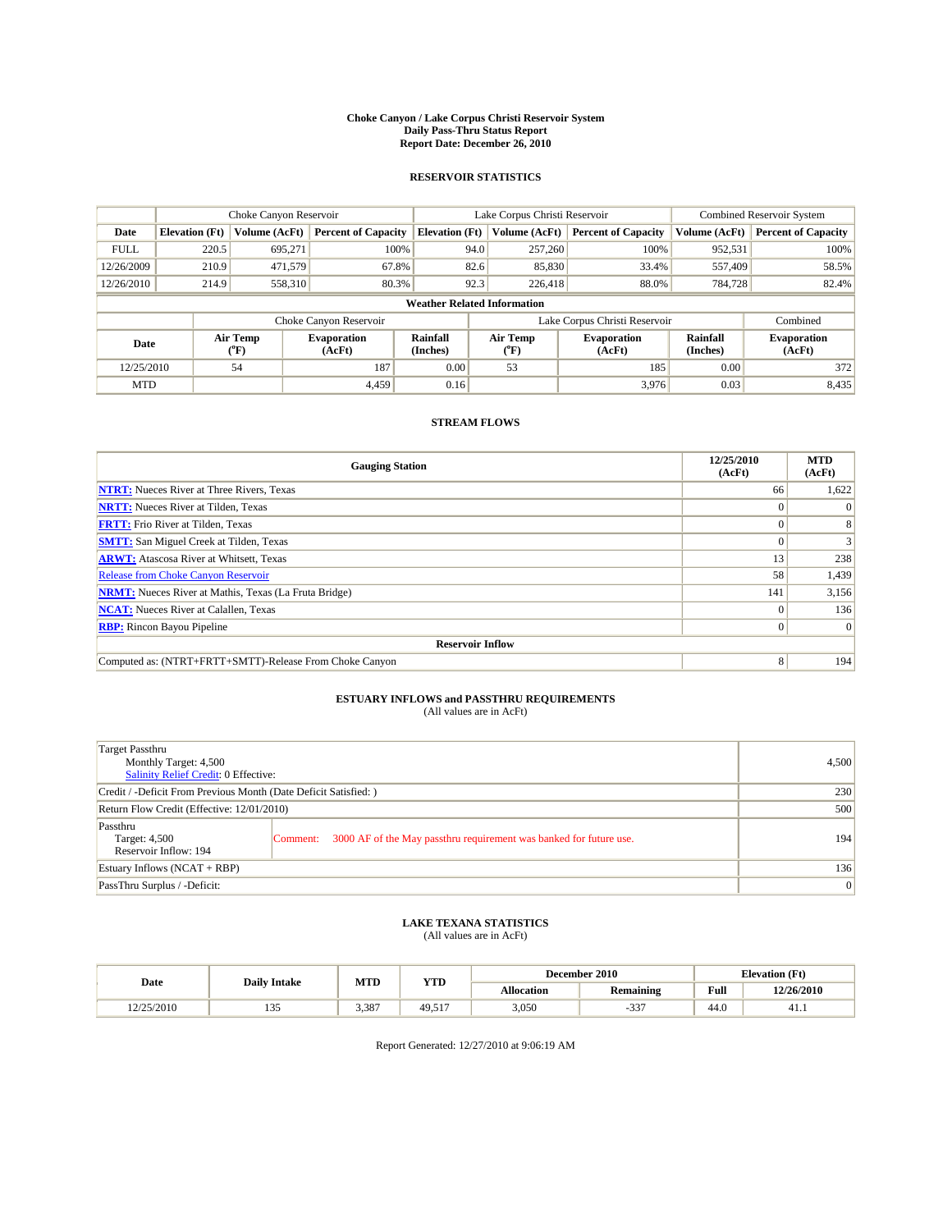#### **Choke Canyon / Lake Corpus Christi Reservoir System Daily Pass-Thru Status Report Report Date: December 26, 2010**

### **RESERVOIR STATISTICS**

|             | Choke Canyon Reservoir             |                  |                              |                       | Lake Corpus Christi Reservoir | <b>Combined Reservoir System</b> |                      |                              |  |  |
|-------------|------------------------------------|------------------|------------------------------|-----------------------|-------------------------------|----------------------------------|----------------------|------------------------------|--|--|
| Date        | <b>Elevation</b> (Ft)              | Volume (AcFt)    | <b>Percent of Capacity</b>   | <b>Elevation</b> (Ft) | Volume (AcFt)                 | <b>Percent of Capacity</b>       | Volume (AcFt)        | <b>Percent of Capacity</b>   |  |  |
| <b>FULL</b> | 220.5                              | 695,271          | 100%                         | 94.0                  | 257,260                       | 100%                             | 952,531              | 100%                         |  |  |
| 12/26/2009  | 210.9                              | 471,579          | 67.8%                        | 82.6                  | 85,830                        | 33.4%                            | 557,409              | 58.5%                        |  |  |
| 12/26/2010  | 214.9                              | 558,310          | 80.3%                        | 92.3                  | 226,418                       | 88.0%                            | 784,728              | 82.4%                        |  |  |
|             | <b>Weather Related Information</b> |                  |                              |                       |                               |                                  |                      |                              |  |  |
|             |                                    |                  | Choke Canyon Reservoir       |                       |                               | Lake Corpus Christi Reservoir    |                      | Combined                     |  |  |
| Date        |                                    | Air Temp<br>(°F) | <b>Evaporation</b><br>(AcFt) | Rainfall<br>(Inches)  | Air Temp<br>("F)              | <b>Evaporation</b><br>(AcFt)     | Rainfall<br>(Inches) | <b>Evaporation</b><br>(AcFt) |  |  |
| 12/25/2010  |                                    | 54               | 187                          | 0.00                  | 53                            | 185                              | 0.00                 | 372                          |  |  |
| <b>MTD</b>  |                                    |                  | 4.459                        | 0.16                  |                               | 3,976                            | 0.03                 | 8,435                        |  |  |

## **STREAM FLOWS**

| <b>Gauging Station</b>                                       | 12/25/2010<br>(AcFt) | <b>MTD</b><br>(AcFt) |
|--------------------------------------------------------------|----------------------|----------------------|
| <b>NTRT:</b> Nueces River at Three Rivers, Texas             | 66                   | 1,622                |
| <b>NRTT:</b> Nueces River at Tilden, Texas                   |                      |                      |
| <b>FRTT:</b> Frio River at Tilden, Texas                     |                      |                      |
| <b>SMTT:</b> San Miguel Creek at Tilden, Texas               |                      |                      |
| <b>ARWT:</b> Atascosa River at Whitsett, Texas               | 13                   | 238                  |
| Release from Choke Canyon Reservoir                          | 58                   | 1,439                |
| <b>NRMT:</b> Nueces River at Mathis, Texas (La Fruta Bridge) | 141                  | 3,156                |
| <b>NCAT:</b> Nueces River at Calallen, Texas                 | $\Omega$             | 136                  |
| <b>RBP:</b> Rincon Bayou Pipeline                            | $\Omega$             | $\Omega$             |
| <b>Reservoir Inflow</b>                                      |                      |                      |
| Computed as: (NTRT+FRTT+SMTT)-Release From Choke Canyon      | 8                    | 194                  |

## **ESTUARY INFLOWS and PASSTHRU REQUIREMENTS**<br>(All values are in AcFt)

| Target Passthru<br>Monthly Target: 4,500<br>Salinity Relief Credit: 0 Effective: |                                                                                | 4,500 |
|----------------------------------------------------------------------------------|--------------------------------------------------------------------------------|-------|
| Credit / -Deficit From Previous Month (Date Deficit Satisfied: )                 | 230                                                                            |       |
| Return Flow Credit (Effective: 12/01/2010)                                       | 500                                                                            |       |
| Passthru<br>Target: 4,500<br>Reservoir Inflow: 194                               | 3000 AF of the May passthru requirement was banked for future use.<br>Comment: | 194   |
| Estuary Inflows $(NCAT + RBP)$                                                   | 136                                                                            |       |
| PassThru Surplus / -Deficit:                                                     |                                                                                | 0     |

## **LAKE TEXANA STATISTICS** (All values are in AcFt)

|            |                     | MTD   | <b>YTD</b>   |            | December 2010 | <b>Elevation</b> (Ft)                   |            |
|------------|---------------------|-------|--------------|------------|---------------|-----------------------------------------|------------|
| Date       | <b>Daily Intake</b> |       |              | Allocation | Remaining     | Full<br>the contract of the contract of | 12/26/2010 |
| 12/25/2010 | 1 J J               | 3.387 | 49.51<br>517 | 3,050      | $\sim$        | 44.0                                    | 41.1       |

Report Generated: 12/27/2010 at 9:06:19 AM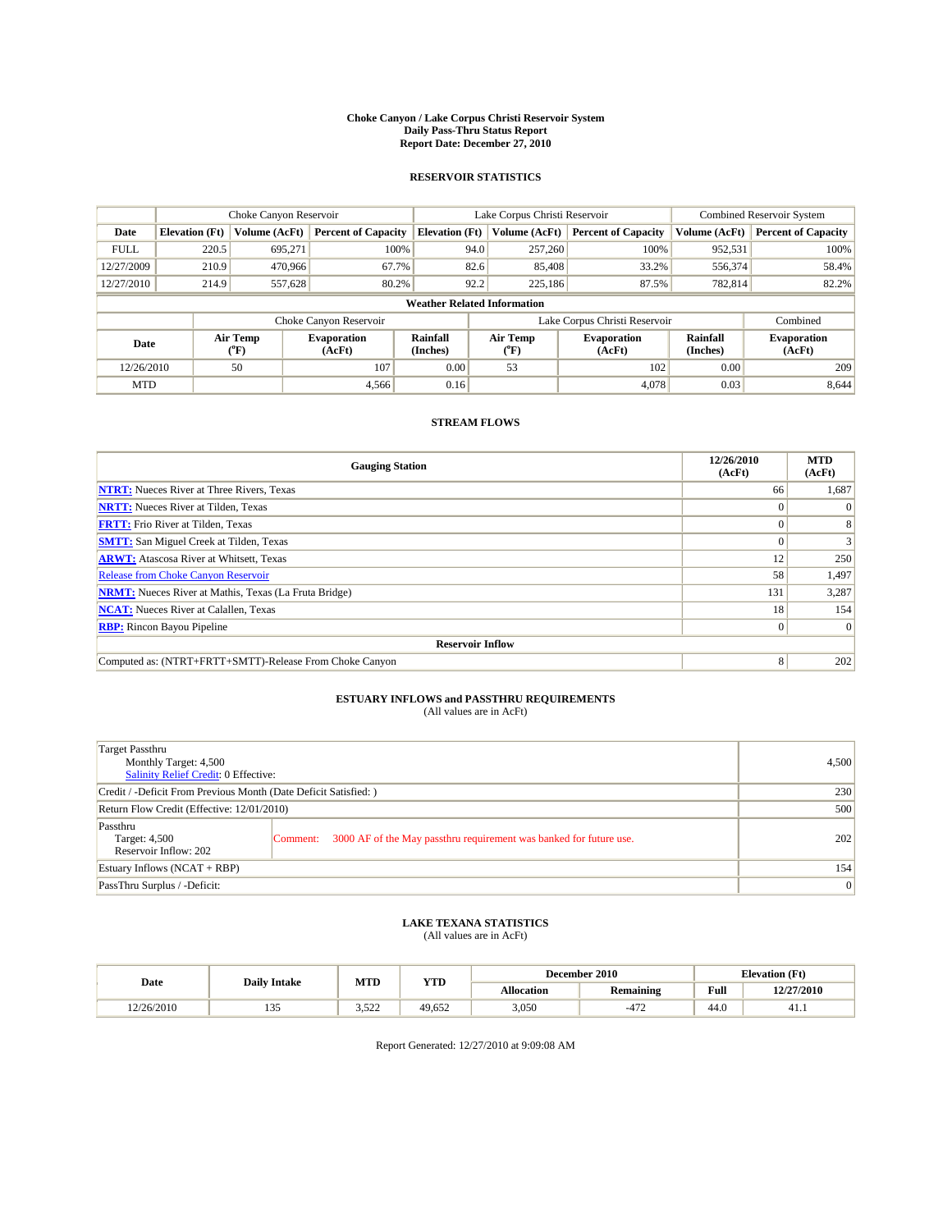#### **Choke Canyon / Lake Corpus Christi Reservoir System Daily Pass-Thru Status Report Report Date: December 27, 2010**

### **RESERVOIR STATISTICS**

|             | Choke Canyon Reservoir             |                            |                              |                             | Lake Corpus Christi Reservoir |                  |                               |                      | Combined Reservoir System    |  |
|-------------|------------------------------------|----------------------------|------------------------------|-----------------------------|-------------------------------|------------------|-------------------------------|----------------------|------------------------------|--|
| Date        | <b>Elevation</b> (Ft)              | Volume (AcFt)              | <b>Percent of Capacity</b>   | <b>Elevation</b> (Ft)       |                               | Volume (AcFt)    | <b>Percent of Capacity</b>    | Volume (AcFt)        | <b>Percent of Capacity</b>   |  |
| <b>FULL</b> | 220.5                              | 695.271                    | 100%                         |                             | 94.0                          | 257,260          | 100%                          | 952,531              | 100%                         |  |
| 12/27/2009  | 210.9                              | 470,966                    | 67.7%                        |                             | 82.6                          | 85,408           | 33.2%                         | 556,374              | 58.4%                        |  |
| 12/27/2010  | 214.9                              | 557,628                    | 80.2%                        |                             | 92.2                          | 225,186          | 87.5%                         | 782.814              | 82.2%                        |  |
|             | <b>Weather Related Information</b> |                            |                              |                             |                               |                  |                               |                      |                              |  |
|             |                                    |                            | Choke Canyon Reservoir       |                             |                               |                  | Lake Corpus Christi Reservoir |                      | Combined                     |  |
| Date        |                                    | Air Temp<br>${}^{\circ}F)$ | <b>Evaporation</b><br>(AcFt) | <b>Rainfall</b><br>(Inches) |                               | Air Temp<br>(°F) | <b>Evaporation</b><br>(AcFt)  | Rainfall<br>(Inches) | <b>Evaporation</b><br>(AcFt) |  |
| 12/26/2010  |                                    | 50                         | 107                          | 0.00                        |                               | 53               | 102                           | 0.00                 | 209                          |  |
| <b>MTD</b>  |                                    |                            | 4,566                        | 0.16                        |                               |                  | 4,078                         | 0.03                 | 8,644                        |  |

## **STREAM FLOWS**

| <b>Gauging Station</b>                                       | 12/26/2010<br>(AcFt) | <b>MTD</b><br>(AcFt) |
|--------------------------------------------------------------|----------------------|----------------------|
| <b>NTRT:</b> Nueces River at Three Rivers, Texas             | 66                   | 1,687                |
| <b>NRTT:</b> Nueces River at Tilden, Texas                   | $\Omega$             |                      |
| <b>FRTT:</b> Frio River at Tilden, Texas                     |                      |                      |
| <b>SMTT:</b> San Miguel Creek at Tilden, Texas               |                      |                      |
| <b>ARWT:</b> Atascosa River at Whitsett, Texas               | 12                   | 250                  |
| <b>Release from Choke Canyon Reservoir</b>                   | 58                   | 1,497                |
| <b>NRMT:</b> Nueces River at Mathis, Texas (La Fruta Bridge) | 131                  | 3,287                |
| <b>NCAT:</b> Nueces River at Calallen, Texas                 | 18 <sup>1</sup>      | 154                  |
| <b>RBP:</b> Rincon Bayou Pipeline                            | $\overline{0}$       | $\Omega$             |
| <b>Reservoir Inflow</b>                                      |                      |                      |
| Computed as: (NTRT+FRTT+SMTT)-Release From Choke Canyon      | 8                    | 202                  |

# **ESTUARY INFLOWS and PASSTHRU REQUIREMENTS**<br>(All values are in AcFt)

| Target Passthru<br>Monthly Target: 4,500<br>Salinity Relief Credit: 0 Effective: |                                                                                | 4,500 |
|----------------------------------------------------------------------------------|--------------------------------------------------------------------------------|-------|
| Credit / -Deficit From Previous Month (Date Deficit Satisfied: )                 | 230                                                                            |       |
| Return Flow Credit (Effective: 12/01/2010)                                       | 500                                                                            |       |
| Passthru<br>Target: 4,500<br>Reservoir Inflow: 202                               | 3000 AF of the May passthru requirement was banked for future use.<br>Comment: | 202   |
| Estuary Inflows (NCAT + RBP)                                                     | 154                                                                            |       |
| PassThru Surplus / -Deficit:                                                     | 0                                                                              |       |

# **LAKE TEXANA STATISTICS** (All values are in AcFt)

|            |                     | MTD           | <b>YTD</b> |            | December 2010         |      | <b>Elevation</b> (Ft) |
|------------|---------------------|---------------|------------|------------|-----------------------|------|-----------------------|
| Date       | <b>Daily Intake</b> |               |            | Allocation | <b>Remaining</b>      | Full | 12/27/2010            |
| 12/26/2010 | $\sim$<br>1 J J     | 522<br>ے کے ل | 49.652     | 3,050      | $\overline{a}$<br>-4. | 44.0 | 41.1                  |

Report Generated: 12/27/2010 at 9:09:08 AM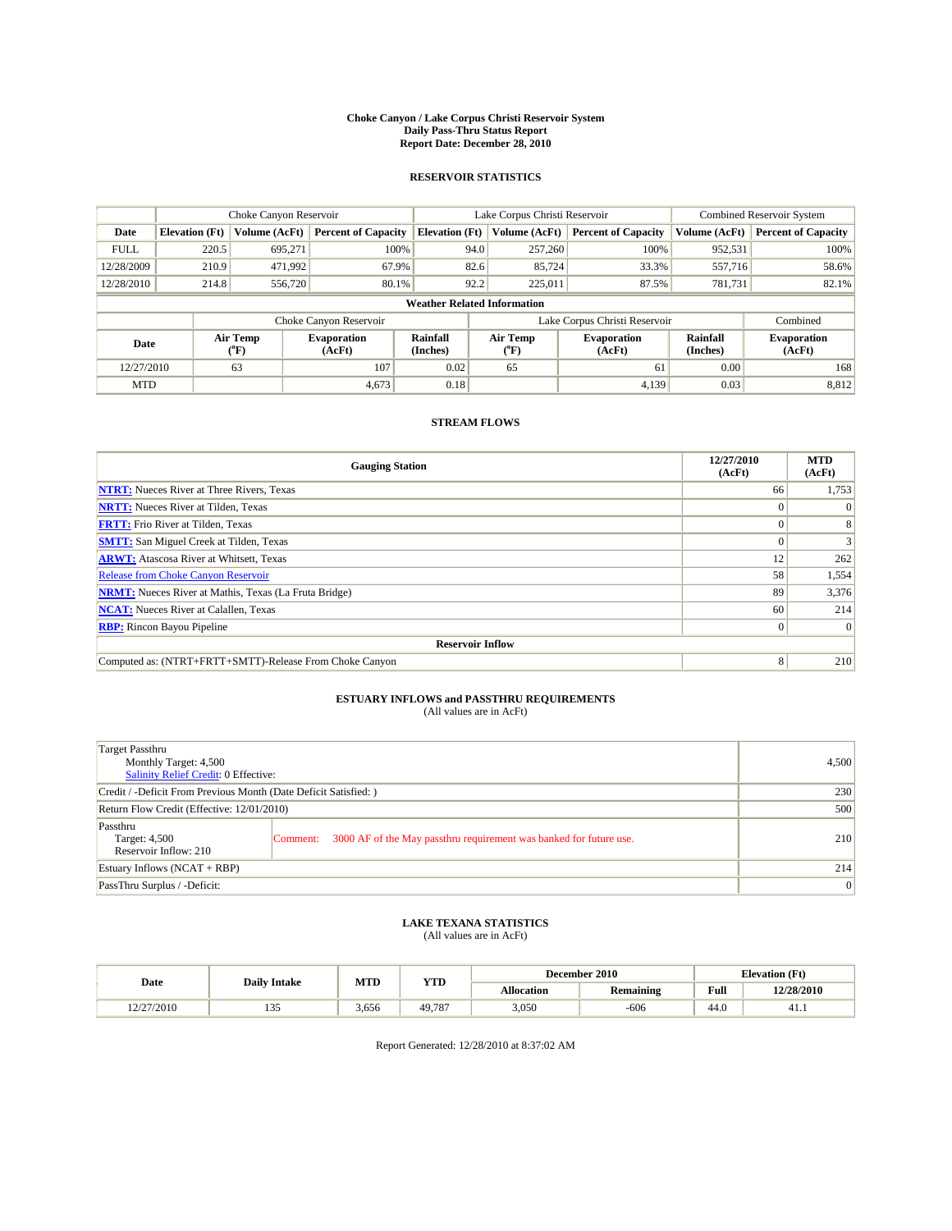#### **Choke Canyon / Lake Corpus Christi Reservoir System Daily Pass-Thru Status Report Report Date: December 28, 2010**

### **RESERVOIR STATISTICS**

|             | Choke Canyon Reservoir             |                  |                              |                       | Lake Corpus Christi Reservoir | <b>Combined Reservoir System</b> |                      |                              |  |  |
|-------------|------------------------------------|------------------|------------------------------|-----------------------|-------------------------------|----------------------------------|----------------------|------------------------------|--|--|
| Date        | <b>Elevation</b> (Ft)              | Volume (AcFt)    | <b>Percent of Capacity</b>   | <b>Elevation</b> (Ft) | Volume (AcFt)                 | <b>Percent of Capacity</b>       | Volume (AcFt)        | <b>Percent of Capacity</b>   |  |  |
| <b>FULL</b> | 220.5                              | 695,271          | 100%                         | 94.0                  | 257,260                       | 100%                             | 952,531              | 100%                         |  |  |
| 12/28/2009  | 210.9                              | 471,992          | 67.9%                        | 82.6                  | 85,724                        | 33.3%                            | 557,716              | 58.6%                        |  |  |
| 12/28/2010  | 214.8                              | 556,720          | 80.1%                        | 92.2                  | 225,011                       | 87.5%                            | 781,731              | 82.1%                        |  |  |
|             | <b>Weather Related Information</b> |                  |                              |                       |                               |                                  |                      |                              |  |  |
|             |                                    |                  | Choke Canyon Reservoir       |                       |                               | Lake Corpus Christi Reservoir    |                      | Combined                     |  |  |
| Date        |                                    | Air Temp<br>(°F) | <b>Evaporation</b><br>(AcFt) | Rainfall<br>(Inches)  | Air Temp<br>("F)              | <b>Evaporation</b><br>(AcFt)     | Rainfall<br>(Inches) | <b>Evaporation</b><br>(AcFt) |  |  |
| 12/27/2010  |                                    | 63               | 107                          | 0.02                  | 65                            | 61                               | 0.00                 | 168                          |  |  |
| <b>MTD</b>  |                                    |                  | 4,673                        | 0.18                  |                               | 4.139                            | 0.03                 | 8,812                        |  |  |

## **STREAM FLOWS**

| <b>Gauging Station</b>                                       | 12/27/2010<br>(AcFt) | <b>MTD</b><br>(AcFt) |  |  |  |  |  |
|--------------------------------------------------------------|----------------------|----------------------|--|--|--|--|--|
| <b>NTRT:</b> Nueces River at Three Rivers, Texas             | 66                   | 1,753                |  |  |  |  |  |
| <b>NRTT:</b> Nueces River at Tilden, Texas                   | $\Omega$             |                      |  |  |  |  |  |
| <b>FRTT:</b> Frio River at Tilden, Texas                     |                      |                      |  |  |  |  |  |
| <b>SMTT:</b> San Miguel Creek at Tilden, Texas               |                      |                      |  |  |  |  |  |
| <b>ARWT:</b> Atascosa River at Whitsett, Texas               | 12                   | 262                  |  |  |  |  |  |
| <b>Release from Choke Canyon Reservoir</b>                   | 58                   | 1,554                |  |  |  |  |  |
| <b>NRMT:</b> Nueces River at Mathis, Texas (La Fruta Bridge) | 89                   | 3,376                |  |  |  |  |  |
| <b>NCAT:</b> Nueces River at Calallen, Texas                 | 60                   | 214                  |  |  |  |  |  |
| <b>RBP:</b> Rincon Bayou Pipeline                            | $\overline{0}$       | $\Omega$             |  |  |  |  |  |
| <b>Reservoir Inflow</b>                                      |                      |                      |  |  |  |  |  |
| Computed as: (NTRT+FRTT+SMTT)-Release From Choke Canyon      | 8                    | 210                  |  |  |  |  |  |

# **ESTUARY INFLOWS and PASSTHRU REQUIREMENTS**<br>(All values are in AcFt)

| Target Passthru<br>Monthly Target: 4,500<br>Salinity Relief Credit: 0 Effective: |                                                                                | 4,500 |
|----------------------------------------------------------------------------------|--------------------------------------------------------------------------------|-------|
| Credit / -Deficit From Previous Month (Date Deficit Satisfied: )                 | 230                                                                            |       |
| Return Flow Credit (Effective: 12/01/2010)                                       | 500                                                                            |       |
| Passthru<br>Target: 4,500<br>Reservoir Inflow: 210                               | 3000 AF of the May passthru requirement was banked for future use.<br>Comment: | 210   |
| Estuary Inflows (NCAT + RBP)                                                     |                                                                                | 214   |
| PassThru Surplus / -Deficit:                                                     | 0                                                                              |       |

# **LAKE TEXANA STATISTICS** (All values are in AcFt)

|           |                     | MTD   | <b>YTD</b> | December 2010<br><b>Elevation</b> (Ft) |                  |                                             |            |
|-----------|---------------------|-------|------------|----------------------------------------|------------------|---------------------------------------------|------------|
| Date      | <b>Daily Intake</b> |       |            | Allocation                             | <b>Remaining</b> | Full<br>the contract of the contract of the | 12/28/2010 |
| 2/27/2010 | $\sim$<br>1 J J     | 3.656 | 49,787     | 3,050                                  | $-606$           | 44.0                                        | 41.1       |

Report Generated: 12/28/2010 at 8:37:02 AM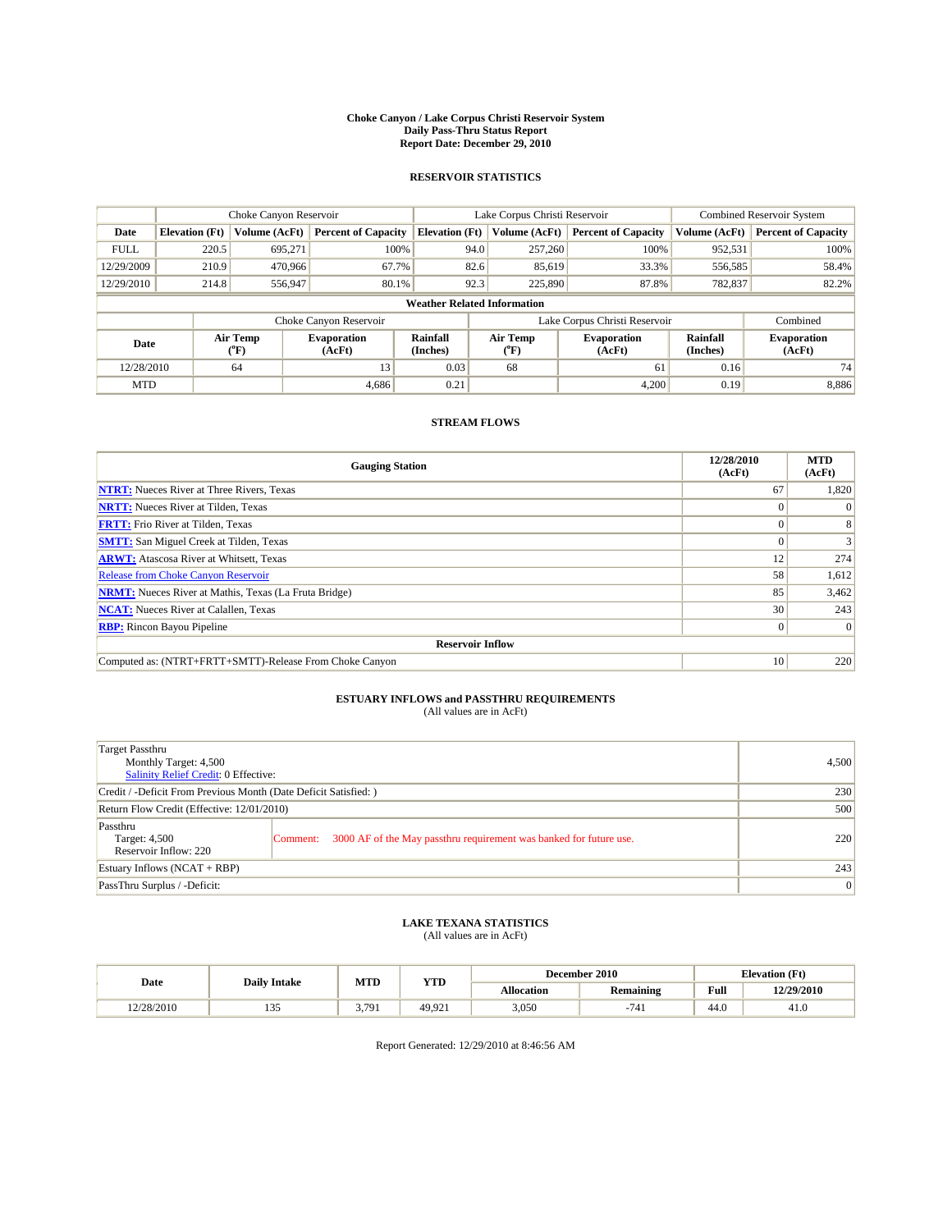#### **Choke Canyon / Lake Corpus Christi Reservoir System Daily Pass-Thru Status Report Report Date: December 29, 2010**

### **RESERVOIR STATISTICS**

|             | Choke Canyon Reservoir             |                  |                              |                       | Lake Corpus Christi Reservoir |                              |                      | <b>Combined Reservoir System</b> |  |  |
|-------------|------------------------------------|------------------|------------------------------|-----------------------|-------------------------------|------------------------------|----------------------|----------------------------------|--|--|
| Date        | <b>Elevation</b> (Ft)              | Volume (AcFt)    | <b>Percent of Capacity</b>   | <b>Elevation</b> (Ft) | Volume (AcFt)                 | <b>Percent of Capacity</b>   | Volume (AcFt)        | <b>Percent of Capacity</b>       |  |  |
| <b>FULL</b> | 220.5                              | 695,271          | 100%                         | 94.0                  | 257,260                       | 100%                         | 952,531              | 100%                             |  |  |
| 12/29/2009  | 210.9                              | 470,966          | 67.7%                        | 82.6                  | 85,619                        | 33.3%                        | 556,585              | 58.4%                            |  |  |
| 12/29/2010  | 214.8                              | 556,947          | 80.1%                        | 92.3                  | 225,890                       | 87.8%                        | 782,837              | 82.2%                            |  |  |
|             | <b>Weather Related Information</b> |                  |                              |                       |                               |                              |                      |                                  |  |  |
|             |                                    |                  | Choke Canyon Reservoir       |                       | Lake Corpus Christi Reservoir |                              |                      | Combined                         |  |  |
| Date        |                                    | Air Temp<br>(°F) | <b>Evaporation</b><br>(AcFt) | Rainfall<br>(Inches)  | Air Temp<br>("F)              | <b>Evaporation</b><br>(AcFt) | Rainfall<br>(Inches) | <b>Evaporation</b><br>(AcFt)     |  |  |
| 12/28/2010  |                                    | 64               | 13                           | 0.03                  | 68                            | 61                           | 0.16                 | 74                               |  |  |
| <b>MTD</b>  |                                    |                  | 4.686                        | 0.21                  |                               | 4.200                        | 0.19                 | 8,886                            |  |  |

## **STREAM FLOWS**

| <b>Gauging Station</b>                                       | 12/28/2010<br>(AcFt) | <b>MTD</b><br>(AcFt) |  |  |  |  |  |
|--------------------------------------------------------------|----------------------|----------------------|--|--|--|--|--|
| <b>NTRT:</b> Nueces River at Three Rivers, Texas             | 67                   | 1,820                |  |  |  |  |  |
| <b>NRTT:</b> Nueces River at Tilden, Texas                   | $\left( \right)$     |                      |  |  |  |  |  |
| <b>FRTT:</b> Frio River at Tilden, Texas                     |                      |                      |  |  |  |  |  |
| <b>SMTT:</b> San Miguel Creek at Tilden, Texas               |                      |                      |  |  |  |  |  |
| <b>ARWT:</b> Atascosa River at Whitsett, Texas               | 12                   | 274                  |  |  |  |  |  |
| <b>Release from Choke Canyon Reservoir</b>                   | 58                   | 1,612                |  |  |  |  |  |
| <b>NRMT:</b> Nueces River at Mathis, Texas (La Fruta Bridge) | 85                   | 3,462                |  |  |  |  |  |
| <b>NCAT:</b> Nueces River at Calallen, Texas                 | 30                   | 243                  |  |  |  |  |  |
| <b>RBP:</b> Rincon Bayou Pipeline                            | $\overline{0}$       | $\Omega$             |  |  |  |  |  |
| <b>Reservoir Inflow</b>                                      |                      |                      |  |  |  |  |  |
| Computed as: (NTRT+FRTT+SMTT)-Release From Choke Canyon      | 10                   | 220                  |  |  |  |  |  |

## **ESTUARY INFLOWS and PASSTHRU REQUIREMENTS**<br>(All values are in AcFt)

| Target Passthru<br>Monthly Target: 4,500<br><b>Salinity Relief Credit: 0 Effective:</b> |                                                                             | 4,500 |
|-----------------------------------------------------------------------------------------|-----------------------------------------------------------------------------|-------|
| Credit / -Deficit From Previous Month (Date Deficit Satisfied: )                        |                                                                             | 230   |
| Return Flow Credit (Effective: 12/01/2010)                                              | 500                                                                         |       |
| Passthru<br>Target: 4,500<br>Reservoir Inflow: 220                                      | Comment: 3000 AF of the May passthru requirement was banked for future use. | 220   |
| Estuary Inflows $(NCAT + RBP)$                                                          |                                                                             | 243   |
| PassThru Surplus / -Deficit:                                                            |                                                                             | 0     |

## **LAKE TEXANA STATISTICS** (All values are in AcFt)

|            |                     | MTD  | YTD    |                   | December 2010 |      | <b>Elevation</b> (Ft) |
|------------|---------------------|------|--------|-------------------|---------------|------|-----------------------|
| Date       | <b>Daily Intake</b> |      |        | <b>Allocation</b> | Remaining     | Full | 12/29/2010            |
| 12/28/2010 | $\sim$<br>1 J J     | .791 | 49.921 | 3,050             |               | 44.0 | 41.0                  |

Report Generated: 12/29/2010 at 8:46:56 AM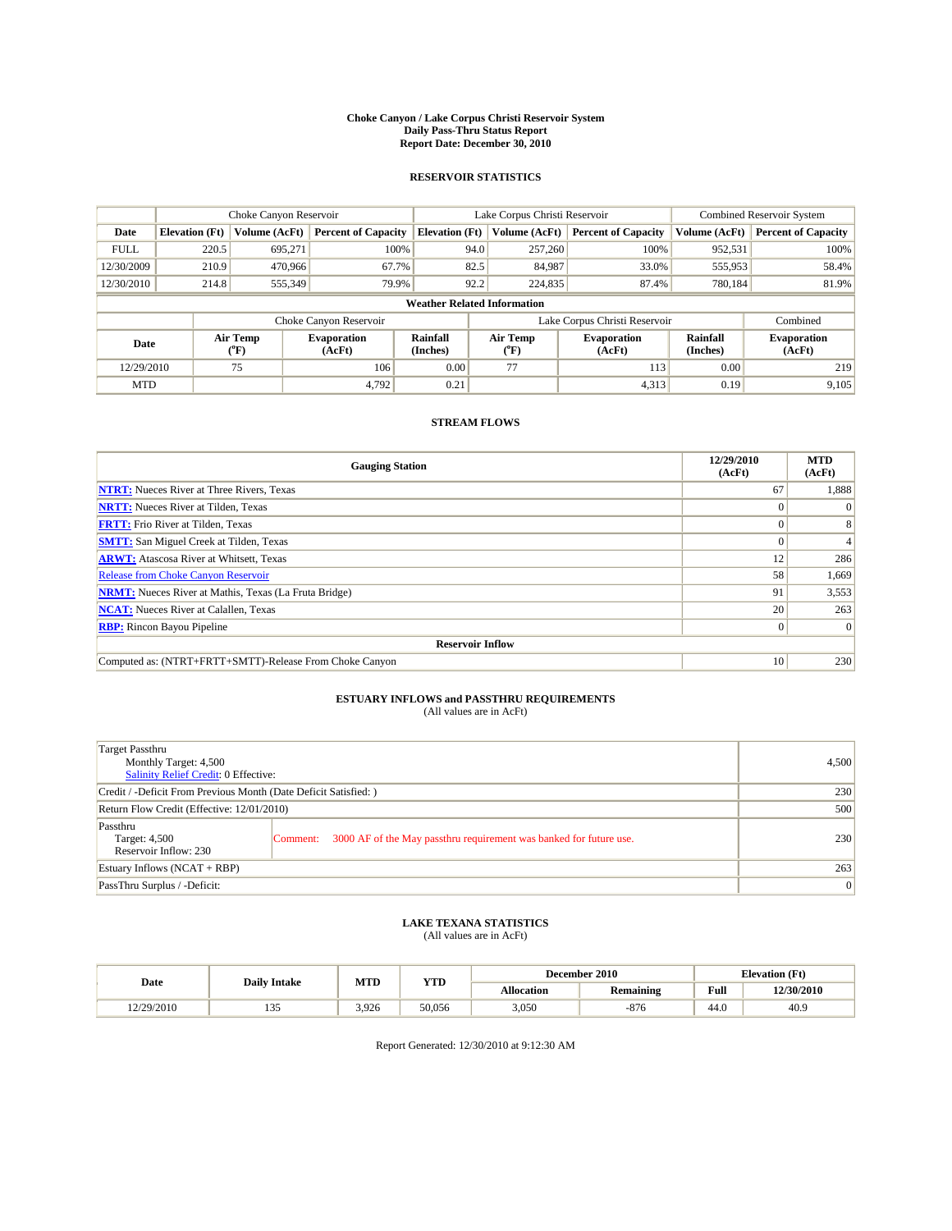#### **Choke Canyon / Lake Corpus Christi Reservoir System Daily Pass-Thru Status Report Report Date: December 30, 2010**

### **RESERVOIR STATISTICS**

|             |                                    | Choke Canyon Reservoir |                              |                       | Lake Corpus Christi Reservoir |                              |                      | Combined Reservoir System    |  |  |
|-------------|------------------------------------|------------------------|------------------------------|-----------------------|-------------------------------|------------------------------|----------------------|------------------------------|--|--|
| Date        | <b>Elevation</b> (Ft)              | Volume (AcFt)          | <b>Percent of Capacity</b>   | <b>Elevation</b> (Ft) | Volume (AcFt)                 | <b>Percent of Capacity</b>   | Volume (AcFt)        | <b>Percent of Capacity</b>   |  |  |
| <b>FULL</b> | 220.5                              | 695,271                | 100%                         | 94.0                  | 257,260                       | 100%                         | 952,531              | 100%                         |  |  |
| 12/30/2009  | 210.9                              | 470,966                | 67.7%                        | 82.5                  | 84,987                        | 33.0%                        | 555,953              | 58.4%                        |  |  |
| 12/30/2010  | 214.8                              | 555,349                | 79.9%                        | 92.2                  | 224,835                       | 87.4%                        | 780,184              | 81.9%                        |  |  |
|             | <b>Weather Related Information</b> |                        |                              |                       |                               |                              |                      |                              |  |  |
|             |                                    |                        | Choke Canyon Reservoir       |                       | Lake Corpus Christi Reservoir |                              |                      | Combined                     |  |  |
| Date        |                                    | Air Temp<br>(°F)       | <b>Evaporation</b><br>(AcFt) | Rainfall<br>(Inches)  | Air Temp<br>("F)              | <b>Evaporation</b><br>(AcFt) | Rainfall<br>(Inches) | <b>Evaporation</b><br>(AcFt) |  |  |
| 12/29/2010  |                                    | 75                     | 106                          | 0.00                  | 77                            | 113                          | 0.00                 | 219                          |  |  |
| <b>MTD</b>  |                                    |                        | 4.792                        | 0.21                  |                               | 4,313                        | 0.19                 | 9,105                        |  |  |

## **STREAM FLOWS**

| <b>Gauging Station</b>                                       | 12/29/2010<br>(AcFt) | <b>MTD</b><br>(AcFt) |
|--------------------------------------------------------------|----------------------|----------------------|
| <b>NTRT:</b> Nueces River at Three Rivers, Texas             | 67                   | 1,888                |
| <b>NRTT:</b> Nueces River at Tilden, Texas                   | $\left( \right)$     |                      |
| <b>FRTT:</b> Frio River at Tilden, Texas                     |                      |                      |
| <b>SMTT:</b> San Miguel Creek at Tilden, Texas               |                      |                      |
| <b>ARWT:</b> Atascosa River at Whitsett, Texas               | 12                   | 286                  |
| <b>Release from Choke Canyon Reservoir</b>                   | 58                   | 1,669                |
| <b>NRMT:</b> Nueces River at Mathis, Texas (La Fruta Bridge) | 91                   | 3,553                |
| <b>NCAT:</b> Nueces River at Calallen, Texas                 | 20                   | 263                  |
| <b>RBP:</b> Rincon Bayou Pipeline                            | $\overline{0}$       | $\Omega$             |
| <b>Reservoir Inflow</b>                                      |                      |                      |
| Computed as: (NTRT+FRTT+SMTT)-Release From Choke Canyon      | 10                   | 230                  |

# **ESTUARY INFLOWS and PASSTHRU REQUIREMENTS**<br>(All values are in AcFt)

| Target Passthru<br>Monthly Target: 4,500<br>Salinity Relief Credit: 0 Effective: | 4,500                                                                          |     |
|----------------------------------------------------------------------------------|--------------------------------------------------------------------------------|-----|
| Credit / -Deficit From Previous Month (Date Deficit Satisfied: )                 | 230                                                                            |     |
| Return Flow Credit (Effective: 12/01/2010)                                       | 500                                                                            |     |
| Passthru<br>Target: 4,500<br>Reservoir Inflow: 230                               | 3000 AF of the May passthru requirement was banked for future use.<br>Comment: | 230 |
| Estuary Inflows (NCAT + RBP)                                                     |                                                                                | 263 |
| PassThru Surplus / -Deficit:                                                     | 0                                                                              |     |

## **LAKE TEXANA STATISTICS** (All values are in AcFt)

|            |                     | MTD   | <b>YTD</b> |            | December 2010    | <b>Elevation</b> (Ft)                   |            |
|------------|---------------------|-------|------------|------------|------------------|-----------------------------------------|------------|
| Date       | <b>Daily Intake</b> |       |            | Allocation | <b>Remaining</b> | Full<br>the contract of the contract of | 12/30/2010 |
| 12/29/2010 | $\sim$<br>1 J J     | 3.926 | 50.056     | 3,050      | $-876$           | 44.0                                    | 40.9       |

Report Generated: 12/30/2010 at 9:12:30 AM